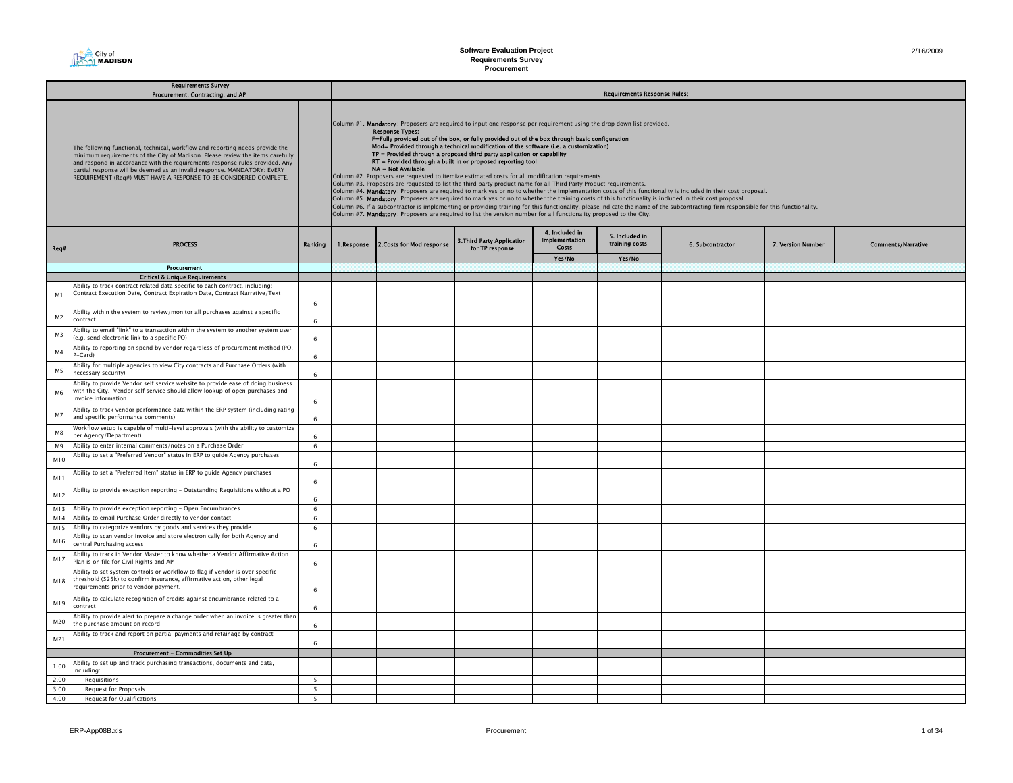|                | <b>Requirements Survey</b><br>Procurement, Contracting, and AP                                                                                                                                                                                                                                                                                                                                    |            | <b>Requirements Response Rules:</b> |                                                                                                                                                                                                                                                                                                                                                                                                                                                                                                                                                                                                                                                                                                                                                                                                                                                                                                                                                                                                                                                                                                                                                                                                                                                                                                                                                                           |  |        |        |  |  |  |  |  |  |
|----------------|---------------------------------------------------------------------------------------------------------------------------------------------------------------------------------------------------------------------------------------------------------------------------------------------------------------------------------------------------------------------------------------------------|------------|-------------------------------------|---------------------------------------------------------------------------------------------------------------------------------------------------------------------------------------------------------------------------------------------------------------------------------------------------------------------------------------------------------------------------------------------------------------------------------------------------------------------------------------------------------------------------------------------------------------------------------------------------------------------------------------------------------------------------------------------------------------------------------------------------------------------------------------------------------------------------------------------------------------------------------------------------------------------------------------------------------------------------------------------------------------------------------------------------------------------------------------------------------------------------------------------------------------------------------------------------------------------------------------------------------------------------------------------------------------------------------------------------------------------------|--|--------|--------|--|--|--|--|--|--|
|                | The following functional, technical, workflow and reporting needs provide the<br>minimum requirements of the City of Madison. Please review the items carefully<br>and respond in accordance with the requirements response rules provided. Any<br>partial response will be deemed as an invalid response. MANDATORY: EVERY<br>REQUIREMENT (Req#) MUST HAVE A RESPONSE TO BE CONSIDERED COMPLETE. |            |                                     | Column #1. Mandatory: Proposers are required to input one response per requirement using the drop down list provided.<br><b>Response Types:</b><br>F=Fully provided out of the box, or fully provided out of the box through basic configuration<br>Mod= Provided through a technical modification of the software (i.e. a customization)<br>TP = Provided through a proposed third party application or capability<br>RT = Provided through a built in or proposed reporting tool<br>NA = Not Available<br>Column #2. Proposers are requested to itemize estimated costs for all modification requirements.<br>Column #3. Proposers are requested to list the third party product name for all Third Party Product requirements.<br>Column #4. Mandatory: Proposers are required to mark yes or no to whether the implementation costs of this functionality is included in their cost proposal.<br>Column #5. Mandatory: Proposers are required to mark yes or no to whether the training costs of this functionality is included in their cost proposal.<br>Column #6. If a subcontractor is implementing or providing training for this functionality, please indicate the name of the subcontracting firm responsible for this functionality.<br>Column #7. Mandatory: Proposers are required to list the version number for all functionality proposed to the City. |  |        |        |  |  |  |  |  |  |
| Req#           | <b>PROCESS</b>                                                                                                                                                                                                                                                                                                                                                                                    | Ranking    |                                     | 4. Included in<br>5. Included in<br><b>Implementation</b><br>3. Third Party Application<br>training costs<br>1.Response 2.Costs for Mod response<br>6. Subcontractor<br>7. Version Number<br>Costs<br>for TP response                                                                                                                                                                                                                                                                                                                                                                                                                                                                                                                                                                                                                                                                                                                                                                                                                                                                                                                                                                                                                                                                                                                                                     |  |        |        |  |  |  |  |  |  |
|                |                                                                                                                                                                                                                                                                                                                                                                                                   |            |                                     |                                                                                                                                                                                                                                                                                                                                                                                                                                                                                                                                                                                                                                                                                                                                                                                                                                                                                                                                                                                                                                                                                                                                                                                                                                                                                                                                                                           |  | Yes/No | Yes/No |  |  |  |  |  |  |
|                | Procurement                                                                                                                                                                                                                                                                                                                                                                                       |            |                                     |                                                                                                                                                                                                                                                                                                                                                                                                                                                                                                                                                                                                                                                                                                                                                                                                                                                                                                                                                                                                                                                                                                                                                                                                                                                                                                                                                                           |  |        |        |  |  |  |  |  |  |
|                | <b>Critical &amp; Unique Requirements</b>                                                                                                                                                                                                                                                                                                                                                         |            |                                     |                                                                                                                                                                                                                                                                                                                                                                                                                                                                                                                                                                                                                                                                                                                                                                                                                                                                                                                                                                                                                                                                                                                                                                                                                                                                                                                                                                           |  |        |        |  |  |  |  |  |  |
| M <sub>1</sub> | Ability to track contract related data specific to each contract, including:<br>Contract Execution Date, Contract Expiration Date, Contract Narrative/Text                                                                                                                                                                                                                                        |            |                                     |                                                                                                                                                                                                                                                                                                                                                                                                                                                                                                                                                                                                                                                                                                                                                                                                                                                                                                                                                                                                                                                                                                                                                                                                                                                                                                                                                                           |  |        |        |  |  |  |  |  |  |
| M <sub>2</sub> | Ability within the system to review/monitor all purchases against a specific<br>contract                                                                                                                                                                                                                                                                                                          | 6<br>6     |                                     |                                                                                                                                                                                                                                                                                                                                                                                                                                                                                                                                                                                                                                                                                                                                                                                                                                                                                                                                                                                                                                                                                                                                                                                                                                                                                                                                                                           |  |        |        |  |  |  |  |  |  |
| M3             | Ability to email "link" to a transaction within the system to another system user<br>e.g. send electronic link to a specific PO)                                                                                                                                                                                                                                                                  | 6          |                                     |                                                                                                                                                                                                                                                                                                                                                                                                                                                                                                                                                                                                                                                                                                                                                                                                                                                                                                                                                                                                                                                                                                                                                                                                                                                                                                                                                                           |  |        |        |  |  |  |  |  |  |
| M4             | Ability to reporting on spend by vendor regardless of procurement method (PO,<br>-Card)                                                                                                                                                                                                                                                                                                           | 6          |                                     |                                                                                                                                                                                                                                                                                                                                                                                                                                                                                                                                                                                                                                                                                                                                                                                                                                                                                                                                                                                                                                                                                                                                                                                                                                                                                                                                                                           |  |        |        |  |  |  |  |  |  |
| M5             | Ability for multiple agencies to view City contracts and Purchase Orders (with<br>ecessary security)                                                                                                                                                                                                                                                                                              | 6          |                                     |                                                                                                                                                                                                                                                                                                                                                                                                                                                                                                                                                                                                                                                                                                                                                                                                                                                                                                                                                                                                                                                                                                                                                                                                                                                                                                                                                                           |  |        |        |  |  |  |  |  |  |
| M6             | Ability to provide Vendor self service website to provide ease of doing business<br>with the City. Vendor self service should allow lookup of open purchases and<br>nvoice information.                                                                                                                                                                                                           | 6          |                                     |                                                                                                                                                                                                                                                                                                                                                                                                                                                                                                                                                                                                                                                                                                                                                                                                                                                                                                                                                                                                                                                                                                                                                                                                                                                                                                                                                                           |  |        |        |  |  |  |  |  |  |
| M7             | Ability to track vendor performance data within the ERP system (including rating<br>and specific performance comments)                                                                                                                                                                                                                                                                            | 6          |                                     |                                                                                                                                                                                                                                                                                                                                                                                                                                                                                                                                                                                                                                                                                                                                                                                                                                                                                                                                                                                                                                                                                                                                                                                                                                                                                                                                                                           |  |        |        |  |  |  |  |  |  |
| M8             | Workflow setup is capable of multi-level approvals (with the ability to customize<br>per Agency/Department)                                                                                                                                                                                                                                                                                       | 6          |                                     |                                                                                                                                                                                                                                                                                                                                                                                                                                                                                                                                                                                                                                                                                                                                                                                                                                                                                                                                                                                                                                                                                                                                                                                                                                                                                                                                                                           |  |        |        |  |  |  |  |  |  |
| M9             | Ability to enter internal comments/notes on a Purchase Order                                                                                                                                                                                                                                                                                                                                      | 6          |                                     |                                                                                                                                                                                                                                                                                                                                                                                                                                                                                                                                                                                                                                                                                                                                                                                                                                                                                                                                                                                                                                                                                                                                                                                                                                                                                                                                                                           |  |        |        |  |  |  |  |  |  |
| M10            | Ability to set a "Preferred Vendor" status in ERP to guide Agency purchases                                                                                                                                                                                                                                                                                                                       | 6          |                                     |                                                                                                                                                                                                                                                                                                                                                                                                                                                                                                                                                                                                                                                                                                                                                                                                                                                                                                                                                                                                                                                                                                                                                                                                                                                                                                                                                                           |  |        |        |  |  |  |  |  |  |
| M11            | Ability to set a "Preferred Item" status in ERP to guide Agency purchases                                                                                                                                                                                                                                                                                                                         | 6          |                                     |                                                                                                                                                                                                                                                                                                                                                                                                                                                                                                                                                                                                                                                                                                                                                                                                                                                                                                                                                                                                                                                                                                                                                                                                                                                                                                                                                                           |  |        |        |  |  |  |  |  |  |
| M12            | Ability to provide exception reporting - Outstanding Requisitions without a PO                                                                                                                                                                                                                                                                                                                    | 6          |                                     |                                                                                                                                                                                                                                                                                                                                                                                                                                                                                                                                                                                                                                                                                                                                                                                                                                                                                                                                                                                                                                                                                                                                                                                                                                                                                                                                                                           |  |        |        |  |  |  |  |  |  |
| M13            | Ability to provide exception reporting - Open Encumbrances                                                                                                                                                                                                                                                                                                                                        | $\,6\,$    |                                     |                                                                                                                                                                                                                                                                                                                                                                                                                                                                                                                                                                                                                                                                                                                                                                                                                                                                                                                                                                                                                                                                                                                                                                                                                                                                                                                                                                           |  |        |        |  |  |  |  |  |  |
| M14<br>M15     | Ability to email Purchase Order directly to vendor contact<br>Ability to categorize vendors by goods and services they provide                                                                                                                                                                                                                                                                    | 6<br>6     |                                     |                                                                                                                                                                                                                                                                                                                                                                                                                                                                                                                                                                                                                                                                                                                                                                                                                                                                                                                                                                                                                                                                                                                                                                                                                                                                                                                                                                           |  |        |        |  |  |  |  |  |  |
| M16            | Ability to scan vendor invoice and store electronically for both Agency and<br>entral Purchasing access                                                                                                                                                                                                                                                                                           | 6          |                                     |                                                                                                                                                                                                                                                                                                                                                                                                                                                                                                                                                                                                                                                                                                                                                                                                                                                                                                                                                                                                                                                                                                                                                                                                                                                                                                                                                                           |  |        |        |  |  |  |  |  |  |
| M17            | Ability to track in Vendor Master to know whether a Vendor Affirmative Action<br>Plan is on file for Civil Rights and AP                                                                                                                                                                                                                                                                          | -6         |                                     |                                                                                                                                                                                                                                                                                                                                                                                                                                                                                                                                                                                                                                                                                                                                                                                                                                                                                                                                                                                                                                                                                                                                                                                                                                                                                                                                                                           |  |        |        |  |  |  |  |  |  |
| M18            | Ability to set system controls or workflow to flag if vendor is over specific<br>threshold (\$25k) to confirm insurance, affirmative action, other legal<br>requirements prior to vendor payment.                                                                                                                                                                                                 | 6          |                                     |                                                                                                                                                                                                                                                                                                                                                                                                                                                                                                                                                                                                                                                                                                                                                                                                                                                                                                                                                                                                                                                                                                                                                                                                                                                                                                                                                                           |  |        |        |  |  |  |  |  |  |
| M19            | Ability to calculate recognition of credits against encumbrance related to a<br>contract                                                                                                                                                                                                                                                                                                          | 6          |                                     |                                                                                                                                                                                                                                                                                                                                                                                                                                                                                                                                                                                                                                                                                                                                                                                                                                                                                                                                                                                                                                                                                                                                                                                                                                                                                                                                                                           |  |        |        |  |  |  |  |  |  |
| M20            | Ability to provide alert to prepare a change order when an invoice is greater than<br>he purchase amount on record                                                                                                                                                                                                                                                                                | 6          |                                     |                                                                                                                                                                                                                                                                                                                                                                                                                                                                                                                                                                                                                                                                                                                                                                                                                                                                                                                                                                                                                                                                                                                                                                                                                                                                                                                                                                           |  |        |        |  |  |  |  |  |  |
| M21            | bility to track and report on partial payments and retainage by contract                                                                                                                                                                                                                                                                                                                          | $\epsilon$ |                                     |                                                                                                                                                                                                                                                                                                                                                                                                                                                                                                                                                                                                                                                                                                                                                                                                                                                                                                                                                                                                                                                                                                                                                                                                                                                                                                                                                                           |  |        |        |  |  |  |  |  |  |
|                | Procurement - Commodities Set Up                                                                                                                                                                                                                                                                                                                                                                  |            |                                     |                                                                                                                                                                                                                                                                                                                                                                                                                                                                                                                                                                                                                                                                                                                                                                                                                                                                                                                                                                                                                                                                                                                                                                                                                                                                                                                                                                           |  |        |        |  |  |  |  |  |  |
| 1.00           | Ability to set up and track purchasing transactions, documents and data,<br>ncluding:                                                                                                                                                                                                                                                                                                             |            |                                     |                                                                                                                                                                                                                                                                                                                                                                                                                                                                                                                                                                                                                                                                                                                                                                                                                                                                                                                                                                                                                                                                                                                                                                                                                                                                                                                                                                           |  |        |        |  |  |  |  |  |  |
| 2.00           | Requisitions                                                                                                                                                                                                                                                                                                                                                                                      | 5          |                                     |                                                                                                                                                                                                                                                                                                                                                                                                                                                                                                                                                                                                                                                                                                                                                                                                                                                                                                                                                                                                                                                                                                                                                                                                                                                                                                                                                                           |  |        |        |  |  |  |  |  |  |
| 3.00           | <b>Request for Proposals</b>                                                                                                                                                                                                                                                                                                                                                                      | 5          |                                     |                                                                                                                                                                                                                                                                                                                                                                                                                                                                                                                                                                                                                                                                                                                                                                                                                                                                                                                                                                                                                                                                                                                                                                                                                                                                                                                                                                           |  |        |        |  |  |  |  |  |  |
| 4.00           | <b>Request for Qualifications</b>                                                                                                                                                                                                                                                                                                                                                                 | 5          |                                     |                                                                                                                                                                                                                                                                                                                                                                                                                                                                                                                                                                                                                                                                                                                                                                                                                                                                                                                                                                                                                                                                                                                                                                                                                                                                                                                                                                           |  |        |        |  |  |  |  |  |  |

**The City of**<br>The **MADISON**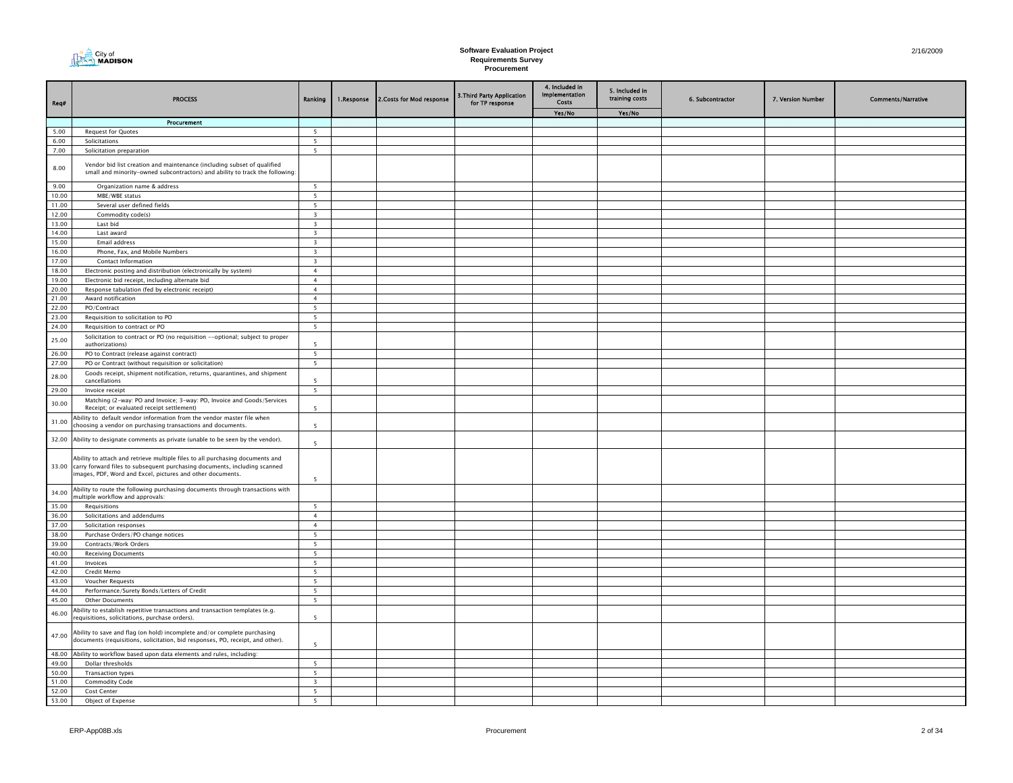| City of<br><b>AN MADISON</b><br>$\mathsf{n}$ |
|----------------------------------------------|
|                                              |

| Req#           | <b>PROCESS</b>                                                                                                                                                                                                                 | Ranking                                   | 1.Response | 2. Costs for Mod response | 3. Third Party Application<br>for TP response | 4. Included in<br><b>Implementation</b><br>Costs | 5. Included in<br>training costs | 6. Subcontractor | 7. Version Number | <b>Comments/Narrative</b> |
|----------------|--------------------------------------------------------------------------------------------------------------------------------------------------------------------------------------------------------------------------------|-------------------------------------------|------------|---------------------------|-----------------------------------------------|--------------------------------------------------|----------------------------------|------------------|-------------------|---------------------------|
|                |                                                                                                                                                                                                                                |                                           |            |                           |                                               | Yes/No                                           | Yes/No                           |                  |                   |                           |
|                | Procurement                                                                                                                                                                                                                    |                                           |            |                           |                                               |                                                  |                                  |                  |                   |                           |
| 5.00           | <b>Request for Quotes</b>                                                                                                                                                                                                      | 5                                         |            |                           |                                               |                                                  |                                  |                  |                   |                           |
| 6.00<br>7.00   | Solicitations<br>Solicitation preparation                                                                                                                                                                                      | $5\overline{5}$<br>$5\overline{ }$        |            |                           |                                               |                                                  |                                  |                  |                   |                           |
|                |                                                                                                                                                                                                                                |                                           |            |                           |                                               |                                                  |                                  |                  |                   |                           |
| 8.00           | Vendor bid list creation and maintenance (including subset of qualified<br>small and minority-owned subcontractors) and ability to track the following:                                                                        |                                           |            |                           |                                               |                                                  |                                  |                  |                   |                           |
| 9.00           | Organization name & address                                                                                                                                                                                                    | 5                                         |            |                           |                                               |                                                  |                                  |                  |                   |                           |
| 10.00          | MBE/WBE status                                                                                                                                                                                                                 | 5                                         |            |                           |                                               |                                                  |                                  |                  |                   |                           |
| 11.00          | Several user defined fields                                                                                                                                                                                                    | 5                                         |            |                           |                                               |                                                  |                                  |                  |                   |                           |
| 12.00          | Commodity code(s)                                                                                                                                                                                                              | $\overline{\mathbf{3}}$                   |            |                           |                                               |                                                  |                                  |                  |                   |                           |
| 13.00          | Last bid                                                                                                                                                                                                                       | $\overline{3}$                            |            |                           |                                               |                                                  |                                  |                  |                   |                           |
| 14.00<br>15.00 | Last award                                                                                                                                                                                                                     | $\overline{\mathbf{3}}$<br>$\overline{3}$ |            |                           |                                               |                                                  |                                  |                  |                   |                           |
| 16.00          | Email address<br>Phone, Fax, and Mobile Numbers                                                                                                                                                                                | $\overline{\mathbf{3}}$                   |            |                           |                                               |                                                  |                                  |                  |                   |                           |
| 17.00          | Contact Information                                                                                                                                                                                                            | $\overline{\mathbf{3}}$                   |            |                           |                                               |                                                  |                                  |                  |                   |                           |
| 18.00          | Electronic posting and distribution (electronically by system)                                                                                                                                                                 | $\overline{4}$                            |            |                           |                                               |                                                  |                                  |                  |                   |                           |
| 19.00          | Electronic bid receipt, including alternate bid                                                                                                                                                                                | $\overline{4}$                            |            |                           |                                               |                                                  |                                  |                  |                   |                           |
| 20.00          | Response tabulation (fed by electronic receipt)                                                                                                                                                                                | $\overline{4}$                            |            |                           |                                               |                                                  |                                  |                  |                   |                           |
| 21.00          | Award notification                                                                                                                                                                                                             | $\overline{4}$                            |            |                           |                                               |                                                  |                                  |                  |                   |                           |
| 22.00          | PO/Contract                                                                                                                                                                                                                    | 5                                         |            |                           |                                               |                                                  |                                  |                  |                   |                           |
| 23.00          | Requisition to solicitation to PO                                                                                                                                                                                              | 5                                         |            |                           |                                               |                                                  |                                  |                  |                   |                           |
| 24.00          | Requisition to contract or PO                                                                                                                                                                                                  | $5\overline{ }$                           |            |                           |                                               |                                                  |                                  |                  |                   |                           |
| 25.00          | Solicitation to contract or PO (no requisition --optional; subject to proper                                                                                                                                                   |                                           |            |                           |                                               |                                                  |                                  |                  |                   |                           |
|                | authorizations)                                                                                                                                                                                                                | 5                                         |            |                           |                                               |                                                  |                                  |                  |                   |                           |
| 26.00          | PO to Contract (release against contract)                                                                                                                                                                                      | 5                                         |            |                           |                                               |                                                  |                                  |                  |                   |                           |
| 27.00          | PO or Contract (without requisition or solicitation)                                                                                                                                                                           | 5                                         |            |                           |                                               |                                                  |                                  |                  |                   |                           |
| 28.00          | Goods receipt, shipment notification, returns, quarantines, and shipment<br>cancellations                                                                                                                                      | -5                                        |            |                           |                                               |                                                  |                                  |                  |                   |                           |
| 29.00          | Invoice receipt                                                                                                                                                                                                                | 5                                         |            |                           |                                               |                                                  |                                  |                  |                   |                           |
| 30.00          | Matching (2-way: PO and Invoice; 3-way: PO, Invoice and Goods/Services<br>Receipt; or evaluated receipt settlement)<br>Ability to default vendor information from the vendor master file when                                  | $\overline{\phantom{a}}$                  |            |                           |                                               |                                                  |                                  |                  |                   |                           |
| 31.00          | choosing a vendor on purchasing transactions and documents.                                                                                                                                                                    | 5                                         |            |                           |                                               |                                                  |                                  |                  |                   |                           |
| 32.00          | Ability to designate comments as private (unable to be seen by the vendor).                                                                                                                                                    | $\overline{5}$                            |            |                           |                                               |                                                  |                                  |                  |                   |                           |
|                | Ability to attach and retrieve multiple files to all purchasing documents and<br>33.00 carry forward files to subsequent purchasing documents, including scanned<br>images, PDF, Word and Excel, pictures and other documents. | 5                                         |            |                           |                                               |                                                  |                                  |                  |                   |                           |
| 34.00          | Ability to route the following purchasing documents through transactions with<br>multiple workflow and approvals:                                                                                                              |                                           |            |                           |                                               |                                                  |                                  |                  |                   |                           |
| 35.00          | Requisitions                                                                                                                                                                                                                   | 5                                         |            |                           |                                               |                                                  |                                  |                  |                   |                           |
| 36.00          | Solicitations and addendums                                                                                                                                                                                                    | $\overline{4}$                            |            |                           |                                               |                                                  |                                  |                  |                   |                           |
| 37.00          | Solicitation responses                                                                                                                                                                                                         | $\overline{4}$                            |            |                           |                                               |                                                  |                                  |                  |                   |                           |
| 38.00          | Purchase Orders/PO change notices                                                                                                                                                                                              | $5\overline{ }$                           |            |                           |                                               |                                                  |                                  |                  |                   |                           |
| 39.00          | Contracts/Work Orders                                                                                                                                                                                                          | 5                                         |            |                           |                                               |                                                  |                                  |                  |                   |                           |
| 40.00          | <b>Receiving Documents</b>                                                                                                                                                                                                     | $5\overline{ }$                           |            |                           |                                               |                                                  |                                  |                  |                   |                           |
| 41.00          | Invoices                                                                                                                                                                                                                       | 5 <sup>5</sup>                            |            |                           |                                               |                                                  |                                  |                  |                   |                           |
| 42.00          | Credit Memo                                                                                                                                                                                                                    | 5                                         |            |                           |                                               |                                                  |                                  |                  |                   |                           |
| 43.00<br>44.00 | Voucher Requests                                                                                                                                                                                                               | 5                                         |            |                           |                                               |                                                  |                                  |                  |                   |                           |
| 45.00          | Performance/Surety Bonds/Letters of Credit<br>Other Documents                                                                                                                                                                  | 5<br>5                                    |            |                           |                                               |                                                  |                                  |                  |                   |                           |
|                | Ability to establish repetitive transactions and transaction templates (e.g.                                                                                                                                                   |                                           |            |                           |                                               |                                                  |                                  |                  |                   |                           |
| 46.00          | requisitions, solicitations, purchase orders).                                                                                                                                                                                 | $\overline{\phantom{a}}$                  |            |                           |                                               |                                                  |                                  |                  |                   |                           |
| 47.00          | Ability to save and flag (on hold) incomplete and/or complete purchasing<br>documents (requisitions, solicitation, bid responses, PO, receipt, and other).                                                                     | 5                                         |            |                           |                                               |                                                  |                                  |                  |                   |                           |
|                | 48.00 Ability to workflow based upon data elements and rules, including:                                                                                                                                                       |                                           |            |                           |                                               |                                                  |                                  |                  |                   |                           |
| 49.00          | Dollar thresholds                                                                                                                                                                                                              | 5                                         |            |                           |                                               |                                                  |                                  |                  |                   |                           |
| 50.00          | <b>Transaction types</b>                                                                                                                                                                                                       | 5                                         |            |                           |                                               |                                                  |                                  |                  |                   |                           |
| 51.00          | <b>Commodity Code</b>                                                                                                                                                                                                          | $\overline{\mathbf{3}}$                   |            |                           |                                               |                                                  |                                  |                  |                   |                           |
| 52.00          | Cost Center                                                                                                                                                                                                                    | 5                                         |            |                           |                                               |                                                  |                                  |                  |                   |                           |
| 53.00          | Object of Expense                                                                                                                                                                                                              | 5 <sup>5</sup>                            |            |                           |                                               |                                                  |                                  |                  |                   |                           |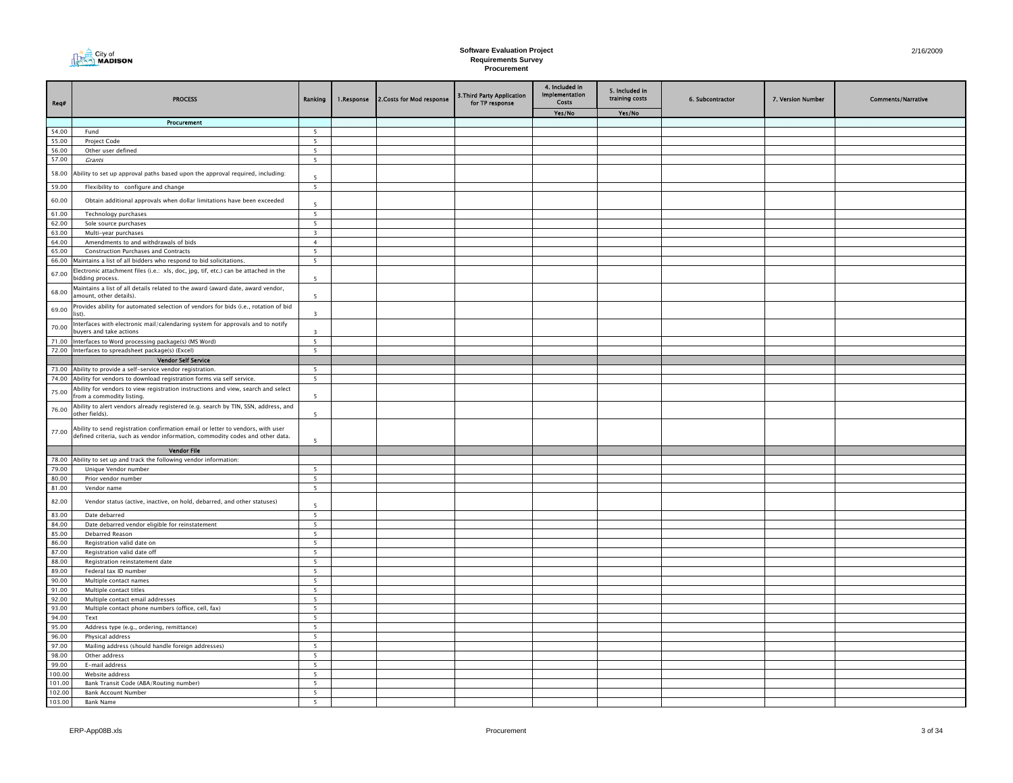| City of<br>$\sim$ MADISON |
|---------------------------|
|---------------------------|

| Req#           | <b>PROCESS</b>                                                                                                                                                   | Ranking                          | 1.Response | 2. Costs for Mod response | 3. Third Party Application<br>for TP response | 4. Included in<br>Implementation<br>Costs | 5. Included in<br>training costs | 6. Subcontractor | 7. Version Number | <b>Comments/Narrative</b> |
|----------------|------------------------------------------------------------------------------------------------------------------------------------------------------------------|----------------------------------|------------|---------------------------|-----------------------------------------------|-------------------------------------------|----------------------------------|------------------|-------------------|---------------------------|
|                |                                                                                                                                                                  |                                  |            |                           |                                               | Yes/No                                    | Yes/No                           |                  |                   |                           |
|                | Procurement                                                                                                                                                      |                                  |            |                           |                                               |                                           |                                  |                  |                   |                           |
| 54.00          | Fund                                                                                                                                                             | 5                                |            |                           |                                               |                                           |                                  |                  |                   |                           |
| 55.00          | Project Code                                                                                                                                                     | $\overline{\mathbf{5}}$          |            |                           |                                               |                                           |                                  |                  |                   |                           |
| 56.00          | Other user defined                                                                                                                                               | 5                                |            |                           |                                               |                                           |                                  |                  |                   |                           |
| 57.00          | Grants                                                                                                                                                           | 5 <sup>5</sup>                   |            |                           |                                               |                                           |                                  |                  |                   |                           |
| 58.00          | Ability to set up approval paths based upon the approval required, including:                                                                                    | 5                                |            |                           |                                               |                                           |                                  |                  |                   |                           |
| 59.00          | Flexibility to configure and change                                                                                                                              | $5\overline{5}$                  |            |                           |                                               |                                           |                                  |                  |                   |                           |
| 60.00          | Obtain additional approvals when dollar limitations have been exceeded                                                                                           |                                  |            |                           |                                               |                                           |                                  |                  |                   |                           |
|                |                                                                                                                                                                  | 5                                |            |                           |                                               |                                           |                                  |                  |                   |                           |
| 61.00          | Technology purchases                                                                                                                                             | $5\overline{5}$                  |            |                           |                                               |                                           |                                  |                  |                   |                           |
| 62.00          | Sole source purchases                                                                                                                                            | 5 <sub>1</sub>                   |            |                           |                                               |                                           |                                  |                  |                   |                           |
| 63.00          | Multi-year purchases                                                                                                                                             | $\overline{\mathbf{3}}$          |            |                           |                                               |                                           |                                  |                  |                   |                           |
| 64.00<br>65.00 | Amendments to and withdrawals of bids<br>Construction Purchases and Contracts                                                                                    | $\overline{4}$<br>5 <sub>1</sub> |            |                           |                                               |                                           |                                  |                  |                   |                           |
| 66.00          | Maintains a list of all bidders who respond to bid solicitations.                                                                                                | 5                                |            |                           |                                               |                                           |                                  |                  |                   |                           |
|                | Electronic attachment files (i.e.: xls, doc, jpg, tif, etc.) can be attached in the                                                                              |                                  |            |                           |                                               |                                           |                                  |                  |                   |                           |
| 67.00          | bidding process.                                                                                                                                                 | $\overline{\phantom{0}}$         |            |                           |                                               |                                           |                                  |                  |                   |                           |
| 68.00          | Maintains a list of all details related to the award (award date, award vendor,<br>amount, other details).                                                       | 5                                |            |                           |                                               |                                           |                                  |                  |                   |                           |
| 69.00          | Provides ability for automated selection of vendors for bids (i.e., rotation of bid<br>list).                                                                    | $\overline{\mathbf{3}}$          |            |                           |                                               |                                           |                                  |                  |                   |                           |
| 70.00          | Interfaces with electronic mail/calendaring system for approvals and to notify<br>buyers and take actions                                                        | $\overline{3}$                   |            |                           |                                               |                                           |                                  |                  |                   |                           |
| 71.00          | Interfaces to Word processing package(s) (MS Word)                                                                                                               | 5                                |            |                           |                                               |                                           |                                  |                  |                   |                           |
| 72.00          | Interfaces to spreadsheet package(s) (Excel)                                                                                                                     | $\overline{\phantom{a}}$         |            |                           |                                               |                                           |                                  |                  |                   |                           |
|                | <b>Vendor Self Service</b>                                                                                                                                       |                                  |            |                           |                                               |                                           |                                  |                  |                   |                           |
|                | 73.00 Ability to provide a self-service vendor registration.                                                                                                     | 5                                |            |                           |                                               |                                           |                                  |                  |                   |                           |
|                | 74.00 Ability for vendors to download registration forms via self service.                                                                                       | 5 <sup>5</sup>                   |            |                           |                                               |                                           |                                  |                  |                   |                           |
| 75.00          | Ability for vendors to view registration instructions and view, search and select<br>from a commodity listing.                                                   | 5 <sup>5</sup>                   |            |                           |                                               |                                           |                                  |                  |                   |                           |
| 76.00          | Ability to alert vendors already registered (e.g. search by TIN, SSN, address, and<br>other fields).                                                             | 5                                |            |                           |                                               |                                           |                                  |                  |                   |                           |
| 77.00          | Ability to send registration confirmation email or letter to vendors, with user<br>defined criteria, such as vendor information, commodity codes and other data. | $\overline{\phantom{0}}$         |            |                           |                                               |                                           |                                  |                  |                   |                           |
|                | <b>Vendor File</b>                                                                                                                                               |                                  |            |                           |                                               |                                           |                                  |                  |                   |                           |
| 78.00          | Ability to set up and track the following vendor information:                                                                                                    |                                  |            |                           |                                               |                                           |                                  |                  |                   |                           |
| 79.00          | Unique Vendor number                                                                                                                                             | $5\overline{5}$                  |            |                           |                                               |                                           |                                  |                  |                   |                           |
| 80.00          | Prior vendor number                                                                                                                                              | $5^{\circ}$                      |            |                           |                                               |                                           |                                  |                  |                   |                           |
| 81.00          | Vendor name                                                                                                                                                      | 5                                |            |                           |                                               |                                           |                                  |                  |                   |                           |
| 82.00          | Vendor status (active, inactive, on hold, debarred, and other statuses)                                                                                          | $\overline{\phantom{a}}$         |            |                           |                                               |                                           |                                  |                  |                   |                           |
| 83.00          | Date debarred                                                                                                                                                    | $\overline{\phantom{0}}$         |            |                           |                                               |                                           |                                  |                  |                   |                           |
| 84.00          | Date debarred vendor eligible for reinstatement                                                                                                                  | 5                                |            |                           |                                               |                                           |                                  |                  |                   |                           |
| 85.00          | Debarred Reason                                                                                                                                                  | 5                                |            |                           |                                               |                                           |                                  |                  |                   |                           |
| 86.00          | Registration valid date on                                                                                                                                       | 5                                |            |                           |                                               |                                           |                                  |                  |                   |                           |
| 87.00          | Registration valid date off                                                                                                                                      | $\overline{\phantom{0}}$         |            |                           |                                               |                                           |                                  |                  |                   |                           |
| 88.00          | Registration reinstatement date                                                                                                                                  | 5                                |            |                           |                                               |                                           |                                  |                  |                   |                           |
| 89.00          | Federal tax ID number                                                                                                                                            | 5 <sup>5</sup>                   |            |                           |                                               |                                           |                                  |                  |                   |                           |
| 90.00          | Multiple contact names                                                                                                                                           | 5<br>$\overline{\phantom{0}}$    |            |                           |                                               |                                           |                                  |                  |                   |                           |
| 91.00          | Multiple contact titles                                                                                                                                          |                                  |            |                           |                                               |                                           |                                  |                  |                   |                           |
| 92.00<br>93.00 | Multiple contact email addresses<br>Multiple contact phone numbers (office, cell, fax)                                                                           | $5\overline{ }$<br>5             |            |                           |                                               |                                           |                                  |                  |                   |                           |
| 94.00          | Text                                                                                                                                                             | 5                                |            |                           |                                               |                                           |                                  |                  |                   |                           |
| 95.00          | Address type (e.g., ordering, remittance)                                                                                                                        | 5                                |            |                           |                                               |                                           |                                  |                  |                   |                           |
| 96.00          | Physical address                                                                                                                                                 | $\overline{\mathbf{5}}$          |            |                           |                                               |                                           |                                  |                  |                   |                           |
| 97.00          | Mailing address (should handle foreign addresses)                                                                                                                | 5 <sub>5</sub>                   |            |                           |                                               |                                           |                                  |                  |                   |                           |
| 98.00          | Other address                                                                                                                                                    | 5                                |            |                           |                                               |                                           |                                  |                  |                   |                           |
| 99.00          | E-mail address                                                                                                                                                   | 5 <sup>5</sup>                   |            |                           |                                               |                                           |                                  |                  |                   |                           |
| 100.00         | Website address                                                                                                                                                  | 5                                |            |                           |                                               |                                           |                                  |                  |                   |                           |
| 101.00         | Bank Transit Code (ABA/Routing number)                                                                                                                           | 5                                |            |                           |                                               |                                           |                                  |                  |                   |                           |
| 102.00         | <b>Bank Account Number</b>                                                                                                                                       | 5                                |            |                           |                                               |                                           |                                  |                  |                   |                           |
| 103.00         | <b>Bank Name</b>                                                                                                                                                 | $5\overline{5}$                  |            |                           |                                               |                                           |                                  |                  |                   |                           |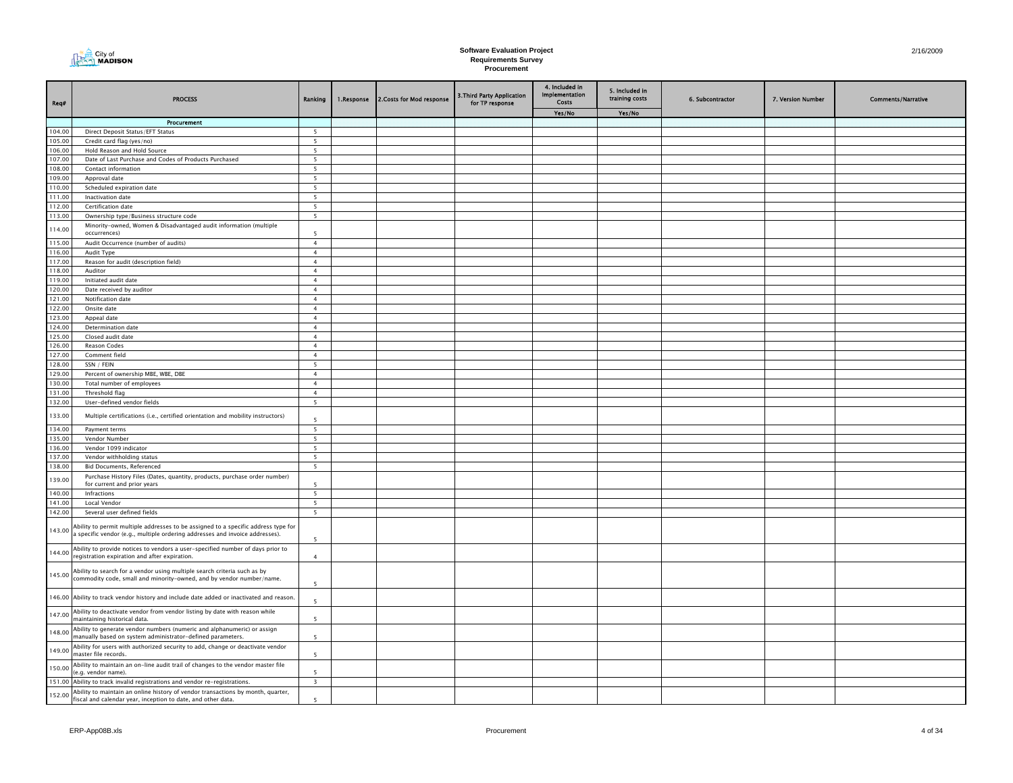

| Req#             | <b>PROCESS</b>                                                                                                                                   | Ranking                          | 1.Response | 2. Costs for Mod response | 3. Third Party Application<br>for TP response | 4. Included in<br>Implementation<br>Costs | 5. Included in<br>training costs | 6. Subcontractor | 7. Version Number | <b>Comments/Narrative</b> |
|------------------|--------------------------------------------------------------------------------------------------------------------------------------------------|----------------------------------|------------|---------------------------|-----------------------------------------------|-------------------------------------------|----------------------------------|------------------|-------------------|---------------------------|
|                  |                                                                                                                                                  |                                  |            |                           |                                               | Yes/No                                    | Yes/No                           |                  |                   |                           |
|                  | Procurement                                                                                                                                      |                                  |            |                           |                                               |                                           |                                  |                  |                   |                           |
| 104.00           | Direct Deposit Status/EFT Status                                                                                                                 | 5                                |            |                           |                                               |                                           |                                  |                  |                   |                           |
| 105.00           | Credit card flag (yes/no)                                                                                                                        | $\overline{\mathbf{5}}$          |            |                           |                                               |                                           |                                  |                  |                   |                           |
| 106.00           | Hold Reason and Hold Source                                                                                                                      | 5                                |            |                           |                                               |                                           |                                  |                  |                   |                           |
| 107.00           | Date of Last Purchase and Codes of Products Purchased                                                                                            | $\overline{\phantom{0}}$         |            |                           |                                               |                                           |                                  |                  |                   |                           |
| 108.00           | Contact information                                                                                                                              | $5\overline{5}$                  |            |                           |                                               |                                           |                                  |                  |                   |                           |
| 109.00           | Approval date                                                                                                                                    | $5\overline{ }$                  |            |                           |                                               |                                           |                                  |                  |                   |                           |
| 110.00           | Scheduled expiration date                                                                                                                        | $5\overline{5}$                  |            |                           |                                               |                                           |                                  |                  |                   |                           |
| 111.00<br>112.00 | Inactivation date<br>Certification date                                                                                                          | 5<br>5                           |            |                           |                                               |                                           |                                  |                  |                   |                           |
| 113.00           | Ownership type/Business structure code                                                                                                           | 5                                |            |                           |                                               |                                           |                                  |                  |                   |                           |
|                  | Minority-owned, Women & Disadvantaged audit information (multiple                                                                                |                                  |            |                           |                                               |                                           |                                  |                  |                   |                           |
| 114.00           | occurrences)                                                                                                                                     | 5                                |            |                           |                                               |                                           |                                  |                  |                   |                           |
| 115.00           | Audit Occurrence (number of audits)                                                                                                              | $\overline{4}$                   |            |                           |                                               |                                           |                                  |                  |                   |                           |
| 116.00           | Audit Type                                                                                                                                       | $\overline{4}$                   |            |                           |                                               |                                           |                                  |                  |                   |                           |
| 117.00           | Reason for audit (description field)                                                                                                             | $\overline{4}$                   |            |                           |                                               |                                           |                                  |                  |                   |                           |
| 118.00           | Auditor                                                                                                                                          | $\overline{4}$                   |            |                           |                                               |                                           |                                  |                  |                   |                           |
| 119.00           | Initiated audit date                                                                                                                             | $\overline{4}$                   |            |                           |                                               |                                           |                                  |                  |                   |                           |
| 120.00           | Date received by auditor                                                                                                                         | $\overline{4}$                   |            |                           |                                               |                                           |                                  |                  |                   |                           |
| 121.00           | Notification date                                                                                                                                | $\overline{4}$                   |            |                           |                                               |                                           |                                  |                  |                   |                           |
| 122.00           | Onsite date                                                                                                                                      | $\overline{4}$                   |            |                           |                                               |                                           |                                  |                  |                   |                           |
| 123.00           | Appeal date                                                                                                                                      | $\overline{4}$                   |            |                           |                                               |                                           |                                  |                  |                   |                           |
| 124.00           | Determination date                                                                                                                               | $\overline{4}$                   |            |                           |                                               |                                           |                                  |                  |                   |                           |
| 125.00           | Closed audit date                                                                                                                                | $\overline{4}$                   |            |                           |                                               |                                           |                                  |                  |                   |                           |
| 126.00           | Reason Codes                                                                                                                                     | $\overline{4}$                   |            |                           |                                               |                                           |                                  |                  |                   |                           |
| 127.00<br>128.00 | Comment field                                                                                                                                    | $\overline{4}$                   |            |                           |                                               |                                           |                                  |                  |                   |                           |
| 129.00           | SSN / FEIN<br>Percent of ownership MBE, WBE, DBE                                                                                                 | 5 <sup>5</sup><br>$\overline{4}$ |            |                           |                                               |                                           |                                  |                  |                   |                           |
| 130.00           | Total number of employees                                                                                                                        | $\overline{4}$                   |            |                           |                                               |                                           |                                  |                  |                   |                           |
| 131.00           | Threshold flag                                                                                                                                   | $\overline{4}$                   |            |                           |                                               |                                           |                                  |                  |                   |                           |
| 132.00           | User-defined vendor fields                                                                                                                       | $5\overline{5}$                  |            |                           |                                               |                                           |                                  |                  |                   |                           |
|                  |                                                                                                                                                  |                                  |            |                           |                                               |                                           |                                  |                  |                   |                           |
| 133.00           | Multiple certifications (i.e., certified orientation and mobility instructors)                                                                   | 5                                |            |                           |                                               |                                           |                                  |                  |                   |                           |
| 134.00           | Payment terms                                                                                                                                    | $\overline{\phantom{0}}$         |            |                           |                                               |                                           |                                  |                  |                   |                           |
| 135.00           | Vendor Number                                                                                                                                    | $\overline{5}$                   |            |                           |                                               |                                           |                                  |                  |                   |                           |
| 136.00           | Vendor 1099 indicator                                                                                                                            | 5                                |            |                           |                                               |                                           |                                  |                  |                   |                           |
| 137.00           | Vendor withholding status                                                                                                                        | 5 <sup>5</sup>                   |            |                           |                                               |                                           |                                  |                  |                   |                           |
| 138.00           | <b>Bid Documents, Referenced</b>                                                                                                                 | $\overline{\phantom{0}}$         |            |                           |                                               |                                           |                                  |                  |                   |                           |
| 139.00           | Purchase History Files (Dates, quantity, products, purchase order number)                                                                        |                                  |            |                           |                                               |                                           |                                  |                  |                   |                           |
|                  | for current and prior years                                                                                                                      | 5                                |            |                           |                                               |                                           |                                  |                  |                   |                           |
| 140.00           | Infractions                                                                                                                                      | 5                                |            |                           |                                               |                                           |                                  |                  |                   |                           |
| 141.00           | Local Vendor                                                                                                                                     | 5 <sup>5</sup>                   |            |                           |                                               |                                           |                                  |                  |                   |                           |
| 142.00           | Several user defined fields                                                                                                                      | $5\overline{5}$                  |            |                           |                                               |                                           |                                  |                  |                   |                           |
| 143.00           | Ability to permit multiple addresses to be assigned to a specific address type for                                                               |                                  |            |                           |                                               |                                           |                                  |                  |                   |                           |
|                  | a specific vendor (e.g., multiple ordering addresses and invoice addresses).                                                                     | 5                                |            |                           |                                               |                                           |                                  |                  |                   |                           |
|                  | Ability to provide notices to vendors a user-specified number of days prior to                                                                   |                                  |            |                           |                                               |                                           |                                  |                  |                   |                           |
| 144.00           | registration expiration and after expiration.                                                                                                    | $\overline{4}$                   |            |                           |                                               |                                           |                                  |                  |                   |                           |
|                  |                                                                                                                                                  |                                  |            |                           |                                               |                                           |                                  |                  |                   |                           |
| 145.00           | Ability to search for a vendor using multiple search criteria such as by<br>commodity code, small and minority-owned, and by vendor number/name. |                                  |            |                           |                                               |                                           |                                  |                  |                   |                           |
|                  |                                                                                                                                                  | 5                                |            |                           |                                               |                                           |                                  |                  |                   |                           |
|                  | 146.00 Ability to track vendor history and include date added or inactivated and reason.                                                         |                                  |            |                           |                                               |                                           |                                  |                  |                   |                           |
|                  |                                                                                                                                                  | 5                                |            |                           |                                               |                                           |                                  |                  |                   |                           |
| 147.00           | Ability to deactivate vendor from vendor listing by date with reason while<br>maintaining historical data.                                       | 5                                |            |                           |                                               |                                           |                                  |                  |                   |                           |
| 148.00           | Ability to generate vendor numbers (numeric and alphanumeric) or assign<br>manually based on system administrator-defined parameters.            | $\overline{\phantom{a}}$         |            |                           |                                               |                                           |                                  |                  |                   |                           |
| 149.00           | Ability for users with authorized security to add, change or deactivate vendor<br>naster file records.                                           | $\overline{\phantom{a}}$         |            |                           |                                               |                                           |                                  |                  |                   |                           |
| 150.00           | Ability to maintain an on-line audit trail of changes to the vendor master file                                                                  |                                  |            |                           |                                               |                                           |                                  |                  |                   |                           |
|                  | e.g. vendor name).                                                                                                                               | $\overline{\phantom{a}}$         |            |                           |                                               |                                           |                                  |                  |                   |                           |
|                  | 151.00 Ability to track invalid registrations and vendor re-registrations.                                                                       | $\overline{\mathbf{3}}$          |            |                           |                                               |                                           |                                  |                  |                   |                           |
| 152.00           | Ability to maintain an online history of vendor transactions by month, quarter,<br>fiscal and calendar year, inception to date, and other data.  | $\overline{\phantom{a}}$         |            |                           |                                               |                                           |                                  |                  |                   |                           |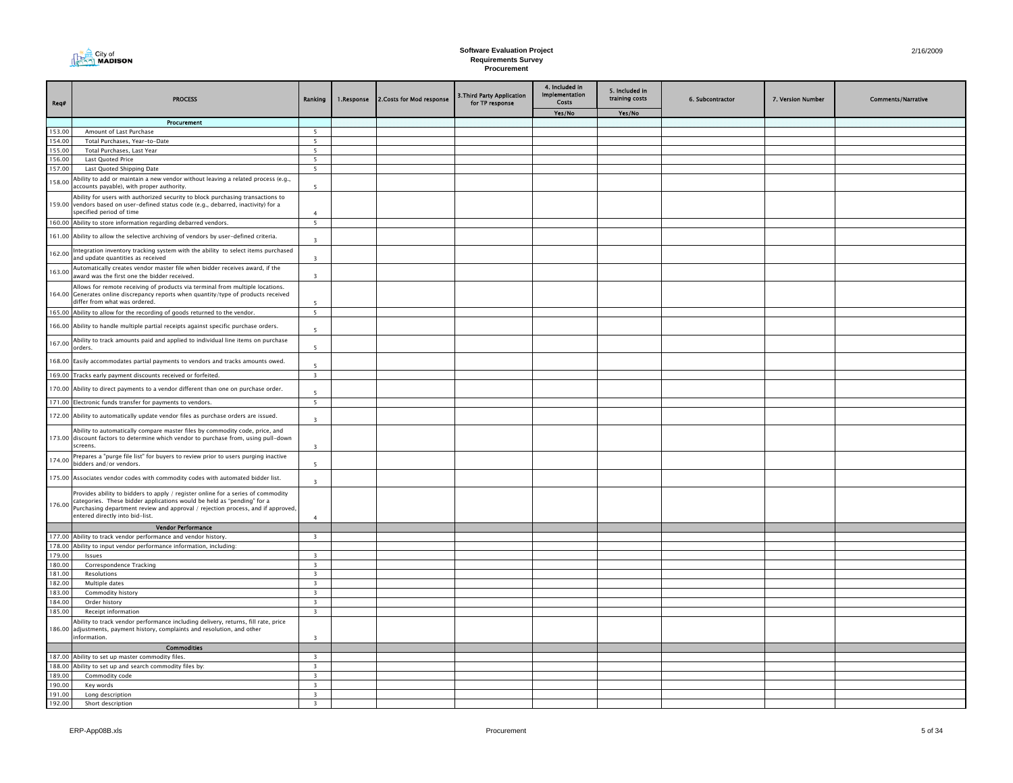

| Req#   | <b>PROCESS</b>                                                                                                                                                                                                                                                                   | Ranking                  | 1.Response | 2. Costs for Mod response | <b>3. Third Party Application</b><br>for TP response | 4. Included in<br>Implementation<br>Costs | 5. Included in<br>training costs | 6. Subcontractor | 7. Version Number | <b>Comments/Narrative</b> |
|--------|----------------------------------------------------------------------------------------------------------------------------------------------------------------------------------------------------------------------------------------------------------------------------------|--------------------------|------------|---------------------------|------------------------------------------------------|-------------------------------------------|----------------------------------|------------------|-------------------|---------------------------|
|        |                                                                                                                                                                                                                                                                                  |                          |            |                           |                                                      | Yes/No                                    | Yes/No                           |                  |                   |                           |
|        | Procurement                                                                                                                                                                                                                                                                      |                          |            |                           |                                                      |                                           |                                  |                  |                   |                           |
| 153.00 | Amount of Last Purchase                                                                                                                                                                                                                                                          | $\overline{\phantom{0}}$ |            |                           |                                                      |                                           |                                  |                  |                   |                           |
| 154.00 | Total Purchases, Year-to-Date                                                                                                                                                                                                                                                    | 5                        |            |                           |                                                      |                                           |                                  |                  |                   |                           |
| 155.00 | Total Purchases, Last Year                                                                                                                                                                                                                                                       | 5                        |            |                           |                                                      |                                           |                                  |                  |                   |                           |
| 156.00 | Last Quoted Price                                                                                                                                                                                                                                                                | 5<br>5                   |            |                           |                                                      |                                           |                                  |                  |                   |                           |
| 157.00 | Last Quoted Shipping Date                                                                                                                                                                                                                                                        |                          |            |                           |                                                      |                                           |                                  |                  |                   |                           |
| 158.00 | Ability to add or maintain a new vendor without leaving a related process (e.g.,<br>ccounts payable), with proper authority.                                                                                                                                                     | 5                        |            |                           |                                                      |                                           |                                  |                  |                   |                           |
| 159.00 | Ability for users with authorized security to block purchasing transactions to<br>vendors based on user-defined status code (e.g., debarred, inactivity) for a<br>pecified period of time                                                                                        | $\overline{a}$           |            |                           |                                                      |                                           |                                  |                  |                   |                           |
|        | 160.00 Ability to store information regarding debarred vendors.                                                                                                                                                                                                                  | 5                        |            |                           |                                                      |                                           |                                  |                  |                   |                           |
|        | 161.00 Ability to allow the selective archiving of vendors by user-defined criteria.                                                                                                                                                                                             | $\overline{\mathbf{z}}$  |            |                           |                                                      |                                           |                                  |                  |                   |                           |
| 162.00 | Integration inventory tracking system with the ability to select items purchased<br>and update quantities as received                                                                                                                                                            | $\overline{\mathbf{3}}$  |            |                           |                                                      |                                           |                                  |                  |                   |                           |
| 163.00 | Automatically creates vendor master file when bidder receives award, if the<br>award was the first one the bidder received.                                                                                                                                                      | $\overline{\mathbf{3}}$  |            |                           |                                                      |                                           |                                  |                  |                   |                           |
|        | Allows for remote receiving of products via terminal from multiple locations.<br>164.00 Generates online discrepancy reports when quantity/type of products received<br>differ from what was ordered.                                                                            | $\overline{5}$           |            |                           |                                                      |                                           |                                  |                  |                   |                           |
| 165.00 | Ability to allow for the recording of goods returned to the vendor.                                                                                                                                                                                                              | $\overline{\phantom{0}}$ |            |                           |                                                      |                                           |                                  |                  |                   |                           |
| 166.00 | Ability to handle multiple partial receipts against specific purchase orders.                                                                                                                                                                                                    | 5                        |            |                           |                                                      |                                           |                                  |                  |                   |                           |
| 167.00 | Ability to track amounts paid and applied to individual line items on purchase<br>orders.                                                                                                                                                                                        | $\overline{\phantom{a}}$ |            |                           |                                                      |                                           |                                  |                  |                   |                           |
| 168.00 | Easily accommodates partial payments to vendors and tracks amounts owed.                                                                                                                                                                                                         | $\overline{5}$           |            |                           |                                                      |                                           |                                  |                  |                   |                           |
| 169.00 | Tracks early payment discounts received or forfeited.                                                                                                                                                                                                                            | $\overline{\mathbf{3}}$  |            |                           |                                                      |                                           |                                  |                  |                   |                           |
| 170.00 | Ability to direct payments to a vendor different than one on purchase order.                                                                                                                                                                                                     | 5                        |            |                           |                                                      |                                           |                                  |                  |                   |                           |
|        | 171.00 Electronic funds transfer for payments to vendors.                                                                                                                                                                                                                        | $5\overline{ }$          |            |                           |                                                      |                                           |                                  |                  |                   |                           |
|        | 172.00 Ability to automatically update vendor files as purchase orders are issued.                                                                                                                                                                                               | $\overline{\mathbf{3}}$  |            |                           |                                                      |                                           |                                  |                  |                   |                           |
| 173.00 | Ability to automatically compare master files by commodity code, price, and<br>discount factors to determine which vendor to purchase from, using pull-down<br>screens.                                                                                                          | $\overline{\mathbf{3}}$  |            |                           |                                                      |                                           |                                  |                  |                   |                           |
| 174.00 | Prepares a "purge file list" for buyers to review prior to users purging inactive<br>bidders and/or vendors.                                                                                                                                                                     | $\overline{5}$           |            |                           |                                                      |                                           |                                  |                  |                   |                           |
|        | 175.00 Associates vendor codes with commodity codes with automated bidder list.                                                                                                                                                                                                  | $\overline{\mathbf{3}}$  |            |                           |                                                      |                                           |                                  |                  |                   |                           |
| 176.00 | Provides ability to bidders to apply / register online for a series of commodity<br>categories. These bidder applications would be held as "pending" for a<br>Purchasing department review and approval / rejection process, and if approved,<br>entered directly into bid-list. | $\overline{a}$           |            |                           |                                                      |                                           |                                  |                  |                   |                           |
|        | <b>Vendor Performance</b>                                                                                                                                                                                                                                                        |                          |            |                           |                                                      |                                           |                                  |                  |                   |                           |
| 177.00 | Ability to track vendor performance and vendor history.                                                                                                                                                                                                                          | $\overline{\mathbf{3}}$  |            |                           |                                                      |                                           |                                  |                  |                   |                           |
| 178.00 | Ability to input vendor performance information, including:                                                                                                                                                                                                                      |                          |            |                           |                                                      |                                           |                                  |                  |                   |                           |
| 179.00 | Issues                                                                                                                                                                                                                                                                           | $\overline{3}$           |            |                           |                                                      |                                           |                                  |                  |                   |                           |
| 180.00 | Correspondence Tracking                                                                                                                                                                                                                                                          | $\overline{\mathbf{3}}$  |            |                           |                                                      |                                           |                                  |                  |                   |                           |
| 181.00 | Resolutions                                                                                                                                                                                                                                                                      | $\overline{\mathbf{3}}$  |            |                           |                                                      |                                           |                                  |                  |                   |                           |
| 182.00 | Multiple dates                                                                                                                                                                                                                                                                   | $\overline{\mathbf{3}}$  |            |                           |                                                      |                                           |                                  |                  |                   |                           |
| 183.00 | Commodity history                                                                                                                                                                                                                                                                | $\overline{\mathbf{3}}$  |            |                           |                                                      |                                           |                                  |                  |                   |                           |
| 184.00 | Order history                                                                                                                                                                                                                                                                    | $\overline{\mathbf{3}}$  |            |                           |                                                      |                                           |                                  |                  |                   |                           |
| 185.00 | Receipt information                                                                                                                                                                                                                                                              | $\overline{\mathbf{3}}$  |            |                           |                                                      |                                           |                                  |                  |                   |                           |
| 186.00 | Ability to track vendor performance including delivery, returns, fill rate, price<br>adjustments, payment history, complaints and resolution, and other<br>information.                                                                                                          | $\overline{\mathbf{3}}$  |            |                           |                                                      |                                           |                                  |                  |                   |                           |
|        | <b>Commodities</b>                                                                                                                                                                                                                                                               |                          |            |                           |                                                      |                                           |                                  |                  |                   |                           |
|        | 187.00 Ability to set up master commodity files.                                                                                                                                                                                                                                 | $\overline{\mathbf{3}}$  |            |                           |                                                      |                                           |                                  |                  |                   |                           |
|        | 188.00 Ability to set up and search commodity files by:                                                                                                                                                                                                                          | $\overline{\mathbf{3}}$  |            |                           |                                                      |                                           |                                  |                  |                   |                           |
| 189.00 | Commodity code                                                                                                                                                                                                                                                                   | $\overline{\mathbf{3}}$  |            |                           |                                                      |                                           |                                  |                  |                   |                           |
| 190.00 | Key words                                                                                                                                                                                                                                                                        | $\overline{\mathbf{3}}$  |            |                           |                                                      |                                           |                                  |                  |                   |                           |
| 191.00 | Long description                                                                                                                                                                                                                                                                 | $\overline{\mathbf{3}}$  |            |                           |                                                      |                                           |                                  |                  |                   |                           |
| 192.00 | Short description                                                                                                                                                                                                                                                                | 3                        |            |                           |                                                      |                                           |                                  |                  |                   |                           |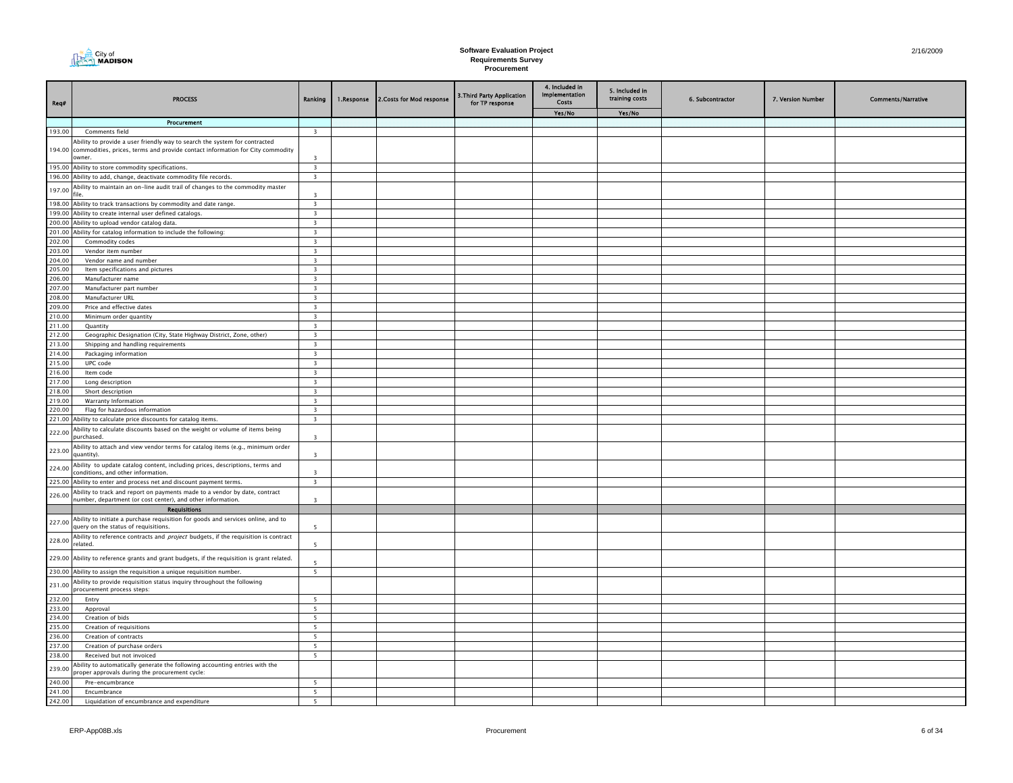| City of<br><b>MADISON</b> |
|---------------------------|
|---------------------------|

| Req#             | <b>PROCESS</b>                                                                                                                            | Ranking                                            | 1.Response | 2. Costs for Mod response | 3. Third Party Application<br>for TP response | 4. Included in<br>Implementation<br>Costs | 5. Included in<br>training costs | 6. Subcontractor | 7. Version Number | <b>Comments/Narrative</b> |
|------------------|-------------------------------------------------------------------------------------------------------------------------------------------|----------------------------------------------------|------------|---------------------------|-----------------------------------------------|-------------------------------------------|----------------------------------|------------------|-------------------|---------------------------|
|                  |                                                                                                                                           |                                                    |            |                           |                                               | Yes/No                                    | Yes/No                           |                  |                   |                           |
|                  | Procurement<br>Comments field                                                                                                             | $\overline{\mathbf{3}}$                            |            |                           |                                               |                                           |                                  |                  |                   |                           |
| 193.00           | Ability to provide a user friendly way to search the system for contracted                                                                |                                                    |            |                           |                                               |                                           |                                  |                  |                   |                           |
|                  | 194.00 commodities, prices, terms and provide contact information for City commodity<br>owner.                                            | $\overline{\mathbf{3}}$                            |            |                           |                                               |                                           |                                  |                  |                   |                           |
|                  | 195.00 Ability to store commodity specifications.                                                                                         | $\overline{\mathbf{3}}$                            |            |                           |                                               |                                           |                                  |                  |                   |                           |
|                  | 196.00 Ability to add, change, deactivate commodity file records.                                                                         | $\overline{\mathbf{3}}$                            |            |                           |                                               |                                           |                                  |                  |                   |                           |
| 197.00           | Ability to maintain an on-line audit trail of changes to the commodity master                                                             | $\overline{3}$                                     |            |                           |                                               |                                           |                                  |                  |                   |                           |
| 198.00           | Ability to track transactions by commodity and date range.                                                                                | $\overline{\mathbf{3}}$                            |            |                           |                                               |                                           |                                  |                  |                   |                           |
| 200.00           | 199.00 Ability to create internal user defined catalogs.<br>Ability to upload vendor catalog data.                                        | $\overline{3}$<br>$\overline{\mathbf{3}}$          |            |                           |                                               |                                           |                                  |                  |                   |                           |
| 201.00           | Ability for catalog information to include the following:                                                                                 | $\overline{\mathbf{3}}$                            |            |                           |                                               |                                           |                                  |                  |                   |                           |
| 202.00           | Commodity codes                                                                                                                           | $\overline{\mathbf{3}}$                            |            |                           |                                               |                                           |                                  |                  |                   |                           |
| 203.00           | Vendor item number                                                                                                                        | $\overline{\mathbf{3}}$                            |            |                           |                                               |                                           |                                  |                  |                   |                           |
| 204.00           | Vendor name and number                                                                                                                    | $\overline{\mathbf{3}}$                            |            |                           |                                               |                                           |                                  |                  |                   |                           |
| 205.00           | Item specifications and pictures                                                                                                          | $\overline{\mathbf{3}}$                            |            |                           |                                               |                                           |                                  |                  |                   |                           |
| 206.00           | Manufacturer name                                                                                                                         | $\overline{\mathbf{3}}$                            |            |                           |                                               |                                           |                                  |                  |                   |                           |
| 207.00           | Manufacturer part number                                                                                                                  | $\overline{\mathbf{3}}$                            |            |                           |                                               |                                           |                                  |                  |                   |                           |
| 208.00<br>209.00 | Manufacturer URL<br>Price and effective dates                                                                                             | $\overline{\mathbf{3}}$<br>$\overline{\mathbf{3}}$ |            |                           |                                               |                                           |                                  |                  |                   |                           |
| 210.00           | Minimum order quantity                                                                                                                    | $\overline{\mathbf{3}}$                            |            |                           |                                               |                                           |                                  |                  |                   |                           |
| 211.00           | Quantity                                                                                                                                  | $\overline{\mathbf{3}}$                            |            |                           |                                               |                                           |                                  |                  |                   |                           |
| 212.00           | Geographic Designation (City, State Highway District, Zone, other)                                                                        | $\overline{\mathbf{3}}$                            |            |                           |                                               |                                           |                                  |                  |                   |                           |
| 213.00           | Shipping and handling requirements                                                                                                        | $\overline{\mathbf{3}}$                            |            |                           |                                               |                                           |                                  |                  |                   |                           |
| 214.00           | Packaging information                                                                                                                     | $\overline{\mathbf{3}}$                            |            |                           |                                               |                                           |                                  |                  |                   |                           |
| 215.00           | UPC code                                                                                                                                  | $\overline{\mathbf{3}}$                            |            |                           |                                               |                                           |                                  |                  |                   |                           |
| 216.00           | Item code                                                                                                                                 | $\overline{3}$                                     |            |                           |                                               |                                           |                                  |                  |                   |                           |
| 217.00           | Long description                                                                                                                          | $\overline{\mathbf{3}}$<br>$\overline{\mathbf{3}}$ |            |                           |                                               |                                           |                                  |                  |                   |                           |
| 218.00<br>219.00 | Short description<br>Warranty Information                                                                                                 | $\overline{\mathbf{3}}$                            |            |                           |                                               |                                           |                                  |                  |                   |                           |
| 220.00           | Flag for hazardous information                                                                                                            | $\overline{\mathbf{3}}$                            |            |                           |                                               |                                           |                                  |                  |                   |                           |
| 221.00           | Ability to calculate price discounts for catalog items.                                                                                   | $\overline{\mathbf{3}}$                            |            |                           |                                               |                                           |                                  |                  |                   |                           |
| 222.00           | Ability to calculate discounts based on the weight or volume of items being<br>purchased.                                                 | $\overline{\mathbf{3}}$                            |            |                           |                                               |                                           |                                  |                  |                   |                           |
| 223.00           | Ability to attach and view vendor terms for catalog items (e.g., minimum order<br>quantity).                                              | $\overline{\mathbf{3}}$                            |            |                           |                                               |                                           |                                  |                  |                   |                           |
| 224.00           | Ability to update catalog content, including prices, descriptions, terms and<br>onditions, and other information.                         | $\overline{\mathbf{3}}$                            |            |                           |                                               |                                           |                                  |                  |                   |                           |
| 225.00           | Ability to enter and process net and discount payment terms.                                                                              | $\overline{\mathbf{3}}$                            |            |                           |                                               |                                           |                                  |                  |                   |                           |
| 226.00           | Ability to track and report on payments made to a vendor by date, contract<br>number, department (or cost center), and other information. | $\overline{\mathbf{3}}$                            |            |                           |                                               |                                           |                                  |                  |                   |                           |
|                  | <b>Requisitions</b>                                                                                                                       |                                                    |            |                           |                                               |                                           |                                  |                  |                   |                           |
| 227.00           | Ability to initiate a purchase requisition for goods and services online, and to<br>query on the status of requisitions.                  | 5                                                  |            |                           |                                               |                                           |                                  |                  |                   |                           |
| 228.00           | Ability to reference contracts and <i>project</i> budgets, if the requisition is contract<br>related.                                     | -5                                                 |            |                           |                                               |                                           |                                  |                  |                   |                           |
|                  | 229.00 Ability to reference grants and grant budgets, if the requisition is grant related.                                                | $\overline{5}$                                     |            |                           |                                               |                                           |                                  |                  |                   |                           |
|                  | 230.00 Ability to assign the requisition a unique requisition number.                                                                     | $5\overline{5}$                                    |            |                           |                                               |                                           |                                  |                  |                   |                           |
| 231.00           | Ability to provide requisition status inquiry throughout the following<br>procurement process steps:                                      | 5                                                  |            |                           |                                               |                                           |                                  |                  |                   |                           |
| 232.00<br>233.00 | Entry<br>Approval                                                                                                                         | 5                                                  |            |                           |                                               |                                           |                                  |                  |                   |                           |
| 234.00           | Creation of bids                                                                                                                          | 5                                                  |            |                           |                                               |                                           |                                  |                  |                   |                           |
| 235.00           | Creation of requisitions                                                                                                                  | 5                                                  |            |                           |                                               |                                           |                                  |                  |                   |                           |
| 236.00           | Creation of contracts                                                                                                                     | 5 <sup>5</sup>                                     |            |                           |                                               |                                           |                                  |                  |                   |                           |
| 237.00           | Creation of purchase orders                                                                                                               | 5                                                  |            |                           |                                               |                                           |                                  |                  |                   |                           |
| 238.00           | Received but not invoiced                                                                                                                 | 5                                                  |            |                           |                                               |                                           |                                  |                  |                   |                           |
| 239.00           | Ability to automatically generate the following accounting entries with the<br>roper approvals during the procurement cycle:              |                                                    |            |                           |                                               |                                           |                                  |                  |                   |                           |
| 240.00<br>241.00 | Pre-encumbrance<br>Encumbrance                                                                                                            | 5<br>5                                             |            |                           |                                               |                                           |                                  |                  |                   |                           |
| 242.00           | Liquidation of encumbrance and expenditure                                                                                                | 5                                                  |            |                           |                                               |                                           |                                  |                  |                   |                           |
|                  |                                                                                                                                           |                                                    |            |                           |                                               |                                           |                                  |                  |                   |                           |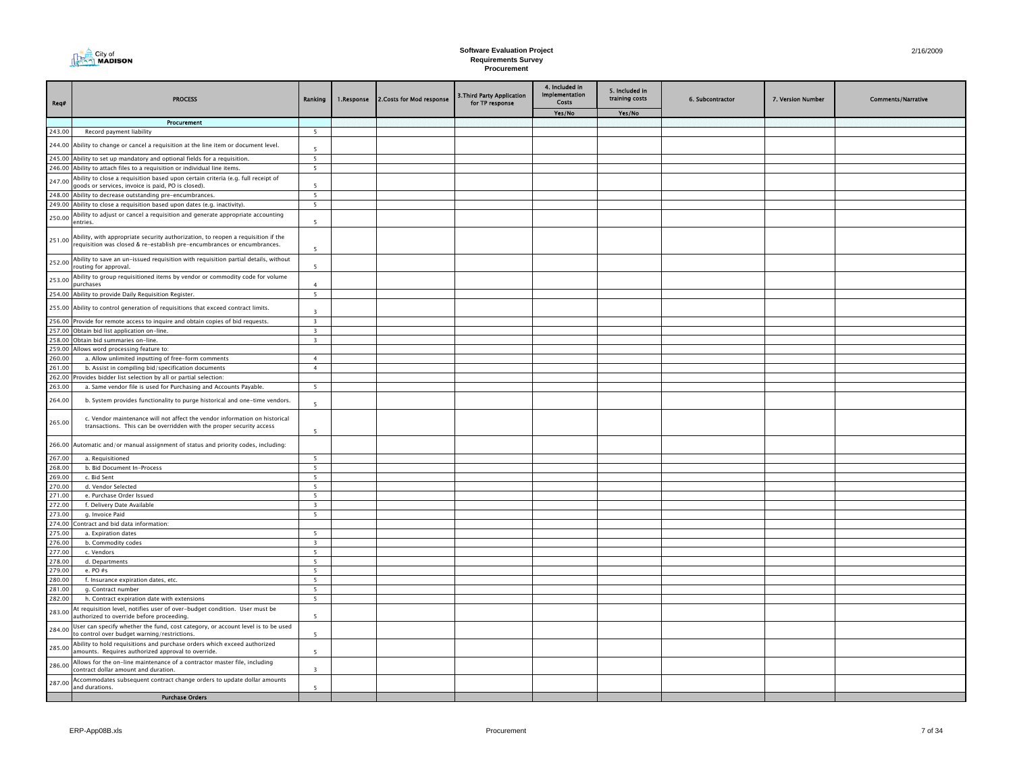

| Req#             | <b>PROCESS</b>                                                                                                                                             | Ranking                  | 1.Response | 2. Costs for Mod response | 3. Third Party Application<br>for TP response | 4. Included in<br>Implementation<br>Costs | 5. Included in<br>training costs | 6. Subcontractor | 7. Version Number | <b>Comments/Narrative</b> |
|------------------|------------------------------------------------------------------------------------------------------------------------------------------------------------|--------------------------|------------|---------------------------|-----------------------------------------------|-------------------------------------------|----------------------------------|------------------|-------------------|---------------------------|
|                  |                                                                                                                                                            |                          |            |                           |                                               | Yes/No                                    | Yes/No                           |                  |                   |                           |
|                  | Procurement                                                                                                                                                |                          |            |                           |                                               |                                           |                                  |                  |                   |                           |
| 243.00           | Record payment liability                                                                                                                                   | 5                        |            |                           |                                               |                                           |                                  |                  |                   |                           |
|                  | 244.00 Ability to change or cancel a requisition at the line item or document level.                                                                       | 5                        |            |                           |                                               |                                           |                                  |                  |                   |                           |
|                  | 245.00 Ability to set up mandatory and optional fields for a requisition.                                                                                  | $5\overline{)}$          |            |                           |                                               |                                           |                                  |                  |                   |                           |
|                  | 246.00 Ability to attach files to a requisition or individual line items.                                                                                  | 5                        |            |                           |                                               |                                           |                                  |                  |                   |                           |
| 247.00           | Ability to close a requisition based upon certain criteria (e.g. full receipt of<br>goods or services, invoice is paid, PO is closed).                     | 5                        |            |                           |                                               |                                           |                                  |                  |                   |                           |
|                  | 248.00 Ability to decrease outstanding pre-encumbrances.                                                                                                   | 5                        |            |                           |                                               |                                           |                                  |                  |                   |                           |
|                  | 249.00 Ability to close a requisition based upon dates (e.g. inactivity).                                                                                  | 5                        |            |                           |                                               |                                           |                                  |                  |                   |                           |
| 250.00           | Ability to adjust or cancel a requisition and generate appropriate accounting<br>entries.                                                                  | $\overline{\phantom{a}}$ |            |                           |                                               |                                           |                                  |                  |                   |                           |
| 251.00           | Ability, with appropriate security authorization, to reopen a requisition if the<br>equisition was closed & re-establish pre-encumbrances or encumbrances. | 5                        |            |                           |                                               |                                           |                                  |                  |                   |                           |
| 252.00           | Ability to save an un-issued requisition with requisition partial details, without<br>routing for approval.                                                | -5                       |            |                           |                                               |                                           |                                  |                  |                   |                           |
| 253.00           | Ability to group requisitioned items by vendor or commodity code for volume<br>purchases                                                                   | $\mathbf{A}$             |            |                           |                                               |                                           |                                  |                  |                   |                           |
|                  | 254.00 Ability to provide Daily Requisition Register.                                                                                                      | $\overline{\phantom{a}}$ |            |                           |                                               |                                           |                                  |                  |                   |                           |
|                  | 255.00 Ability to control generation of requisitions that exceed contract limits.                                                                          | $\overline{\mathbf{3}}$  |            |                           |                                               |                                           |                                  |                  |                   |                           |
|                  | 256.00 Provide for remote access to inquire and obtain copies of bid requests.                                                                             | $\overline{\mathbf{3}}$  |            |                           |                                               |                                           |                                  |                  |                   |                           |
| 257.00           | Obtain bid list application on-line.                                                                                                                       | $\overline{\mathbf{3}}$  |            |                           |                                               |                                           |                                  |                  |                   |                           |
| 258.00           | Obtain bid summaries on-line.                                                                                                                              | $\overline{\mathbf{3}}$  |            |                           |                                               |                                           |                                  |                  |                   |                           |
| 259.00           | Allows word processing feature to:                                                                                                                         |                          |            |                           |                                               |                                           |                                  |                  |                   |                           |
| 260.00           | a. Allow unlimited inputting of free-form comments                                                                                                         | $\overline{4}$           |            |                           |                                               |                                           |                                  |                  |                   |                           |
| 261.00           | b. Assist in compiling bid/specification documents                                                                                                         | $\overline{4}$           |            |                           |                                               |                                           |                                  |                  |                   |                           |
| 262.00           | Provides bidder list selection by all or partial selection:                                                                                                |                          |            |                           |                                               |                                           |                                  |                  |                   |                           |
| 263.00           | a. Same vendor file is used for Purchasing and Accounts Payable.                                                                                           | 5                        |            |                           |                                               |                                           |                                  |                  |                   |                           |
| 264.00           | b. System provides functionality to purge historical and one-time vendors.                                                                                 | 5                        |            |                           |                                               |                                           |                                  |                  |                   |                           |
| 265.00           | c. Vendor maintenance will not affect the vendor information on historical<br>transactions. This can be overridden with the proper security access         | -5                       |            |                           |                                               |                                           |                                  |                  |                   |                           |
| 266.00           | Automatic and/or manual assignment of status and priority codes, including:                                                                                |                          |            |                           |                                               |                                           |                                  |                  |                   |                           |
| 267.00           | a. Requisitioned                                                                                                                                           | $5\overline{5}$          |            |                           |                                               |                                           |                                  |                  |                   |                           |
| 268.00           | b. Bid Document In-Process                                                                                                                                 | 5                        |            |                           |                                               |                                           |                                  |                  |                   |                           |
| 269.00           | c. Bid Sent                                                                                                                                                | 5                        |            |                           |                                               |                                           |                                  |                  |                   |                           |
| 270.00           | d. Vendor Selected                                                                                                                                         | 5                        |            |                           |                                               |                                           |                                  |                  |                   |                           |
| 271.00           | e. Purchase Order Issued                                                                                                                                   | 5                        |            |                           |                                               |                                           |                                  |                  |                   |                           |
| 272.00           | f. Delivery Date Available                                                                                                                                 | $\overline{\mathbf{3}}$  |            |                           |                                               |                                           |                                  |                  |                   |                           |
| 273.00           | g. Invoice Paid                                                                                                                                            | 5                        |            |                           |                                               |                                           |                                  |                  |                   |                           |
| 274.00<br>275.00 | Contract and bid data information:                                                                                                                         | 5                        |            |                           |                                               |                                           |                                  |                  |                   |                           |
| 276.00           | a. Expiration dates<br>b. Commodity codes                                                                                                                  | $\overline{\mathbf{3}}$  |            |                           |                                               |                                           |                                  |                  |                   |                           |
| 277.00           | c. Vendors                                                                                                                                                 | 5                        |            |                           |                                               |                                           |                                  |                  |                   |                           |
| 278.00           | d. Departments                                                                                                                                             | 5                        |            |                           |                                               |                                           |                                  |                  |                   |                           |
| 279.00           | e. PO #s                                                                                                                                                   | 5                        |            |                           |                                               |                                           |                                  |                  |                   |                           |
| 280.00           | f. Insurance expiration dates, etc.                                                                                                                        | 5                        |            |                           |                                               |                                           |                                  |                  |                   |                           |
| 281.00           | q. Contract number                                                                                                                                         | 5                        |            |                           |                                               |                                           |                                  |                  |                   |                           |
| 282.00           | h. Contract expiration date with extensions                                                                                                                | - 5                      |            |                           |                                               |                                           |                                  |                  |                   |                           |
| 283.00           | At requisition level, notifies user of over-budget condition. User must be<br>authorized to override before proceeding.                                    | 5                        |            |                           |                                               |                                           |                                  |                  |                   |                           |
| 284.00           | User can specify whether the fund, cost category, or account level is to be used<br>to control over budget warning/restrictions.                           | 5                        |            |                           |                                               |                                           |                                  |                  |                   |                           |
| 285.00           | Ability to hold requisitions and purchase orders which exceed authorized<br>amounts. Requires authorized approval to override.                             | $\overline{\phantom{a}}$ |            |                           |                                               |                                           |                                  |                  |                   |                           |
| 286.00           | Allows for the on-line maintenance of a contractor master file, including                                                                                  |                          |            |                           |                                               |                                           |                                  |                  |                   |                           |
| 287.00           | contract dollar amount and duration.<br>Accommodates subsequent contract change orders to update dollar amounts                                            | $\overline{3}$           |            |                           |                                               |                                           |                                  |                  |                   |                           |
|                  | and durations.<br><b>Purchase Orders</b>                                                                                                                   | $\overline{\phantom{a}}$ |            |                           |                                               |                                           |                                  |                  |                   |                           |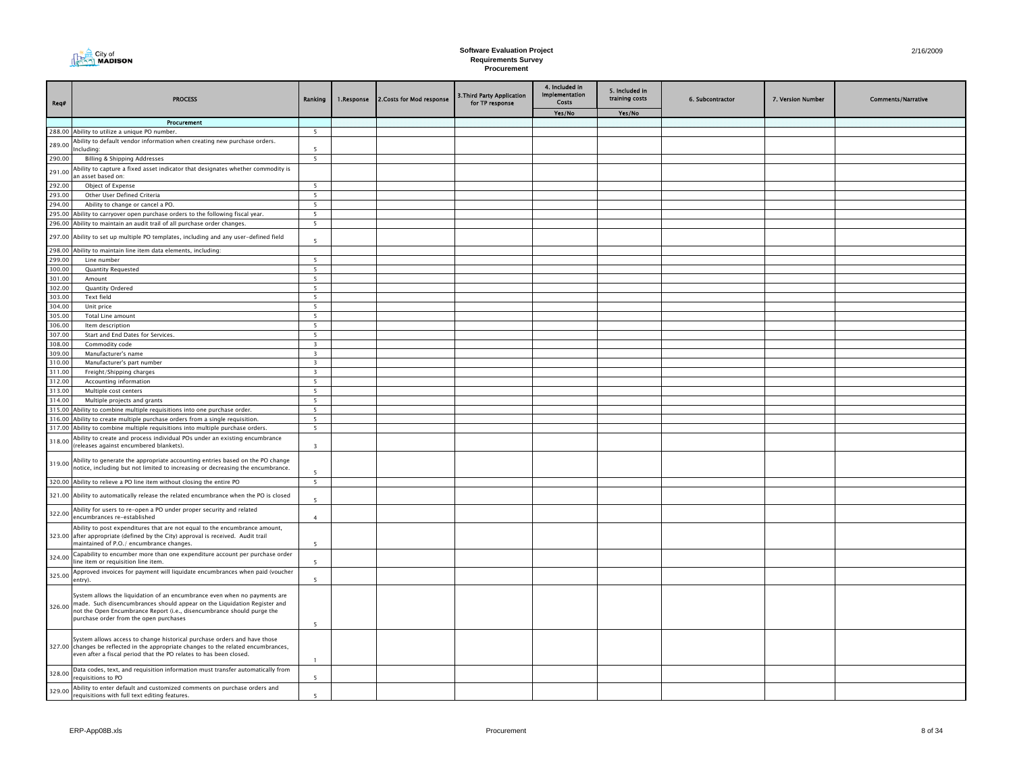

| Req#             | <b>PROCESS</b>                                                                                                                                                                                                                                                            | Ranking                  | 1.Response | 2. Costs for Mod response | 3. Third Party Application<br>for TP response | 4. Included in<br>Implementation<br><b>Costs</b> | 5. Included in<br>training costs | 6. Subcontractor | 7. Version Number | <b>Comments/Narrative</b> |
|------------------|---------------------------------------------------------------------------------------------------------------------------------------------------------------------------------------------------------------------------------------------------------------------------|--------------------------|------------|---------------------------|-----------------------------------------------|--------------------------------------------------|----------------------------------|------------------|-------------------|---------------------------|
|                  |                                                                                                                                                                                                                                                                           |                          |            |                           |                                               | Yes/No                                           | Yes/No                           |                  |                   |                           |
|                  | Procurement                                                                                                                                                                                                                                                               |                          |            |                           |                                               |                                                  |                                  |                  |                   |                           |
|                  | 288.00 Ability to utilize a unique PO number.                                                                                                                                                                                                                             | 5                        |            |                           |                                               |                                                  |                                  |                  |                   |                           |
| 289.00<br>290.00 | Ability to default vendor information when creating new purchase orders.<br>Including:<br>Billing & Shipping Addresses                                                                                                                                                    | $5^{\circ}$<br>5         |            |                           |                                               |                                                  |                                  |                  |                   |                           |
|                  | Ability to capture a fixed asset indicator that designates whether commodity is                                                                                                                                                                                           |                          |            |                           |                                               |                                                  |                                  |                  |                   |                           |
| 291.00           | an asset based on:                                                                                                                                                                                                                                                        |                          |            |                           |                                               |                                                  |                                  |                  |                   |                           |
| 292.00           | Object of Expense                                                                                                                                                                                                                                                         | 5                        |            |                           |                                               |                                                  |                                  |                  |                   |                           |
| 293.00<br>294.00 | Other User Defined Criteria<br>Ability to change or cancel a PO.                                                                                                                                                                                                          | 5<br>5                   |            |                           |                                               |                                                  |                                  |                  |                   |                           |
|                  | 295.00 Ability to carryover open purchase orders to the following fiscal year.                                                                                                                                                                                            | 5                        |            |                           |                                               |                                                  |                                  |                  |                   |                           |
|                  | 296.00 Ability to maintain an audit trail of all purchase order changes.                                                                                                                                                                                                  | 5                        |            |                           |                                               |                                                  |                                  |                  |                   |                           |
|                  |                                                                                                                                                                                                                                                                           |                          |            |                           |                                               |                                                  |                                  |                  |                   |                           |
|                  | 297.00 Ability to set up multiple PO templates, including and any user-defined field<br>298.00 Ability to maintain line item data elements, including:                                                                                                                    | 5                        |            |                           |                                               |                                                  |                                  |                  |                   |                           |
| 299.00           | Line number                                                                                                                                                                                                                                                               | 5                        |            |                           |                                               |                                                  |                                  |                  |                   |                           |
| 300.00           | Quantity Requested                                                                                                                                                                                                                                                        | -5                       |            |                           |                                               |                                                  |                                  |                  |                   |                           |
| 301.00           | Amount                                                                                                                                                                                                                                                                    | 5                        |            |                           |                                               |                                                  |                                  |                  |                   |                           |
| 302.00           | Quantity Ordered                                                                                                                                                                                                                                                          | 5                        |            |                           |                                               |                                                  |                                  |                  |                   |                           |
| 303.00           | Text field                                                                                                                                                                                                                                                                | 5                        |            |                           |                                               |                                                  |                                  |                  |                   |                           |
| 304.00           | Unit price                                                                                                                                                                                                                                                                | 5                        |            |                           |                                               |                                                  |                                  |                  |                   |                           |
| 305.00           | Total Line amount                                                                                                                                                                                                                                                         | 5                        |            |                           |                                               |                                                  |                                  |                  |                   |                           |
| 306.00           | Item description                                                                                                                                                                                                                                                          | 5                        |            |                           |                                               |                                                  |                                  |                  |                   |                           |
| 307.00           | Start and End Dates for Services.                                                                                                                                                                                                                                         | 5                        |            |                           |                                               |                                                  |                                  |                  |                   |                           |
| 308.00           | Commodity code                                                                                                                                                                                                                                                            | $\overline{\mathbf{3}}$  |            |                           |                                               |                                                  |                                  |                  |                   |                           |
| 309.00           | Manufacturer's name                                                                                                                                                                                                                                                       | $\overline{\mathbf{3}}$  |            |                           |                                               |                                                  |                                  |                  |                   |                           |
| 310.00           | Manufacturer's part number                                                                                                                                                                                                                                                | $\overline{\mathbf{3}}$  |            |                           |                                               |                                                  |                                  |                  |                   |                           |
| 311.00           | Freight/Shipping charges                                                                                                                                                                                                                                                  | $\overline{\mathbf{3}}$  |            |                           |                                               |                                                  |                                  |                  |                   |                           |
| 312.00           | Accounting information                                                                                                                                                                                                                                                    | 5                        |            |                           |                                               |                                                  |                                  |                  |                   |                           |
| 313.00           | Multiple cost centers                                                                                                                                                                                                                                                     | 5 <sup>5</sup>           |            |                           |                                               |                                                  |                                  |                  |                   |                           |
| 314.00           | Multiple projects and grants                                                                                                                                                                                                                                              | 5                        |            |                           |                                               |                                                  |                                  |                  |                   |                           |
|                  | 315.00 Ability to combine multiple requisitions into one purchase order.                                                                                                                                                                                                  | 5                        |            |                           |                                               |                                                  |                                  |                  |                   |                           |
| 316.00           | Ability to create multiple purchase orders from a single requisition.                                                                                                                                                                                                     | 5<br>5                   |            |                           |                                               |                                                  |                                  |                  |                   |                           |
|                  | 317.00 Ability to combine multiple requisitions into multiple purchase orders.<br>Ability to create and process individual POs under an existing encumbrance                                                                                                              |                          |            |                           |                                               |                                                  |                                  |                  |                   |                           |
| 318.00           | (releases against encumbered blankets).                                                                                                                                                                                                                                   | $\overline{\mathbf{3}}$  |            |                           |                                               |                                                  |                                  |                  |                   |                           |
| 319.00           | Ability to generate the appropriate accounting entries based on the PO change<br>notice, including but not limited to increasing or decreasing the encumbrance.                                                                                                           | $\overline{\phantom{a}}$ |            |                           |                                               |                                                  |                                  |                  |                   |                           |
|                  | 320.00 Ability to relieve a PO line item without closing the entire PO                                                                                                                                                                                                    | $\overline{5}$           |            |                           |                                               |                                                  |                                  |                  |                   |                           |
|                  | 321.00 Ability to automatically release the related encumbrance when the PO is closed                                                                                                                                                                                     |                          |            |                           |                                               |                                                  |                                  |                  |                   |                           |
|                  | Ability for users to re-open a PO under proper security and related                                                                                                                                                                                                       | 5                        |            |                           |                                               |                                                  |                                  |                  |                   |                           |
| 322.00           | encumbrances re-established                                                                                                                                                                                                                                               | $\Lambda$                |            |                           |                                               |                                                  |                                  |                  |                   |                           |
|                  | Ability to post expenditures that are not equal to the encumbrance amount,<br>323.00 after appropriate (defined by the City) approval is received. Audit trail<br>maintained of P.O./ encumbrance changes.                                                                | $\overline{\phantom{a}}$ |            |                           |                                               |                                                  |                                  |                  |                   |                           |
| 324.00           | Capability to encumber more than one expenditure account per purchase order<br>line item or requisition line item.                                                                                                                                                        | -5                       |            |                           |                                               |                                                  |                                  |                  |                   |                           |
| 325.00           | Approved invoices for payment will liquidate encumbrances when paid (voucher<br>entry).                                                                                                                                                                                   | 5                        |            |                           |                                               |                                                  |                                  |                  |                   |                           |
| 326.00           | System allows the liquidation of an encumbrance even when no payments are<br>made. Such disencumbrances should appear on the Liquidation Register and<br>not the Open Encumbrance Report (i.e., disencumbrance should purge the<br>purchase order from the open purchases | $5^{\circ}$              |            |                           |                                               |                                                  |                                  |                  |                   |                           |
|                  | System allows access to change historical purchase orders and have those<br>327.00 changes be reflected in the appropriate changes to the related encumbrances,<br>even after a fiscal period that the PO relates to has been closed.                                     |                          |            |                           |                                               |                                                  |                                  |                  |                   |                           |
| 328.00           | Data codes, text, and requisition information must transfer automatically from<br>requisitions to PO                                                                                                                                                                      | 5                        |            |                           |                                               |                                                  |                                  |                  |                   |                           |
| 329.00           | Ability to enter default and customized comments on purchase orders and<br>requisitions with full text editing features.                                                                                                                                                  | $5^{\circ}$              |            |                           |                                               |                                                  |                                  |                  |                   |                           |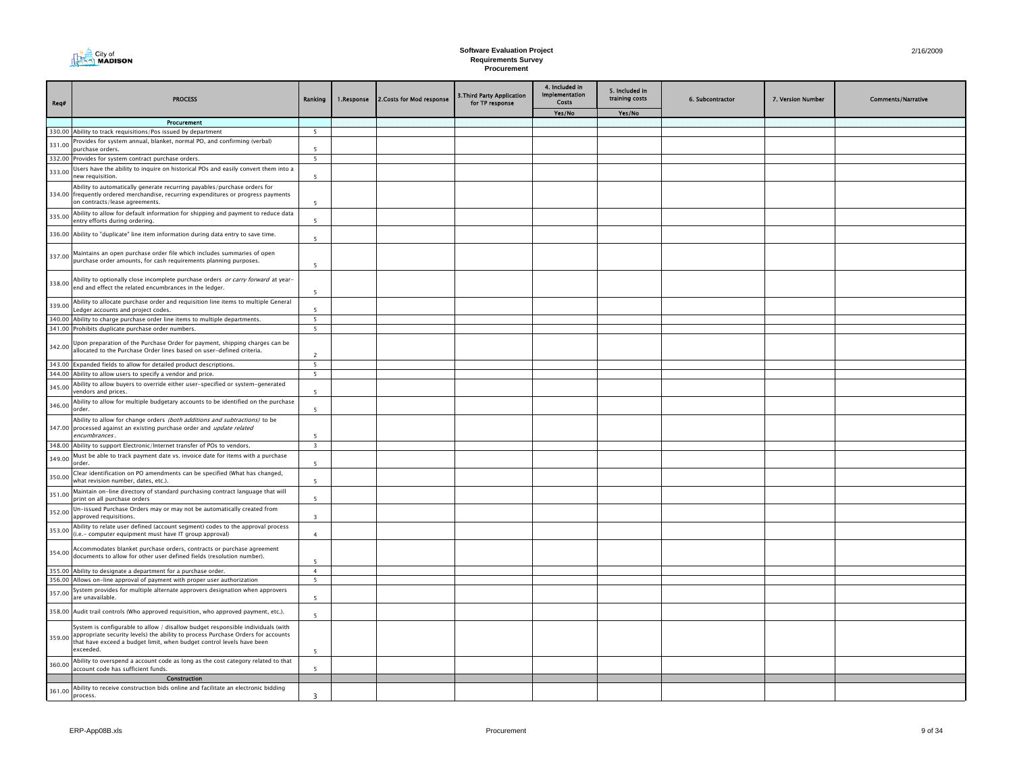

| Req#   | <b>PROCESS</b>                                                                                                                                                                                                                                            | Ranking                  | 1.Response | 2. Costs for Mod response | <b>3. Third Party Application</b><br>for TP response | 4. Included in<br>Implementation<br>Costs | 5. Included in<br>training costs | 6. Subcontractor | 7. Version Number | <b>Comments/Narrative</b> |
|--------|-----------------------------------------------------------------------------------------------------------------------------------------------------------------------------------------------------------------------------------------------------------|--------------------------|------------|---------------------------|------------------------------------------------------|-------------------------------------------|----------------------------------|------------------|-------------------|---------------------------|
|        |                                                                                                                                                                                                                                                           |                          |            |                           |                                                      | Yes/No                                    | Yes/No                           |                  |                   |                           |
|        | Procurement<br>330.00 Ability to track requisitions/Pos issued by department                                                                                                                                                                              | 5                        |            |                           |                                                      |                                           |                                  |                  |                   |                           |
|        | Provides for system annual, blanket, normal PO, and confirming (verbal)                                                                                                                                                                                   |                          |            |                           |                                                      |                                           |                                  |                  |                   |                           |
| 331.00 | ourchase orders.                                                                                                                                                                                                                                          | 5                        |            |                           |                                                      |                                           |                                  |                  |                   |                           |
|        | 332.00 Provides for system contract purchase orders.                                                                                                                                                                                                      | 5                        |            |                           |                                                      |                                           |                                  |                  |                   |                           |
| 333.00 | Jsers have the ability to inquire on historical POs and easily convert them into a<br>new requisition.                                                                                                                                                    | $\overline{\phantom{a}}$ |            |                           |                                                      |                                           |                                  |                  |                   |                           |
|        | Ability to automatically generate recurring payables/purchase orders for<br>334.00 frequently ordered merchandise, recurring expenditures or progress payments<br>on contracts/lease agreements.                                                          | $\overline{\phantom{a}}$ |            |                           |                                                      |                                           |                                  |                  |                   |                           |
| 335.00 | Ability to allow for default information for shipping and payment to reduce data<br>entry efforts during ordering.                                                                                                                                        | 5                        |            |                           |                                                      |                                           |                                  |                  |                   |                           |
|        | 336.00 Ability to "duplicate" line item information during data entry to save time.                                                                                                                                                                       | $\overline{\phantom{a}}$ |            |                           |                                                      |                                           |                                  |                  |                   |                           |
| 337.00 | Maintains an open purchase order file which includes summaries of open<br>purchase order amounts, for cash requirements planning purposes.                                                                                                                | $\overline{\phantom{a}}$ |            |                           |                                                      |                                           |                                  |                  |                   |                           |
| 338.00 | Ability to optionally close incomplete purchase orders or carry forward at year-<br>end and effect the related encumbrances in the ledger.                                                                                                                | $\overline{\phantom{a}}$ |            |                           |                                                      |                                           |                                  |                  |                   |                           |
| 339.00 | Ability to allocate purchase order and requisition line items to multiple General<br>edger accounts and project codes.                                                                                                                                    | 5                        |            |                           |                                                      |                                           |                                  |                  |                   |                           |
|        | 340.00 Ability to charge purchase order line items to multiple departments.                                                                                                                                                                               | $\overline{\phantom{a}}$ |            |                           |                                                      |                                           |                                  |                  |                   |                           |
|        | 341.00 Prohibits duplicate purchase order numbers.                                                                                                                                                                                                        | 5                        |            |                           |                                                      |                                           |                                  |                  |                   |                           |
| 342.00 | Jpon preparation of the Purchase Order for payment, shipping charges can be<br>allocated to the Purchase Order lines based on user-defined criteria.                                                                                                      | $\overline{2}$           |            |                           |                                                      |                                           |                                  |                  |                   |                           |
|        | 343.00 Expanded fields to allow for detailed product descriptions.                                                                                                                                                                                        | 5                        |            |                           |                                                      |                                           |                                  |                  |                   |                           |
|        | 344.00 Ability to allow users to specify a vendor and price.                                                                                                                                                                                              | $5\overline{ }$          |            |                           |                                                      |                                           |                                  |                  |                   |                           |
| 345.00 | Ability to allow buyers to override either user-specified or system-generated<br>vendors and prices.                                                                                                                                                      | -5                       |            |                           |                                                      |                                           |                                  |                  |                   |                           |
| 346.00 | Ability to allow for multiple budgetary accounts to be identified on the purchase<br>order.                                                                                                                                                               | $\overline{5}$           |            |                           |                                                      |                                           |                                  |                  |                   |                           |
|        | Ability to allow for change orders (both additions and subtractions) to be<br>347.00 processed against an existing purchase order and update related<br>encumbrances.                                                                                     |                          |            |                           |                                                      |                                           |                                  |                  |                   |                           |
|        | 348.00 Ability to support Electronic/Internet transfer of POs to vendors.                                                                                                                                                                                 | $\overline{\mathbf{3}}$  |            |                           |                                                      |                                           |                                  |                  |                   |                           |
| 349.00 | Must be able to track payment date vs. invoice date for items with a purchase<br>order.                                                                                                                                                                   | $\overline{\phantom{a}}$ |            |                           |                                                      |                                           |                                  |                  |                   |                           |
| 350.00 | Clear identification on PO amendments can be specified (What has changed,<br>what revision number, dates, etc.).                                                                                                                                          | 5                        |            |                           |                                                      |                                           |                                  |                  |                   |                           |
| 351.00 | Maintain on-line directory of standard purchasing contract language that will<br>print on all purchase orders                                                                                                                                             | $\overline{\phantom{a}}$ |            |                           |                                                      |                                           |                                  |                  |                   |                           |
| 352.00 | Un-issued Purchase Orders may or may not be automatically created from<br>approved requisitions.                                                                                                                                                          | $\overline{3}$           |            |                           |                                                      |                                           |                                  |                  |                   |                           |
| 353.00 | Ability to relate user defined (account segment) codes to the approval process<br>(i.e.- computer equipment must have IT group approval)                                                                                                                  | $\mathbf{A}$             |            |                           |                                                      |                                           |                                  |                  |                   |                           |
| 354.00 | Accommodates blanket purchase orders, contracts or purchase agreement<br>documents to allow for other user defined fields (resolution number).                                                                                                            | $\overline{\phantom{a}}$ |            |                           |                                                      |                                           |                                  |                  |                   |                           |
| 355.00 | Ability to designate a department for a purchase order.                                                                                                                                                                                                   | $\overline{4}$           |            |                           |                                                      |                                           |                                  |                  |                   |                           |
|        | 356.00 Allows on-line approval of payment with proper user authorization                                                                                                                                                                                  | 5                        |            |                           |                                                      |                                           |                                  |                  |                   |                           |
| 357.00 | System provides for multiple alternate approvers designation when approvers<br>are unavailable.                                                                                                                                                           | 5                        |            |                           |                                                      |                                           |                                  |                  |                   |                           |
|        | 358.00 Audit trail controls (Who approved requisition, who approved payment, etc.).                                                                                                                                                                       | $\overline{\phantom{a}}$ |            |                           |                                                      |                                           |                                  |                  |                   |                           |
| 359.00 | System is configurable to allow / disallow budget responsible individuals (with<br>appropriate security levels) the ability to process Purchase Orders for accounts<br>that have exceed a budget limit, when budget control levels have been<br>exceeded. | 5                        |            |                           |                                                      |                                           |                                  |                  |                   |                           |
| 360.00 | Ability to overspend a account code as long as the cost category related to that<br>account code has sufficient funds.                                                                                                                                    | $\overline{\phantom{a}}$ |            |                           |                                                      |                                           |                                  |                  |                   |                           |
|        | Construction                                                                                                                                                                                                                                              |                          |            |                           |                                                      |                                           |                                  |                  |                   |                           |
| 361.00 | Ability to receive construction bids online and facilitate an electronic bidding<br>process.                                                                                                                                                              | 3                        |            |                           |                                                      |                                           |                                  |                  |                   |                           |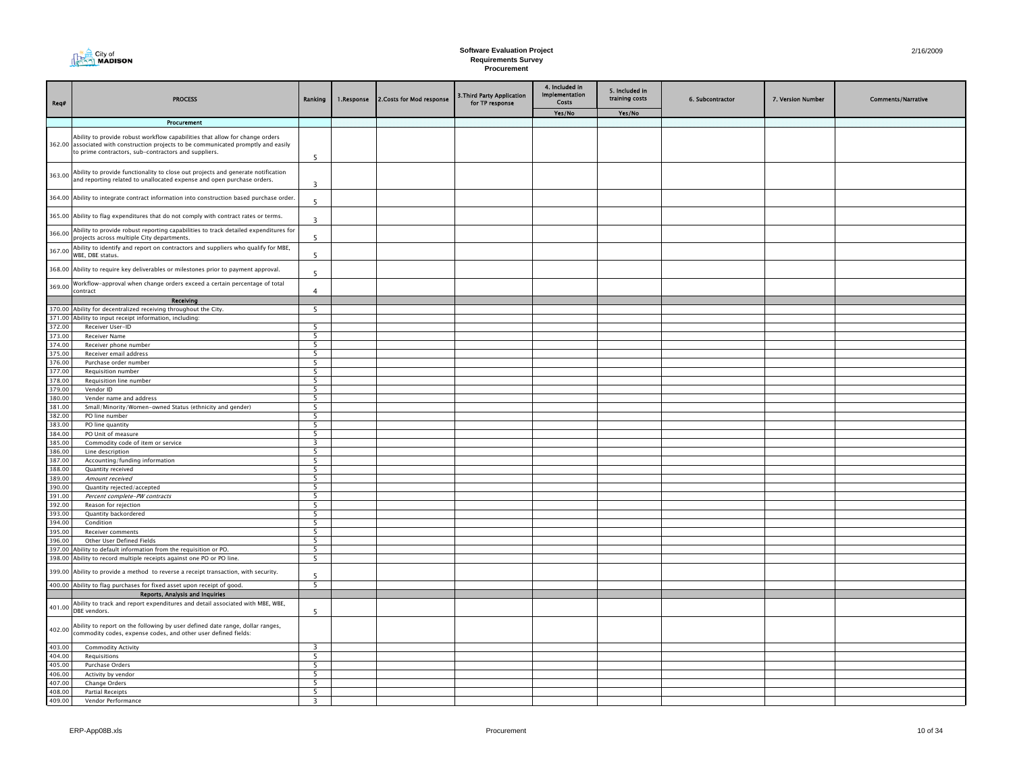| City of<br><b>MADISON</b> |
|---------------------------|
|---------------------------|

| Req#             | <b>PROCESS</b>                                                                                                                                                                                                              | Ranking                                              | 1.Response | 2. Costs for Mod response | 3. Third Party Application<br>for TP response | 4. Included in<br>Implementation<br>Costs | 5. Included in<br>training costs | 6. Subcontractor | 7. Version Number | <b>Comments/Narrative</b> |
|------------------|-----------------------------------------------------------------------------------------------------------------------------------------------------------------------------------------------------------------------------|------------------------------------------------------|------------|---------------------------|-----------------------------------------------|-------------------------------------------|----------------------------------|------------------|-------------------|---------------------------|
|                  |                                                                                                                                                                                                                             |                                                      |            |                           |                                               | Yes/No                                    | Yes/No                           |                  |                   |                           |
|                  | Procurement                                                                                                                                                                                                                 |                                                      |            |                           |                                               |                                           |                                  |                  |                   |                           |
|                  | Ability to provide robust workflow capabilities that allow for change orders<br>362.00 associated with construction projects to be communicated promptly and easily<br>to prime contractors, sub-contractors and suppliers. | 5                                                    |            |                           |                                               |                                           |                                  |                  |                   |                           |
| 363.00           | Ability to provide functionality to close out projects and generate notification<br>and reporting related to unallocated expense and open purchase orders.                                                                  | $\overline{\mathbf{3}}$                              |            |                           |                                               |                                           |                                  |                  |                   |                           |
|                  | 364.00 Ability to integrate contract information into construction based purchase order.                                                                                                                                    | 5                                                    |            |                           |                                               |                                           |                                  |                  |                   |                           |
|                  | 365.00 Ability to flag expenditures that do not comply with contract rates or terms.                                                                                                                                        | 3                                                    |            |                           |                                               |                                           |                                  |                  |                   |                           |
| 366.00           | Ability to provide robust reporting capabilities to track detailed expenditures for<br>projects across multiple City departments.                                                                                           | 5                                                    |            |                           |                                               |                                           |                                  |                  |                   |                           |
| 367.00           | Ability to identify and report on contractors and suppliers who qualify for MBE,<br>WBE, DBE status.                                                                                                                        | 5                                                    |            |                           |                                               |                                           |                                  |                  |                   |                           |
|                  | 368.00 Ability to require key deliverables or milestones prior to payment approval.                                                                                                                                         | $\overline{5}$                                       |            |                           |                                               |                                           |                                  |                  |                   |                           |
| 369.00           | Workflow-approval when change orders exceed a certain percentage of total<br>:ontract                                                                                                                                       | $\overline{4}$                                       |            |                           |                                               |                                           |                                  |                  |                   |                           |
|                  | Receiving                                                                                                                                                                                                                   |                                                      |            |                           |                                               |                                           |                                  |                  |                   |                           |
|                  | 370.00 Ability for decentralized receiving throughout the City.                                                                                                                                                             | 5                                                    |            |                           |                                               |                                           |                                  |                  |                   |                           |
|                  | 371.00 Ability to input receipt information, including:                                                                                                                                                                     |                                                      |            |                           |                                               |                                           |                                  |                  |                   |                           |
| 372.00           | Receiver User-ID                                                                                                                                                                                                            | -5<br>5                                              |            |                           |                                               |                                           |                                  |                  |                   |                           |
| 373.00<br>374.00 | <b>Receiver Name</b><br>Receiver phone number                                                                                                                                                                               | $\overline{\phantom{0}}$                             |            |                           |                                               |                                           |                                  |                  |                   |                           |
| 375.00           | Receiver email address                                                                                                                                                                                                      | 5                                                    |            |                           |                                               |                                           |                                  |                  |                   |                           |
| 376.00           | Purchase order number                                                                                                                                                                                                       | 5                                                    |            |                           |                                               |                                           |                                  |                  |                   |                           |
| 377.00           | Requisition number                                                                                                                                                                                                          | - 5                                                  |            |                           |                                               |                                           |                                  |                  |                   |                           |
| 378.00           | Requisition line number                                                                                                                                                                                                     | -5                                                   |            |                           |                                               |                                           |                                  |                  |                   |                           |
| 379.00           | Vendor ID                                                                                                                                                                                                                   | -5                                                   |            |                           |                                               |                                           |                                  |                  |                   |                           |
| 380.00           | Vender name and address                                                                                                                                                                                                     | -5                                                   |            |                           |                                               |                                           |                                  |                  |                   |                           |
| 381.00           | Small/Minority/Women-owned Status (ethnicity and gender)                                                                                                                                                                    | $\overline{\phantom{0}}$                             |            |                           |                                               |                                           |                                  |                  |                   |                           |
| 382.00           | PO line number                                                                                                                                                                                                              | -5                                                   |            |                           |                                               |                                           |                                  |                  |                   |                           |
| 383.00           | PO line quantity                                                                                                                                                                                                            | $\overline{\phantom{0}}$                             |            |                           |                                               |                                           |                                  |                  |                   |                           |
| 384.00           | PO Unit of measure                                                                                                                                                                                                          | 5                                                    |            |                           |                                               |                                           |                                  |                  |                   |                           |
| 385.00           | Commodity code of item or service                                                                                                                                                                                           | 3                                                    |            |                           |                                               |                                           |                                  |                  |                   |                           |
| 386.00           | Line description                                                                                                                                                                                                            | - 5                                                  |            |                           |                                               |                                           |                                  |                  |                   |                           |
| 387.00           | Accounting/funding information                                                                                                                                                                                              | -5                                                   |            |                           |                                               |                                           |                                  |                  |                   |                           |
| 388.00           | Quantity received                                                                                                                                                                                                           | -5                                                   |            |                           |                                               |                                           |                                  |                  |                   |                           |
| 389.00           | Amount received                                                                                                                                                                                                             | $\overline{\phantom{0}}$<br>$\overline{\phantom{0}}$ |            |                           |                                               |                                           |                                  |                  |                   |                           |
| 390.00           | Quantity rejected/accepted                                                                                                                                                                                                  |                                                      |            |                           |                                               |                                           |                                  |                  |                   |                           |
| 391.00<br>392.00 | Percent complete-PW contracts<br>Reason for rejection                                                                                                                                                                       | 5<br>5                                               |            |                           |                                               |                                           |                                  |                  |                   |                           |
| 393.00           | Quantity backordered                                                                                                                                                                                                        | 5                                                    |            |                           |                                               |                                           |                                  |                  |                   |                           |
| 394.00           | Condition                                                                                                                                                                                                                   | -5                                                   |            |                           |                                               |                                           |                                  |                  |                   |                           |
| 395.00           | Receiver comments                                                                                                                                                                                                           | -5                                                   |            |                           |                                               |                                           |                                  |                  |                   |                           |
| 396.00           | Other User Defined Fields                                                                                                                                                                                                   | -5                                                   |            |                           |                                               |                                           |                                  |                  |                   |                           |
| 397.00           | Ability to default information from the requisition or PO.                                                                                                                                                                  | $\overline{\phantom{0}}$                             |            |                           |                                               |                                           |                                  |                  |                   |                           |
|                  | 398.00 Ability to record multiple receipts against one PO or PO line.                                                                                                                                                       | $\overline{5}$                                       |            |                           |                                               |                                           |                                  |                  |                   |                           |
| 399.00           | Ability to provide a method to reverse a receipt transaction, with security.                                                                                                                                                | 5                                                    |            |                           |                                               |                                           |                                  |                  |                   |                           |
|                  | 400.00 Ability to flag purchases for fixed asset upon receipt of good.                                                                                                                                                      | 5                                                    |            |                           |                                               |                                           |                                  |                  |                   |                           |
|                  | Reports, Analysis and Inquiries                                                                                                                                                                                             |                                                      |            |                           |                                               |                                           |                                  |                  |                   |                           |
| 401.00           | Ability to track and report expenditures and detail associated with MBE, WBE,<br>DBE vendors.                                                                                                                               | 5                                                    |            |                           |                                               |                                           |                                  |                  |                   |                           |
| 402.00           | Ability to report on the following by user defined date range, dollar ranges,<br>commodity codes, expense codes, and other user defined fields:                                                                             |                                                      |            |                           |                                               |                                           |                                  |                  |                   |                           |
| 403.00           | <b>Commodity Activity</b>                                                                                                                                                                                                   | $\overline{\mathbf{3}}$                              |            |                           |                                               |                                           |                                  |                  |                   |                           |
| 404.00           | Requisitions                                                                                                                                                                                                                | 5                                                    |            |                           |                                               |                                           |                                  |                  |                   |                           |
| 405.00           | Purchase Orders                                                                                                                                                                                                             | - 5                                                  |            |                           |                                               |                                           |                                  |                  |                   |                           |
| 406.00           | Activity by vendor                                                                                                                                                                                                          | -5                                                   |            |                           |                                               |                                           |                                  |                  |                   |                           |
| 407.00           | Change Orders                                                                                                                                                                                                               | -5                                                   |            |                           |                                               |                                           |                                  |                  |                   |                           |
| 408.00           | <b>Partial Receipts</b>                                                                                                                                                                                                     | 5                                                    |            |                           |                                               |                                           |                                  |                  |                   |                           |
| 409.00           | Vendor Performance                                                                                                                                                                                                          |                                                      |            |                           |                                               |                                           |                                  |                  |                   |                           |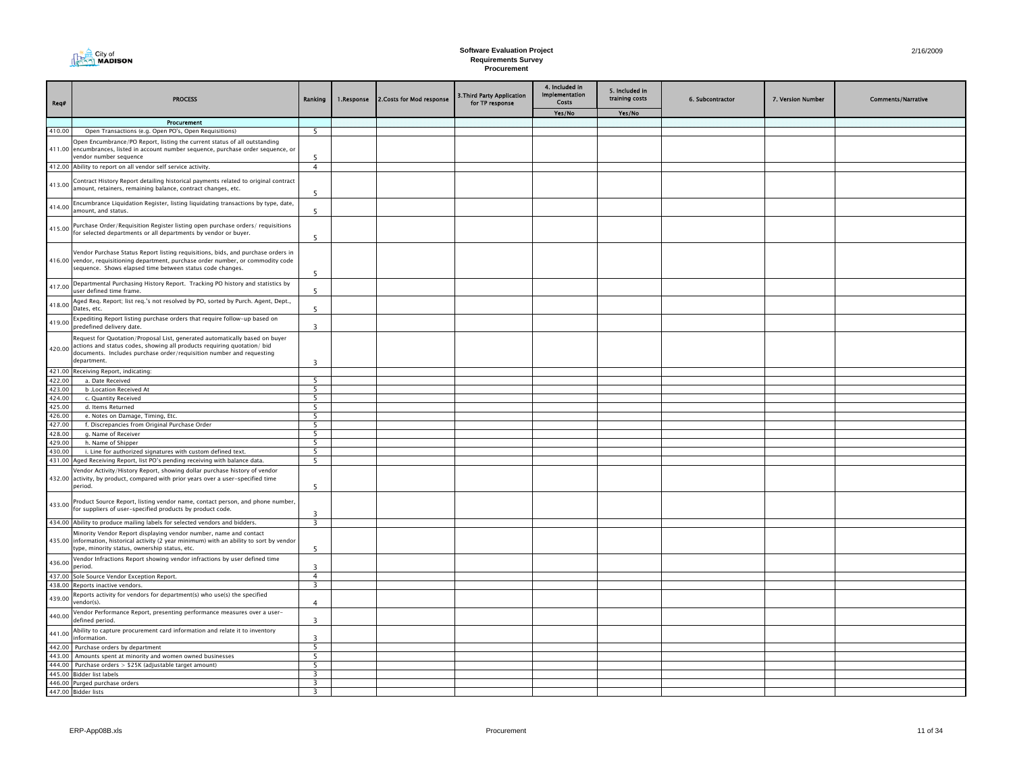

| Req#             | <b>PROCESS</b>                                                                                                                                                                                                                                       | Ranking                 | 1.Response | 2. Costs for Mod response | 3. Third Party Application<br>for TP response | 4. Included in<br>Implementation<br>Costs | 5. Included in<br>training costs | 6. Subcontractor | 7. Version Number | <b>Comments/Narrative</b> |
|------------------|------------------------------------------------------------------------------------------------------------------------------------------------------------------------------------------------------------------------------------------------------|-------------------------|------------|---------------------------|-----------------------------------------------|-------------------------------------------|----------------------------------|------------------|-------------------|---------------------------|
|                  |                                                                                                                                                                                                                                                      |                         |            |                           |                                               | Yes/No                                    | Yes/No                           |                  |                   |                           |
|                  | Procurement                                                                                                                                                                                                                                          |                         |            |                           |                                               |                                           |                                  |                  |                   |                           |
| 410.00           | Open Transactions (e.g. Open PO's, Open Requisitions)                                                                                                                                                                                                | - 5                     |            |                           |                                               |                                           |                                  |                  |                   |                           |
|                  | Open Encumbrance/PO Report, listing the current status of all outstanding<br>411.00 encumbrances, listed in account number sequence, purchase order sequence, or<br>vendor number sequence                                                           | 5                       |            |                           |                                               |                                           |                                  |                  |                   |                           |
|                  | 412.00 Ability to report on all vendor self service activity.                                                                                                                                                                                        | $\overline{4}$          |            |                           |                                               |                                           |                                  |                  |                   |                           |
|                  | 413.00 Contract History Report detailing historical payments related to original contract<br>amount, retainers, remaining balance, contract changes, etc.                                                                                            | 5                       |            |                           |                                               |                                           |                                  |                  |                   |                           |
| 414.00           | Encumbrance Liquidation Register, listing liquidating transactions by type, date,<br>amount, and status.                                                                                                                                             | 5                       |            |                           |                                               |                                           |                                  |                  |                   |                           |
|                  | 415.00 Purchase Order/Requisition Register listing open purchase orders/ requisitions<br>for selected departments or all departments by vendor or buyer.                                                                                             | 5                       |            |                           |                                               |                                           |                                  |                  |                   |                           |
|                  | Vendor Purchase Status Report listing requisitions, bids, and purchase orders in<br>416.00 vendor, requisitioning department, purchase order number, or commodity code<br>sequence. Shows elapsed time between status code changes.                  | -5                      |            |                           |                                               |                                           |                                  |                  |                   |                           |
| 417.00           | Departmental Purchasing History Report. Tracking PO history and statistics by<br>user defined time frame.                                                                                                                                            | 5                       |            |                           |                                               |                                           |                                  |                  |                   |                           |
| 418.00           | Aged Req. Report; list req.'s not resolved by PO, sorted by Purch. Agent, Dept.,<br>Dates, etc.                                                                                                                                                      | 5                       |            |                           |                                               |                                           |                                  |                  |                   |                           |
| 419.00           | Expediting Report listing purchase orders that require follow-up based on<br>predefined delivery date.                                                                                                                                               | $\overline{3}$          |            |                           |                                               |                                           |                                  |                  |                   |                           |
|                  | Request for Quotation/Proposal List, generated automatically based on buyer<br>420.00 actions and status codes, showing all products requiring quotation/ bid<br>documents. Includes purchase order/requisition number and requesting<br>department. | $\overline{3}$          |            |                           |                                               |                                           |                                  |                  |                   |                           |
|                  | 421.00 Receiving Report, indicating:                                                                                                                                                                                                                 |                         |            |                           |                                               |                                           |                                  |                  |                   |                           |
| 422.00           | a. Date Received                                                                                                                                                                                                                                     | -5                      |            |                           |                                               |                                           |                                  |                  |                   |                           |
| 423.00           | b .Location Received At                                                                                                                                                                                                                              | 5                       |            |                           |                                               |                                           |                                  |                  |                   |                           |
| 424.00           | c. Quantity Received                                                                                                                                                                                                                                 | -5                      |            |                           |                                               |                                           |                                  |                  |                   |                           |
| 425.00           | d. Items Returned                                                                                                                                                                                                                                    | $\overline{5}$          |            |                           |                                               |                                           |                                  |                  |                   |                           |
| 426.00           | e. Notes on Damage, Timing, Etc.                                                                                                                                                                                                                     | 5                       |            |                           |                                               |                                           |                                  |                  |                   |                           |
| 427.00           | f. Discrepancies from Original Purchase Order                                                                                                                                                                                                        | 5                       |            |                           |                                               |                                           |                                  |                  |                   |                           |
| 428.00<br>429.00 | g. Name of Receiver<br>h. Name of Shipper                                                                                                                                                                                                            | 5<br>-5                 |            |                           |                                               |                                           |                                  |                  |                   |                           |
| 430.00           | i. Line for authorized signatures with custom defined text.                                                                                                                                                                                          | 5                       |            |                           |                                               |                                           |                                  |                  |                   |                           |
|                  | 431.00 Aged Receiving Report, list PO's pending receiving with balance data.                                                                                                                                                                         | 5                       |            |                           |                                               |                                           |                                  |                  |                   |                           |
|                  | Vendor Activity/History Report, showing dollar purchase history of vendor<br>432.00 activity, by product, compared with prior years over a user-specified time<br>period.                                                                            | 5                       |            |                           |                                               |                                           |                                  |                  |                   |                           |
|                  | 433.00 Product Source Report, listing vendor name, contact person, and phone number, for suppliers of user-specified products by product code.                                                                                                       | $\overline{3}$          |            |                           |                                               |                                           |                                  |                  |                   |                           |
|                  | 434.00 Ability to produce mailing labels for selected vendors and bidders.                                                                                                                                                                           | $\overline{\mathbf{3}}$ |            |                           |                                               |                                           |                                  |                  |                   |                           |
|                  | Minority Vendor Report displaying vendor number, name and contact<br>435.00 information, historical activity (2 year minimum) with an ability to sort by vendor<br>type, minority status, ownership status, etc.                                     | 5                       |            |                           |                                               |                                           |                                  |                  |                   |                           |
| 436.00           | Vendor Infractions Report showing vendor infractions by user defined time<br>period.                                                                                                                                                                 | $\overline{3}$          |            |                           |                                               |                                           |                                  |                  |                   |                           |
| 437.00           | Sole Source Vendor Exception Report.<br>438.00 Reports inactive vendors.                                                                                                                                                                             | $\overline{4}$<br>3     |            |                           |                                               |                                           |                                  |                  |                   |                           |
|                  |                                                                                                                                                                                                                                                      |                         |            |                           |                                               |                                           |                                  |                  |                   |                           |
| 439.00           | Reports activity for vendors for department(s) who use(s) the specified<br>vendor(s).                                                                                                                                                                | $\overline{4}$          |            |                           |                                               |                                           |                                  |                  |                   |                           |
| 440.00           | Vendor Performance Report, presenting performance measures over a user-<br>defined period.<br>Ability to capture procurement card information and relate it to inventory                                                                             | 3                       |            |                           |                                               |                                           |                                  |                  |                   |                           |
| 441.00           | information.<br>442.00 Purchase orders by department                                                                                                                                                                                                 | 3<br>5                  |            |                           |                                               |                                           |                                  |                  |                   |                           |
|                  | 443.00 Amounts spent at minority and women owned businesses                                                                                                                                                                                          | 5                       |            |                           |                                               |                                           |                                  |                  |                   |                           |
|                  | 444.00 Purchase orders > \$25K (adjustable target amount)                                                                                                                                                                                            | -5                      |            |                           |                                               |                                           |                                  |                  |                   |                           |
|                  | 445.00 Bidder list labels                                                                                                                                                                                                                            | 3                       |            |                           |                                               |                                           |                                  |                  |                   |                           |
|                  | 446.00 Purged purchase orders                                                                                                                                                                                                                        | $\overline{3}$          |            |                           |                                               |                                           |                                  |                  |                   |                           |
|                  | 447.00 Bidder lists                                                                                                                                                                                                                                  | $\overline{3}$          |            |                           |                                               |                                           |                                  |                  |                   |                           |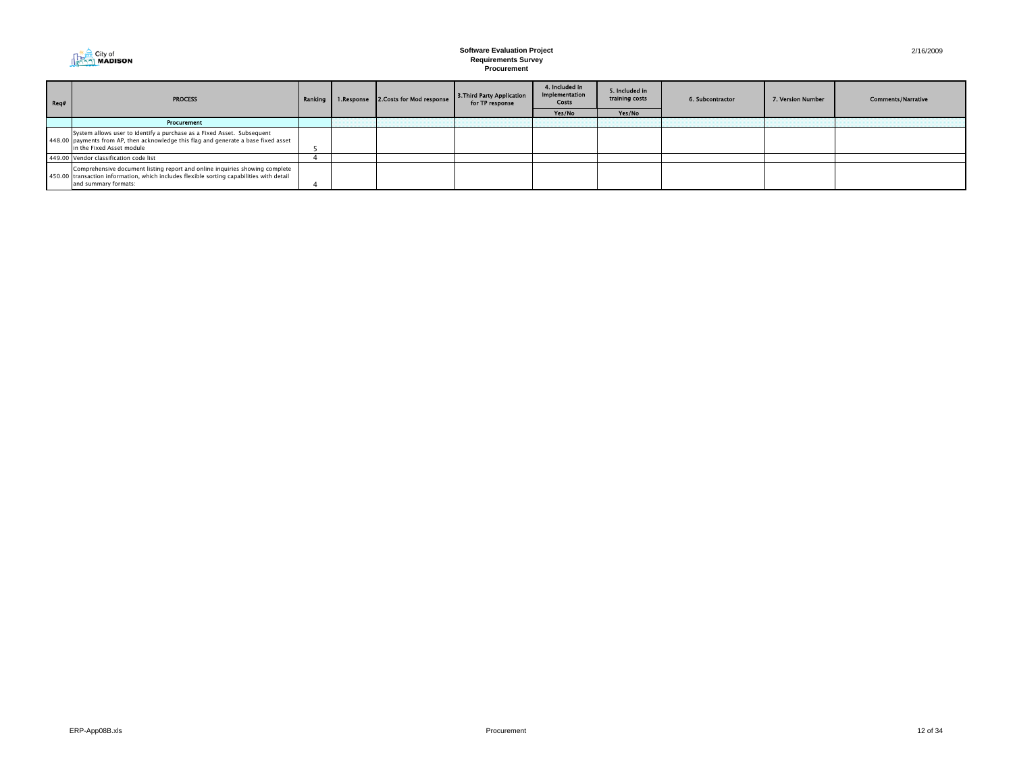

| Rea# | <b>PROCESS</b>                                                                                                                                                                                  |  |  | Ranking   1.Response   2.Costs for Mod response | 3. Third Party Application<br>for TP response | 4. Included in<br>Implementation<br>Costs | 5. Included in<br>training costs | 6. Subcontractor | 7. Version Number | <b>Comments/Narrative</b> |
|------|-------------------------------------------------------------------------------------------------------------------------------------------------------------------------------------------------|--|--|-------------------------------------------------|-----------------------------------------------|-------------------------------------------|----------------------------------|------------------|-------------------|---------------------------|
|      |                                                                                                                                                                                                 |  |  |                                                 | Yes/No                                        | Yes/No                                    |                                  |                  |                   |                           |
|      | Procurement                                                                                                                                                                                     |  |  |                                                 |                                               |                                           |                                  |                  |                   |                           |
|      | System allows user to identify a purchase as a Fixed Asset. Subsequent<br>448.00 payments from AP, then acknowledge this flag and generate a base fixed asset<br>in the Fixed Asset module      |  |  |                                                 |                                               |                                           |                                  |                  |                   |                           |
|      | 449.00 Vendor classification code list                                                                                                                                                          |  |  |                                                 |                                               |                                           |                                  |                  |                   |                           |
|      | Comprehensive document listing report and online inquiries showing complete<br>450.00 transaction information, which includes flexible sorting capabilities with detail<br>and summary formats: |  |  |                                                 |                                               |                                           |                                  |                  |                   |                           |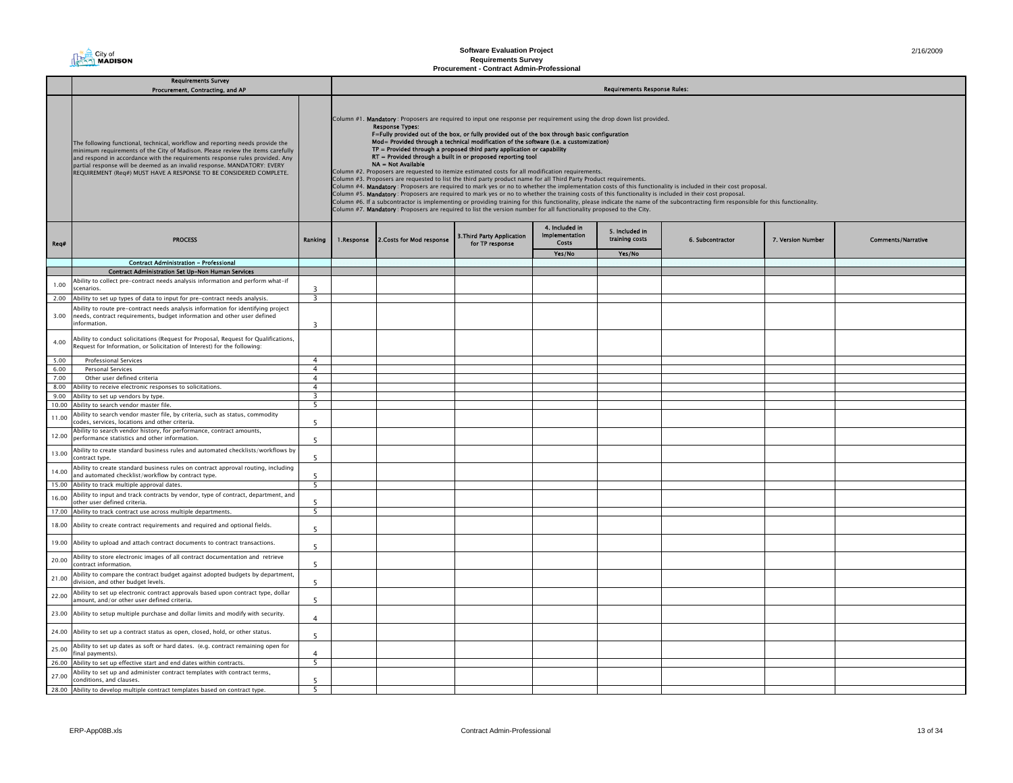

## **Software Evaluation Project Requirements Survey Procurement - Contract Admin-Professional**

|       | <b>Requirements Survey</b>                                                                                                                                                                                                                                                                                                                                                                        |                         |  |                                                                                                                                                                                                                                                                                                                                                                                                                                                                                                                                                                                                                                                                                                                                                                                                                                                                                                                                                                                                                                                                                                                                                                                                                                                                                                                                                                           |                                               |                                                  |                                     |                  |                   |                           |  |  |
|-------|---------------------------------------------------------------------------------------------------------------------------------------------------------------------------------------------------------------------------------------------------------------------------------------------------------------------------------------------------------------------------------------------------|-------------------------|--|---------------------------------------------------------------------------------------------------------------------------------------------------------------------------------------------------------------------------------------------------------------------------------------------------------------------------------------------------------------------------------------------------------------------------------------------------------------------------------------------------------------------------------------------------------------------------------------------------------------------------------------------------------------------------------------------------------------------------------------------------------------------------------------------------------------------------------------------------------------------------------------------------------------------------------------------------------------------------------------------------------------------------------------------------------------------------------------------------------------------------------------------------------------------------------------------------------------------------------------------------------------------------------------------------------------------------------------------------------------------------|-----------------------------------------------|--------------------------------------------------|-------------------------------------|------------------|-------------------|---------------------------|--|--|
|       | Procurement, Contracting, and AP                                                                                                                                                                                                                                                                                                                                                                  |                         |  |                                                                                                                                                                                                                                                                                                                                                                                                                                                                                                                                                                                                                                                                                                                                                                                                                                                                                                                                                                                                                                                                                                                                                                                                                                                                                                                                                                           |                                               |                                                  | <b>Requirements Response Rules:</b> |                  |                   |                           |  |  |
|       | The following functional, technical, workflow and reporting needs provide the<br>minimum requirements of the City of Madison. Please review the items carefully<br>and respond in accordance with the requirements response rules provided. Any<br>partial response will be deemed as an invalid response. MANDATORY: EVERY<br>REQUIREMENT (Req#) MUST HAVE A RESPONSE TO BE CONSIDERED COMPLETE. |                         |  | Column #1. Mandatory: Proposers are required to input one response per requirement using the drop down list provided.<br><b>Response Types:</b><br>F=Fully provided out of the box, or fully provided out of the box through basic configuration<br>Mod= Provided through a technical modification of the software (i.e. a customization)<br>TP = Provided through a proposed third party application or capability<br>RT = Provided through a built in or proposed reporting tool<br>NA = Not Available<br>Column #2. Proposers are requested to itemize estimated costs for all modification requirements.<br>Column #3. Proposers are requested to list the third party product name for all Third Party Product requirements.<br>Column #4. Mandatory: Proposers are required to mark yes or no to whether the implementation costs of this functionality is included in their cost proposal.<br>Column #5. Mandatory: Proposers are required to mark yes or no to whether the training costs of this functionality is included in their cost proposal.<br>Column #6. If a subcontractor is implementing or providing training for this functionality, please indicate the name of the subcontracting firm responsible for this functionality.<br>Column #7. Mandatory: Proposers are required to list the version number for all functionality proposed to the City. |                                               |                                                  |                                     |                  |                   |                           |  |  |
| Req#  | <b>PROCESS</b>                                                                                                                                                                                                                                                                                                                                                                                    | Ranking                 |  | 1.Response 2.Costs for Mod response                                                                                                                                                                                                                                                                                                                                                                                                                                                                                                                                                                                                                                                                                                                                                                                                                                                                                                                                                                                                                                                                                                                                                                                                                                                                                                                                       | 3. Third Party Application<br>for TP response | 4. Included in<br><b>Implementation</b><br>Costs | 5. Included in<br>training costs    | 6. Subcontractor | 7. Version Number | <b>Comments/Narrative</b> |  |  |
|       |                                                                                                                                                                                                                                                                                                                                                                                                   |                         |  |                                                                                                                                                                                                                                                                                                                                                                                                                                                                                                                                                                                                                                                                                                                                                                                                                                                                                                                                                                                                                                                                                                                                                                                                                                                                                                                                                                           |                                               | Yes/No                                           | Yes/No                              |                  |                   |                           |  |  |
|       | <b>Contract Administration - Professional</b>                                                                                                                                                                                                                                                                                                                                                     |                         |  |                                                                                                                                                                                                                                                                                                                                                                                                                                                                                                                                                                                                                                                                                                                                                                                                                                                                                                                                                                                                                                                                                                                                                                                                                                                                                                                                                                           |                                               |                                                  |                                     |                  |                   |                           |  |  |
|       | Contract Administration Set Up-Non Human Services                                                                                                                                                                                                                                                                                                                                                 |                         |  |                                                                                                                                                                                                                                                                                                                                                                                                                                                                                                                                                                                                                                                                                                                                                                                                                                                                                                                                                                                                                                                                                                                                                                                                                                                                                                                                                                           |                                               |                                                  |                                     |                  |                   |                           |  |  |
| 1.00  | Ability to collect pre-contract needs analysis information and perform what-if                                                                                                                                                                                                                                                                                                                    |                         |  |                                                                                                                                                                                                                                                                                                                                                                                                                                                                                                                                                                                                                                                                                                                                                                                                                                                                                                                                                                                                                                                                                                                                                                                                                                                                                                                                                                           |                                               |                                                  |                                     |                  |                   |                           |  |  |
|       | scenarios.                                                                                                                                                                                                                                                                                                                                                                                        | $\overline{3}$          |  |                                                                                                                                                                                                                                                                                                                                                                                                                                                                                                                                                                                                                                                                                                                                                                                                                                                                                                                                                                                                                                                                                                                                                                                                                                                                                                                                                                           |                                               |                                                  |                                     |                  |                   |                           |  |  |
|       | 2.00 Ability to set up types of data to input for pre-contract needs analysis.                                                                                                                                                                                                                                                                                                                    | $\overline{\mathbf{3}}$ |  |                                                                                                                                                                                                                                                                                                                                                                                                                                                                                                                                                                                                                                                                                                                                                                                                                                                                                                                                                                                                                                                                                                                                                                                                                                                                                                                                                                           |                                               |                                                  |                                     |                  |                   |                           |  |  |
|       | Ability to route pre-contract needs analysis information for identifying project                                                                                                                                                                                                                                                                                                                  |                         |  |                                                                                                                                                                                                                                                                                                                                                                                                                                                                                                                                                                                                                                                                                                                                                                                                                                                                                                                                                                                                                                                                                                                                                                                                                                                                                                                                                                           |                                               |                                                  |                                     |                  |                   |                           |  |  |
| 3.00  | needs, contract requirements, budget information and other user defined<br>information.                                                                                                                                                                                                                                                                                                           |                         |  |                                                                                                                                                                                                                                                                                                                                                                                                                                                                                                                                                                                                                                                                                                                                                                                                                                                                                                                                                                                                                                                                                                                                                                                                                                                                                                                                                                           |                                               |                                                  |                                     |                  |                   |                           |  |  |
|       |                                                                                                                                                                                                                                                                                                                                                                                                   | $\overline{\mathbf{3}}$ |  |                                                                                                                                                                                                                                                                                                                                                                                                                                                                                                                                                                                                                                                                                                                                                                                                                                                                                                                                                                                                                                                                                                                                                                                                                                                                                                                                                                           |                                               |                                                  |                                     |                  |                   |                           |  |  |
| 4.00  | Ability to conduct solicitations (Request for Proposal, Request for Qualifications,<br>Request for Information, or Solicitation of Interest) for the following:                                                                                                                                                                                                                                   |                         |  |                                                                                                                                                                                                                                                                                                                                                                                                                                                                                                                                                                                                                                                                                                                                                                                                                                                                                                                                                                                                                                                                                                                                                                                                                                                                                                                                                                           |                                               |                                                  |                                     |                  |                   |                           |  |  |
| 5.00  | <b>Professional Services</b>                                                                                                                                                                                                                                                                                                                                                                      | $\overline{4}$          |  |                                                                                                                                                                                                                                                                                                                                                                                                                                                                                                                                                                                                                                                                                                                                                                                                                                                                                                                                                                                                                                                                                                                                                                                                                                                                                                                                                                           |                                               |                                                  |                                     |                  |                   |                           |  |  |
| 6.00  | <b>Personal Services</b>                                                                                                                                                                                                                                                                                                                                                                          | $\overline{4}$          |  |                                                                                                                                                                                                                                                                                                                                                                                                                                                                                                                                                                                                                                                                                                                                                                                                                                                                                                                                                                                                                                                                                                                                                                                                                                                                                                                                                                           |                                               |                                                  |                                     |                  |                   |                           |  |  |
| 7.00  | Other user defined criteria                                                                                                                                                                                                                                                                                                                                                                       | $\overline{4}$          |  |                                                                                                                                                                                                                                                                                                                                                                                                                                                                                                                                                                                                                                                                                                                                                                                                                                                                                                                                                                                                                                                                                                                                                                                                                                                                                                                                                                           |                                               |                                                  |                                     |                  |                   |                           |  |  |
| 8.00  | Ability to receive electronic responses to solicitations.                                                                                                                                                                                                                                                                                                                                         | $\overline{4}$          |  |                                                                                                                                                                                                                                                                                                                                                                                                                                                                                                                                                                                                                                                                                                                                                                                                                                                                                                                                                                                                                                                                                                                                                                                                                                                                                                                                                                           |                                               |                                                  |                                     |                  |                   |                           |  |  |
| 9.00  | Ability to set up vendors by type.                                                                                                                                                                                                                                                                                                                                                                | $\overline{\mathbf{3}}$ |  |                                                                                                                                                                                                                                                                                                                                                                                                                                                                                                                                                                                                                                                                                                                                                                                                                                                                                                                                                                                                                                                                                                                                                                                                                                                                                                                                                                           |                                               |                                                  |                                     |                  |                   |                           |  |  |
| 10.00 | Ability to search vendor master file.                                                                                                                                                                                                                                                                                                                                                             | 5                       |  |                                                                                                                                                                                                                                                                                                                                                                                                                                                                                                                                                                                                                                                                                                                                                                                                                                                                                                                                                                                                                                                                                                                                                                                                                                                                                                                                                                           |                                               |                                                  |                                     |                  |                   |                           |  |  |
| 11.00 | Ability to search vendor master file, by criteria, such as status, commodity<br>codes, services, locations and other criteria.                                                                                                                                                                                                                                                                    | 5                       |  |                                                                                                                                                                                                                                                                                                                                                                                                                                                                                                                                                                                                                                                                                                                                                                                                                                                                                                                                                                                                                                                                                                                                                                                                                                                                                                                                                                           |                                               |                                                  |                                     |                  |                   |                           |  |  |
| 12.00 | Ability to search vendor history, for performance, contract amounts,<br>performance statistics and other information.                                                                                                                                                                                                                                                                             | 5                       |  |                                                                                                                                                                                                                                                                                                                                                                                                                                                                                                                                                                                                                                                                                                                                                                                                                                                                                                                                                                                                                                                                                                                                                                                                                                                                                                                                                                           |                                               |                                                  |                                     |                  |                   |                           |  |  |
| 13.00 | Ability to create standard business rules and automated checklists/workflows by<br>contract type.                                                                                                                                                                                                                                                                                                 | 5                       |  |                                                                                                                                                                                                                                                                                                                                                                                                                                                                                                                                                                                                                                                                                                                                                                                                                                                                                                                                                                                                                                                                                                                                                                                                                                                                                                                                                                           |                                               |                                                  |                                     |                  |                   |                           |  |  |
| 14.00 | Ability to create standard business rules on contract approval routing, including<br>and automated checklist/workflow by contract type.                                                                                                                                                                                                                                                           | -5                      |  |                                                                                                                                                                                                                                                                                                                                                                                                                                                                                                                                                                                                                                                                                                                                                                                                                                                                                                                                                                                                                                                                                                                                                                                                                                                                                                                                                                           |                                               |                                                  |                                     |                  |                   |                           |  |  |
| 15.00 | Ability to track multiple approval dates.                                                                                                                                                                                                                                                                                                                                                         | 5                       |  |                                                                                                                                                                                                                                                                                                                                                                                                                                                                                                                                                                                                                                                                                                                                                                                                                                                                                                                                                                                                                                                                                                                                                                                                                                                                                                                                                                           |                                               |                                                  |                                     |                  |                   |                           |  |  |
| 16.00 | Ability to input and track contracts by vendor, type of contract, department, and<br>other user defined criteria.                                                                                                                                                                                                                                                                                 | 5                       |  |                                                                                                                                                                                                                                                                                                                                                                                                                                                                                                                                                                                                                                                                                                                                                                                                                                                                                                                                                                                                                                                                                                                                                                                                                                                                                                                                                                           |                                               |                                                  |                                     |                  |                   |                           |  |  |
| 17.00 | Ability to track contract use across multiple departments.                                                                                                                                                                                                                                                                                                                                        | 5                       |  |                                                                                                                                                                                                                                                                                                                                                                                                                                                                                                                                                                                                                                                                                                                                                                                                                                                                                                                                                                                                                                                                                                                                                                                                                                                                                                                                                                           |                                               |                                                  |                                     |                  |                   |                           |  |  |
| 18.00 | Ability to create contract requirements and required and optional fields.                                                                                                                                                                                                                                                                                                                         | 5                       |  |                                                                                                                                                                                                                                                                                                                                                                                                                                                                                                                                                                                                                                                                                                                                                                                                                                                                                                                                                                                                                                                                                                                                                                                                                                                                                                                                                                           |                                               |                                                  |                                     |                  |                   |                           |  |  |
| 19.00 | Ability to upload and attach contract documents to contract transactions.                                                                                                                                                                                                                                                                                                                         | -5                      |  |                                                                                                                                                                                                                                                                                                                                                                                                                                                                                                                                                                                                                                                                                                                                                                                                                                                                                                                                                                                                                                                                                                                                                                                                                                                                                                                                                                           |                                               |                                                  |                                     |                  |                   |                           |  |  |
| 20.00 | Ability to store electronic images of all contract documentation and retrieve<br>contract information.                                                                                                                                                                                                                                                                                            | -5                      |  |                                                                                                                                                                                                                                                                                                                                                                                                                                                                                                                                                                                                                                                                                                                                                                                                                                                                                                                                                                                                                                                                                                                                                                                                                                                                                                                                                                           |                                               |                                                  |                                     |                  |                   |                           |  |  |
| 21.00 | Ability to compare the contract budget against adopted budgets by department,<br>division, and other budget levels.                                                                                                                                                                                                                                                                               | 5                       |  |                                                                                                                                                                                                                                                                                                                                                                                                                                                                                                                                                                                                                                                                                                                                                                                                                                                                                                                                                                                                                                                                                                                                                                                                                                                                                                                                                                           |                                               |                                                  |                                     |                  |                   |                           |  |  |
| 22.00 | Ability to set up electronic contract approvals based upon contract type, dollar<br>amount, and/or other user defined criteria.                                                                                                                                                                                                                                                                   | 5                       |  |                                                                                                                                                                                                                                                                                                                                                                                                                                                                                                                                                                                                                                                                                                                                                                                                                                                                                                                                                                                                                                                                                                                                                                                                                                                                                                                                                                           |                                               |                                                  |                                     |                  |                   |                           |  |  |
| 23.00 | Ability to setup multiple purchase and dollar limits and modify with security.                                                                                                                                                                                                                                                                                                                    | $\overline{4}$          |  |                                                                                                                                                                                                                                                                                                                                                                                                                                                                                                                                                                                                                                                                                                                                                                                                                                                                                                                                                                                                                                                                                                                                                                                                                                                                                                                                                                           |                                               |                                                  |                                     |                  |                   |                           |  |  |
| 24.00 | Ability to set up a contract status as open, closed, hold, or other status.                                                                                                                                                                                                                                                                                                                       | -5                      |  |                                                                                                                                                                                                                                                                                                                                                                                                                                                                                                                                                                                                                                                                                                                                                                                                                                                                                                                                                                                                                                                                                                                                                                                                                                                                                                                                                                           |                                               |                                                  |                                     |                  |                   |                           |  |  |
| 25.00 | Ability to set up dates as soft or hard dates. (e.g. contract remaining open for<br>final payments).<br>26.00 Ability to set up effective start and end dates within contracts.                                                                                                                                                                                                                   | 4<br>5                  |  |                                                                                                                                                                                                                                                                                                                                                                                                                                                                                                                                                                                                                                                                                                                                                                                                                                                                                                                                                                                                                                                                                                                                                                                                                                                                                                                                                                           |                                               |                                                  |                                     |                  |                   |                           |  |  |
|       |                                                                                                                                                                                                                                                                                                                                                                                                   |                         |  |                                                                                                                                                                                                                                                                                                                                                                                                                                                                                                                                                                                                                                                                                                                                                                                                                                                                                                                                                                                                                                                                                                                                                                                                                                                                                                                                                                           |                                               |                                                  |                                     |                  |                   |                           |  |  |
| 27.00 | Ability to set up and administer contract templates with contract terms,<br>conditions, and clauses.<br>28.00 Ability to develop multiple contract templates based on contract type.                                                                                                                                                                                                              | 5<br>5                  |  |                                                                                                                                                                                                                                                                                                                                                                                                                                                                                                                                                                                                                                                                                                                                                                                                                                                                                                                                                                                                                                                                                                                                                                                                                                                                                                                                                                           |                                               |                                                  |                                     |                  |                   |                           |  |  |
|       |                                                                                                                                                                                                                                                                                                                                                                                                   |                         |  |                                                                                                                                                                                                                                                                                                                                                                                                                                                                                                                                                                                                                                                                                                                                                                                                                                                                                                                                                                                                                                                                                                                                                                                                                                                                                                                                                                           |                                               |                                                  |                                     |                  |                   |                           |  |  |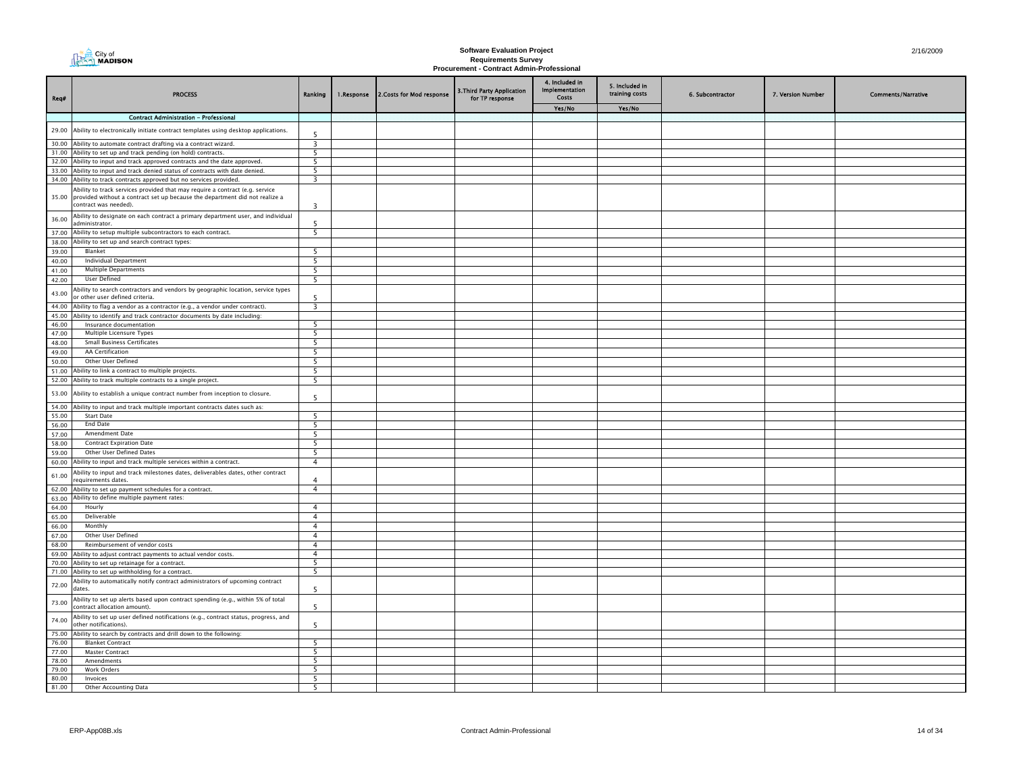## **Software Evaluation Project Requirements Survey Procurement - Contract Admin-Professional**

| Req#           | <b>PROCESS</b>                                                                                                                                                                             | Ranking                  | 1.Response | 2. Costs for Mod response | 3. Third Party Application<br>for TP response | 4. Included in<br><b>Implementation</b><br>Costs | 5. Included in<br>training costs | 6. Subcontractor | 7. Version Number | <b>Comments/Narrative</b> |
|----------------|--------------------------------------------------------------------------------------------------------------------------------------------------------------------------------------------|--------------------------|------------|---------------------------|-----------------------------------------------|--------------------------------------------------|----------------------------------|------------------|-------------------|---------------------------|
|                |                                                                                                                                                                                            |                          |            |                           |                                               | Yes/No                                           | Yes/No                           |                  |                   |                           |
|                | <b>Contract Administration - Professional</b>                                                                                                                                              |                          |            |                           |                                               |                                                  |                                  |                  |                   |                           |
|                | 29.00 Ability to electronically initiate contract templates using desktop applications.                                                                                                    | $\overline{\phantom{a}}$ |            |                           |                                               |                                                  |                                  |                  |                   |                           |
| 30.00          | Ability to automate contract drafting via a contract wizard.                                                                                                                               | $\overline{\mathbf{3}}$  |            |                           |                                               |                                                  |                                  |                  |                   |                           |
|                | 31.00 Ability to set up and track pending (on hold) contracts.                                                                                                                             | 5                        |            |                           |                                               |                                                  |                                  |                  |                   |                           |
|                | 32.00 Ability to input and track approved contracts and the date approved.                                                                                                                 | -5                       |            |                           |                                               |                                                  |                                  |                  |                   |                           |
|                | 33.00 Ability to input and track denied status of contracts with date denied.                                                                                                              | -5                       |            |                           |                                               |                                                  |                                  |                  |                   |                           |
|                | 34.00 Ability to track contracts approved but no services provided.                                                                                                                        | $\overline{\mathbf{3}}$  |            |                           |                                               |                                                  |                                  |                  |                   |                           |
|                | Ability to track services provided that may require a contract (e.g. service<br>35.00 provided without a contract set up because the department did not realize a<br>contract was needed). | $\overline{\mathbf{3}}$  |            |                           |                                               |                                                  |                                  |                  |                   |                           |
| 36.00          | Ability to designate on each contract a primary department user, and individual<br>administrator.                                                                                          | 5                        |            |                           |                                               |                                                  |                                  |                  |                   |                           |
| 37.00          | Ability to setup multiple subcontractors to each contract.                                                                                                                                 | $\overline{5}$           |            |                           |                                               |                                                  |                                  |                  |                   |                           |
| 38.00          | Ability to set up and search contract types:                                                                                                                                               |                          |            |                           |                                               |                                                  |                                  |                  |                   |                           |
| 39.00          | Blanket                                                                                                                                                                                    | - 5                      |            |                           |                                               |                                                  |                                  |                  |                   |                           |
| 40.00          | <b>Individual Department</b>                                                                                                                                                               | 5                        |            |                           |                                               |                                                  |                                  |                  |                   |                           |
| 41.00          | <b>Multiple Departments</b>                                                                                                                                                                | 5                        |            |                           |                                               |                                                  |                                  |                  |                   |                           |
| 42.00          | User Defined                                                                                                                                                                               | -5                       |            |                           |                                               |                                                  |                                  |                  |                   |                           |
| 43.00          | Ability to search contractors and vendors by geographic location, service types<br>or other user defined criteria.                                                                         |                          |            |                           |                                               |                                                  |                                  |                  |                   |                           |
| 44.00          | Ability to flag a vendor as a contractor (e.g., a vendor under contract).                                                                                                                  | $\overline{\mathbf{3}}$  |            |                           |                                               |                                                  |                                  |                  |                   |                           |
|                | 45.00 Ability to identify and track contractor documents by date including:                                                                                                                |                          |            |                           |                                               |                                                  |                                  |                  |                   |                           |
| 46.00          | Insurance documentation                                                                                                                                                                    | 5                        |            |                           |                                               |                                                  |                                  |                  |                   |                           |
| 47.00          | Multiple Licensure Types                                                                                                                                                                   | - 5                      |            |                           |                                               |                                                  |                                  |                  |                   |                           |
| 48.00          | <b>Small Business Certificates</b>                                                                                                                                                         | - 5                      |            |                           |                                               |                                                  |                                  |                  |                   |                           |
| 49.00          | AA Certification                                                                                                                                                                           | $\overline{5}$           |            |                           |                                               |                                                  |                                  |                  |                   |                           |
| 50.00          | Other User Defined                                                                                                                                                                         | - 5                      |            |                           |                                               |                                                  |                                  |                  |                   |                           |
| 51.00          | Ability to link a contract to multiple projects.                                                                                                                                           | -5                       |            |                           |                                               |                                                  |                                  |                  |                   |                           |
|                | 52.00 Ability to track multiple contracts to a single project.                                                                                                                             | -5                       |            |                           |                                               |                                                  |                                  |                  |                   |                           |
| 53.00          | Ability to establish a unique contract number from inception to closure.                                                                                                                   | $\overline{\phantom{a}}$ |            |                           |                                               |                                                  |                                  |                  |                   |                           |
| 54.00          | Ability to input and track multiple important contracts dates such as:                                                                                                                     |                          |            |                           |                                               |                                                  |                                  |                  |                   |                           |
| 55.00          | <b>Start Date</b>                                                                                                                                                                          | - 5                      |            |                           |                                               |                                                  |                                  |                  |                   |                           |
| 56.00          | <b>End Date</b>                                                                                                                                                                            | - 5                      |            |                           |                                               |                                                  |                                  |                  |                   |                           |
| 57.00          | Amendment Date                                                                                                                                                                             | -5                       |            |                           |                                               |                                                  |                                  |                  |                   |                           |
| 58.00          | <b>Contract Expiration Date</b>                                                                                                                                                            | 5                        |            |                           |                                               |                                                  |                                  |                  |                   |                           |
| 59.00          | Other User Defined Dates                                                                                                                                                                   | 5                        |            |                           |                                               |                                                  |                                  |                  |                   |                           |
| 60.00          | Ability to input and track multiple services within a contract.                                                                                                                            | $\overline{4}$           |            |                           |                                               |                                                  |                                  |                  |                   |                           |
| 61.00          | Ability to input and track milestones dates, deliverables dates, other contract<br>requirements dates.                                                                                     | $\Delta$                 |            |                           |                                               |                                                  |                                  |                  |                   |                           |
| 62.00          | Ability to set up payment schedules for a contract.                                                                                                                                        | $\overline{4}$           |            |                           |                                               |                                                  |                                  |                  |                   |                           |
| 63.00          | Ability to define multiple payment rates:                                                                                                                                                  |                          |            |                           |                                               |                                                  |                                  |                  |                   |                           |
| 64.00          | Hourly                                                                                                                                                                                     | $\overline{4}$           |            |                           |                                               |                                                  |                                  |                  |                   |                           |
| 65.00          | Deliverable                                                                                                                                                                                | $\overline{4}$           |            |                           |                                               |                                                  |                                  |                  |                   |                           |
| 66.00          | Monthly                                                                                                                                                                                    | $\overline{4}$           |            |                           |                                               |                                                  |                                  |                  |                   |                           |
| 67.00          | Other User Defined                                                                                                                                                                         | $\overline{4}$           |            |                           |                                               |                                                  |                                  |                  |                   |                           |
| 68.00          | Reimbursement of vendor costs                                                                                                                                                              | $\overline{4}$           |            |                           |                                               |                                                  |                                  |                  |                   |                           |
|                | 69.00 Ability to adjust contract payments to actual vendor costs.                                                                                                                          | $\overline{4}$           |            |                           |                                               |                                                  |                                  |                  |                   |                           |
| 70.00          | Ability to set up retainage for a contract.                                                                                                                                                | 5                        |            |                           |                                               |                                                  |                                  |                  |                   |                           |
|                | 71.00 Ability to set up withholding for a contract.                                                                                                                                        | 5                        |            |                           |                                               |                                                  |                                  |                  |                   |                           |
| 72.00          | Ability to automatically notify contract administrators of upcoming contract<br>dates.                                                                                                     | -5                       |            |                           |                                               |                                                  |                                  |                  |                   |                           |
| 73.00          | Ability to set up alerts based upon contract spending (e.g., within 5% of total<br>contract allocation amount).                                                                            | -5                       |            |                           |                                               |                                                  |                                  |                  |                   |                           |
| 74.00          | Ability to set up user defined notifications (e.g., contract status, progress, and<br>other notifications).                                                                                | - 5                      |            |                           |                                               |                                                  |                                  |                  |                   |                           |
|                | 75.00 Ability to search by contracts and drill down to the following:                                                                                                                      |                          |            |                           |                                               |                                                  |                                  |                  |                   |                           |
| 76.00          | <b>Blanket Contract</b>                                                                                                                                                                    | 5                        |            |                           |                                               |                                                  |                                  |                  |                   |                           |
| 77.00          | <b>Master Contract</b>                                                                                                                                                                     | -5                       |            |                           |                                               |                                                  |                                  |                  |                   |                           |
| 78.00          | Amendments                                                                                                                                                                                 | 5                        |            |                           |                                               |                                                  |                                  |                  |                   |                           |
| 79.00          | Work Orders                                                                                                                                                                                | 5                        |            |                           |                                               |                                                  |                                  |                  |                   |                           |
| 80.00<br>81.00 | Invoices                                                                                                                                                                                   | 5                        |            |                           |                                               |                                                  |                                  |                  |                   |                           |
|                | Other Accounting Data                                                                                                                                                                      | 5                        |            |                           |                                               |                                                  |                                  |                  |                   |                           |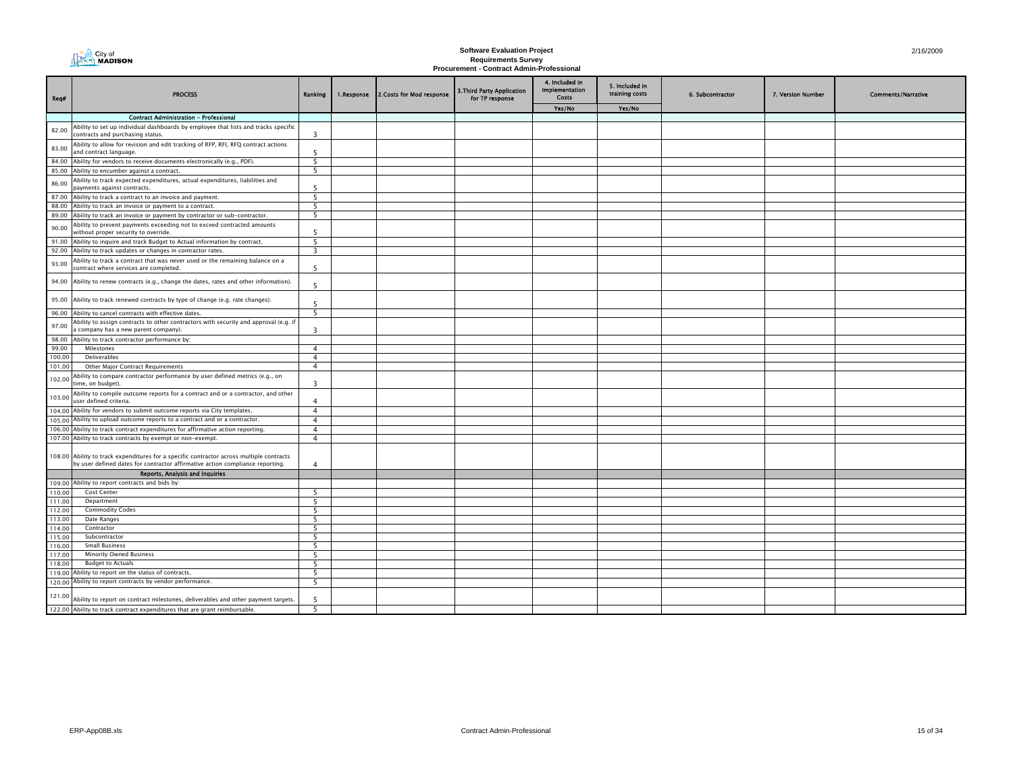| 点 | City of<br>an MADISON |
|---|-----------------------|
|---|-----------------------|

# **Software Evaluation Project Requirements Survey Procurement - Contract Admin-Professional**

| Req#             | <b>PROCESS</b>                                                                                                                                                            | Ranking                 | 1.Response | 2. Costs for Mod response | 3. Third Party Application<br>for TP response | 4. Included in<br><b>Implementation</b><br>Costs | 5. Included in<br>training costs | 6. Subcontractor | 7. Version Number | <b>Comments/Narrative</b> |
|------------------|---------------------------------------------------------------------------------------------------------------------------------------------------------------------------|-------------------------|------------|---------------------------|-----------------------------------------------|--------------------------------------------------|----------------------------------|------------------|-------------------|---------------------------|
|                  |                                                                                                                                                                           |                         |            |                           |                                               | Yes/No                                           | Yes/No                           |                  |                   |                           |
|                  | <b>Contract Administration - Professional</b>                                                                                                                             |                         |            |                           |                                               |                                                  |                                  |                  |                   |                           |
| 82.00            | Ability to set up individual dashboards by employee that lists and tracks specific<br>contracts and purchasing status.                                                    | 3                       |            |                           |                                               |                                                  |                                  |                  |                   |                           |
| 83.00            | Ability to allow for revision and edit tracking of RFP, RFI, RFQ contract actions<br>and contract language.                                                               | -5                      |            |                           |                                               |                                                  |                                  |                  |                   |                           |
|                  | 84.00 Ability for vendors to receive documents electronically (e.g., PDF).                                                                                                | 5                       |            |                           |                                               |                                                  |                                  |                  |                   |                           |
| 85.00            | Ability to encumber against a contract.                                                                                                                                   | - 5                     |            |                           |                                               |                                                  |                                  |                  |                   |                           |
| 86.00            | Ability to track expected expenditures, actual expenditures, liabilities and<br>payments against contracts.                                                               | -5                      |            |                           |                                               |                                                  |                                  |                  |                   |                           |
|                  | 87.00 Ability to track a contract to an invoice and payment.                                                                                                              | 5                       |            |                           |                                               |                                                  |                                  |                  |                   |                           |
| 88.00            | Ability to track an invoice or payment to a contract.                                                                                                                     | 5                       |            |                           |                                               |                                                  |                                  |                  |                   |                           |
| 89.00            | Ability to track an invoice or payment by contractor or sub-contractor.                                                                                                   | 5                       |            |                           |                                               |                                                  |                                  |                  |                   |                           |
| 90.00            | Ability to prevent payments exceeding not to exceed contracted amounts<br>without proper security to override.                                                            | 5                       |            |                           |                                               |                                                  |                                  |                  |                   |                           |
| 91.00            | Ability to inquire and track Budget to Actual information by contract.                                                                                                    | 5                       |            |                           |                                               |                                                  |                                  |                  |                   |                           |
| 92.00            | Ability to track updates or changes in contractor rates.                                                                                                                  | 3                       |            |                           |                                               |                                                  |                                  |                  |                   |                           |
| 93.00            | Ability to track a contract that was never used or the remaining balance on a<br>contract where services are completed.                                                   | -5                      |            |                           |                                               |                                                  |                                  |                  |                   |                           |
|                  | 94.00 Ability to renew contracts (e.g., change the dates, rates and other information).                                                                                   | -5                      |            |                           |                                               |                                                  |                                  |                  |                   |                           |
| 95.00            | Ability to track renewed contracts by type of change (e.g. rate changes).                                                                                                 | -5                      |            |                           |                                               |                                                  |                                  |                  |                   |                           |
|                  | 96.00 Ability to cancel contracts with effective dates.                                                                                                                   | 5                       |            |                           |                                               |                                                  |                                  |                  |                   |                           |
| 97.00            | Ability to assign contracts to other contractors with security and approval (e.g. if<br>a company has a new parent company).                                              | $\overline{\mathbf{3}}$ |            |                           |                                               |                                                  |                                  |                  |                   |                           |
| 98.00            | Ability to track contractor performance by:                                                                                                                               |                         |            |                           |                                               |                                                  |                                  |                  |                   |                           |
| 99.00            | Milestones                                                                                                                                                                | $\overline{4}$          |            |                           |                                               |                                                  |                                  |                  |                   |                           |
| 100.00           | Deliverables                                                                                                                                                              | $\overline{4}$          |            |                           |                                               |                                                  |                                  |                  |                   |                           |
| 101.00           | Other Major Contract Requirements                                                                                                                                         | $\overline{4}$          |            |                           |                                               |                                                  |                                  |                  |                   |                           |
| 102.00           | Ability to compare contractor performance by user defined metrics (e.g., on<br>time, on budget).                                                                          | $\overline{\mathbf{3}}$ |            |                           |                                               |                                                  |                                  |                  |                   |                           |
| 103.00           | Ability to compile outcome reports for a contract and or a contractor, and other<br>user defined criteria.                                                                | $\overline{4}$          |            |                           |                                               |                                                  |                                  |                  |                   |                           |
|                  | 104.00 Ability for vendors to submit outcome reports via City templates.                                                                                                  | $\overline{4}$          |            |                           |                                               |                                                  |                                  |                  |                   |                           |
| 105.00           | Ability to upload outcome reports to a contract and or a contractor.                                                                                                      | $\overline{4}$          |            |                           |                                               |                                                  |                                  |                  |                   |                           |
|                  | 106.00 Ability to track contract expenditures for affirmative action reporting.                                                                                           | $\overline{4}$          |            |                           |                                               |                                                  |                                  |                  |                   |                           |
|                  | 107.00 Ability to track contracts by exempt or non-exempt                                                                                                                 | $\overline{4}$          |            |                           |                                               |                                                  |                                  |                  |                   |                           |
|                  | 108.00 Ability to track expenditures for a specific contractor across multiple contracts<br>by user defined dates for contractor affirmative action compliance reporting. | $\overline{4}$          |            |                           |                                               |                                                  |                                  |                  |                   |                           |
|                  | <b>Reports, Analysis and Inquiries</b>                                                                                                                                    |                         |            |                           |                                               |                                                  |                                  |                  |                   |                           |
| 109.00           | Ability to report contracts and bids by:                                                                                                                                  |                         |            |                           |                                               |                                                  |                                  |                  |                   |                           |
| 110.00           | <b>Cost Center</b>                                                                                                                                                        | 5                       |            |                           |                                               |                                                  |                                  |                  |                   |                           |
| 111.00           | Department                                                                                                                                                                | -5                      |            |                           |                                               |                                                  |                                  |                  |                   |                           |
| 112.00           | <b>Commodity Codes</b>                                                                                                                                                    | 5                       |            |                           |                                               |                                                  |                                  |                  |                   |                           |
| 113.00           | Date Ranges                                                                                                                                                               | 5                       |            |                           |                                               |                                                  |                                  |                  |                   |                           |
| 114.00           | Contractor                                                                                                                                                                | 5                       |            |                           |                                               |                                                  |                                  |                  |                   |                           |
| 115.00           | Subcontractor                                                                                                                                                             | -5                      |            |                           |                                               |                                                  |                                  |                  |                   |                           |
| 116.00           | <b>Small Business</b>                                                                                                                                                     | 5                       |            |                           |                                               |                                                  |                                  |                  |                   |                           |
| 117.00           | <b>Minority Owned Business</b>                                                                                                                                            | 5                       |            |                           |                                               |                                                  |                                  |                  |                   |                           |
| 118.00           | <b>Budget to Actuals</b>                                                                                                                                                  | - 5                     |            |                           |                                               |                                                  |                                  |                  |                   |                           |
| 119.00           | Ability to report on the status of contracts.                                                                                                                             | -5                      |            |                           |                                               |                                                  |                                  |                  |                   |                           |
| 120.00<br>121.00 | Ability to report contracts by vendor performance.                                                                                                                        | 5                       |            |                           |                                               |                                                  |                                  |                  |                   |                           |
|                  | Ability to report on contract milestones, deliverables and other payment targets.                                                                                         | -5                      |            |                           |                                               |                                                  |                                  |                  |                   |                           |
|                  | 122.00 Ability to track contract expenditures that are grant reimbursable.                                                                                                | 5                       |            |                           |                                               |                                                  |                                  |                  |                   |                           |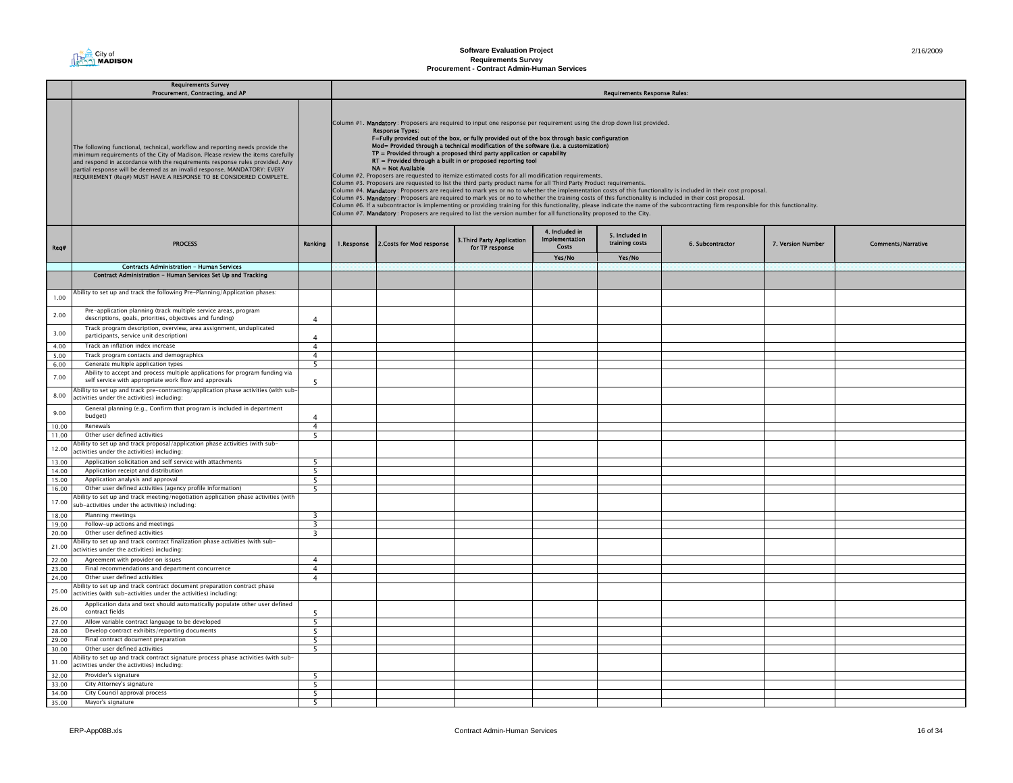

|                | <b>Requirements Survey</b><br>Procurement, Contracting, and AP                                                                                                                                                                                                                                                                                                                                    |                | <b>Requirements Response Rules:</b> |                                                                                                                                                                                                                                                                                                                                                                                                                                                                                                                                                                                                                                                                                                                                                                                                                                                                                                                                                                                                                                                                                                                                                                                                                                                                                                                                                                             |  |  |  |  |  |  |  |  |
|----------------|---------------------------------------------------------------------------------------------------------------------------------------------------------------------------------------------------------------------------------------------------------------------------------------------------------------------------------------------------------------------------------------------------|----------------|-------------------------------------|-----------------------------------------------------------------------------------------------------------------------------------------------------------------------------------------------------------------------------------------------------------------------------------------------------------------------------------------------------------------------------------------------------------------------------------------------------------------------------------------------------------------------------------------------------------------------------------------------------------------------------------------------------------------------------------------------------------------------------------------------------------------------------------------------------------------------------------------------------------------------------------------------------------------------------------------------------------------------------------------------------------------------------------------------------------------------------------------------------------------------------------------------------------------------------------------------------------------------------------------------------------------------------------------------------------------------------------------------------------------------------|--|--|--|--|--|--|--|--|
|                | The following functional, technical, workflow and reporting needs provide the<br>minimum requirements of the City of Madison. Please review the items carefully<br>and respond in accordance with the requirements response rules provided. Any<br>partial response will be deemed as an invalid response. MANDATORY: EVERY<br>REQUIREMENT (Reg#) MUST HAVE A RESPONSE TO BE CONSIDERED COMPLETE. |                |                                     | Column #1. Mandatory: Proposers are required to input one response per requirement using the drop down list provided.<br><b>Response Types:</b><br>F=Fully provided out of the box, or fully provided out of the box through basic configuration<br>Mod= Provided through a technical modification of the software (i.e. a customization)<br>$TP =$ Provided through a proposed third party application or capability<br>RT = Provided through a built in or proposed reporting tool<br>NA = Not Available<br>Column #2. Proposers are requested to itemize estimated costs for all modification requirements.<br>Column #3. Proposers are requested to list the third party product name for all Third Party Product requirements.<br>Column #4. Mandatory: Proposers are required to mark yes or no to whether the implementation costs of this functionality is included in their cost proposal.<br>Column #5. Mandatory: Proposers are required to mark yes or no to whether the training costs of this functionality is included in their cost proposal.<br>Column #6. If a subcontractor is implementing or providing training for this functionality, please indicate the name of the subcontracting firm responsible for this functionality.<br>Column #7. Mandatory: Proposers are required to list the version number for all functionality proposed to the City. |  |  |  |  |  |  |  |  |
| Req#           | <b>PROCESS</b>                                                                                                                                                                                                                                                                                                                                                                                    | Ranking        | 1.Response                          | 4. Included in<br>5. Included in<br><b>Implementation</b><br>3. Third Party Application<br>training costs<br>2. Costs for Mod response<br>6. Subcontractor<br>7. Version Number<br><b>Costs</b><br>for TP response<br>Yes/No<br>Yes/No                                                                                                                                                                                                                                                                                                                                                                                                                                                                                                                                                                                                                                                                                                                                                                                                                                                                                                                                                                                                                                                                                                                                      |  |  |  |  |  |  |  |  |
|                | <b>Contracts Administration - Human Services</b>                                                                                                                                                                                                                                                                                                                                                  |                |                                     |                                                                                                                                                                                                                                                                                                                                                                                                                                                                                                                                                                                                                                                                                                                                                                                                                                                                                                                                                                                                                                                                                                                                                                                                                                                                                                                                                                             |  |  |  |  |  |  |  |  |
|                | Contract Administration - Human Services Set Up and Tracking                                                                                                                                                                                                                                                                                                                                      |                |                                     |                                                                                                                                                                                                                                                                                                                                                                                                                                                                                                                                                                                                                                                                                                                                                                                                                                                                                                                                                                                                                                                                                                                                                                                                                                                                                                                                                                             |  |  |  |  |  |  |  |  |
| 1.00           | Ability to set up and track the following Pre-Planning/Application phases:                                                                                                                                                                                                                                                                                                                        |                |                                     |                                                                                                                                                                                                                                                                                                                                                                                                                                                                                                                                                                                                                                                                                                                                                                                                                                                                                                                                                                                                                                                                                                                                                                                                                                                                                                                                                                             |  |  |  |  |  |  |  |  |
| 2.00           | Pre-application planning (track multiple service areas, program<br>descriptions, goals, priorities, objectives and funding)                                                                                                                                                                                                                                                                       | $\overline{4}$ |                                     |                                                                                                                                                                                                                                                                                                                                                                                                                                                                                                                                                                                                                                                                                                                                                                                                                                                                                                                                                                                                                                                                                                                                                                                                                                                                                                                                                                             |  |  |  |  |  |  |  |  |
| 3.00           | Track program description, overview, area assignment, unduplicated<br>participants, service unit description)                                                                                                                                                                                                                                                                                     | $\overline{4}$ |                                     |                                                                                                                                                                                                                                                                                                                                                                                                                                                                                                                                                                                                                                                                                                                                                                                                                                                                                                                                                                                                                                                                                                                                                                                                                                                                                                                                                                             |  |  |  |  |  |  |  |  |
| 4.00           | Track an inflation index increase                                                                                                                                                                                                                                                                                                                                                                 | $\overline{4}$ |                                     |                                                                                                                                                                                                                                                                                                                                                                                                                                                                                                                                                                                                                                                                                                                                                                                                                                                                                                                                                                                                                                                                                                                                                                                                                                                                                                                                                                             |  |  |  |  |  |  |  |  |
| 5.00           | Track program contacts and demographics                                                                                                                                                                                                                                                                                                                                                           | $\overline{4}$ |                                     |                                                                                                                                                                                                                                                                                                                                                                                                                                                                                                                                                                                                                                                                                                                                                                                                                                                                                                                                                                                                                                                                                                                                                                                                                                                                                                                                                                             |  |  |  |  |  |  |  |  |
| 6.00           | Generate multiple application types                                                                                                                                                                                                                                                                                                                                                               | 5              |                                     |                                                                                                                                                                                                                                                                                                                                                                                                                                                                                                                                                                                                                                                                                                                                                                                                                                                                                                                                                                                                                                                                                                                                                                                                                                                                                                                                                                             |  |  |  |  |  |  |  |  |
| 7.00           | Ability to accept and process multiple applications for program funding via<br>self service with appropriate work flow and approvals                                                                                                                                                                                                                                                              | -5             |                                     |                                                                                                                                                                                                                                                                                                                                                                                                                                                                                                                                                                                                                                                                                                                                                                                                                                                                                                                                                                                                                                                                                                                                                                                                                                                                                                                                                                             |  |  |  |  |  |  |  |  |
| 8.00           | Ability to set up and track pre-contracting/application phase activities (with sub-<br>ctivities under the activities) including:                                                                                                                                                                                                                                                                 |                |                                     |                                                                                                                                                                                                                                                                                                                                                                                                                                                                                                                                                                                                                                                                                                                                                                                                                                                                                                                                                                                                                                                                                                                                                                                                                                                                                                                                                                             |  |  |  |  |  |  |  |  |
| 9.00           | General planning (e.g., Confirm that program is included in department<br>budget)                                                                                                                                                                                                                                                                                                                 | $\Delta$       |                                     |                                                                                                                                                                                                                                                                                                                                                                                                                                                                                                                                                                                                                                                                                                                                                                                                                                                                                                                                                                                                                                                                                                                                                                                                                                                                                                                                                                             |  |  |  |  |  |  |  |  |
| 10.00          | Renewals                                                                                                                                                                                                                                                                                                                                                                                          | $\overline{4}$ |                                     |                                                                                                                                                                                                                                                                                                                                                                                                                                                                                                                                                                                                                                                                                                                                                                                                                                                                                                                                                                                                                                                                                                                                                                                                                                                                                                                                                                             |  |  |  |  |  |  |  |  |
| 11.00          | Other user defined activities                                                                                                                                                                                                                                                                                                                                                                     | 5              |                                     |                                                                                                                                                                                                                                                                                                                                                                                                                                                                                                                                                                                                                                                                                                                                                                                                                                                                                                                                                                                                                                                                                                                                                                                                                                                                                                                                                                             |  |  |  |  |  |  |  |  |
| 12.00          | bility to set up and track proposal/application phase activities (with sub-<br>activities under the activities) including:                                                                                                                                                                                                                                                                        |                |                                     |                                                                                                                                                                                                                                                                                                                                                                                                                                                                                                                                                                                                                                                                                                                                                                                                                                                                                                                                                                                                                                                                                                                                                                                                                                                                                                                                                                             |  |  |  |  |  |  |  |  |
| 13.00          | Application solicitation and self service with attachments                                                                                                                                                                                                                                                                                                                                        | - 5            |                                     |                                                                                                                                                                                                                                                                                                                                                                                                                                                                                                                                                                                                                                                                                                                                                                                                                                                                                                                                                                                                                                                                                                                                                                                                                                                                                                                                                                             |  |  |  |  |  |  |  |  |
| 14.00          | Application receipt and distribution                                                                                                                                                                                                                                                                                                                                                              | 5              |                                     |                                                                                                                                                                                                                                                                                                                                                                                                                                                                                                                                                                                                                                                                                                                                                                                                                                                                                                                                                                                                                                                                                                                                                                                                                                                                                                                                                                             |  |  |  |  |  |  |  |  |
| 15.00          | Application analysis and approval                                                                                                                                                                                                                                                                                                                                                                 | - 5            |                                     |                                                                                                                                                                                                                                                                                                                                                                                                                                                                                                                                                                                                                                                                                                                                                                                                                                                                                                                                                                                                                                                                                                                                                                                                                                                                                                                                                                             |  |  |  |  |  |  |  |  |
| 16.00          | Other user defined activities (agency profile information)                                                                                                                                                                                                                                                                                                                                        | -5             |                                     |                                                                                                                                                                                                                                                                                                                                                                                                                                                                                                                                                                                                                                                                                                                                                                                                                                                                                                                                                                                                                                                                                                                                                                                                                                                                                                                                                                             |  |  |  |  |  |  |  |  |
| 17.00          | Ability to set up and track meeting/negotiation application phase activities (with<br>sub-activities under the activities) including:                                                                                                                                                                                                                                                             |                |                                     |                                                                                                                                                                                                                                                                                                                                                                                                                                                                                                                                                                                                                                                                                                                                                                                                                                                                                                                                                                                                                                                                                                                                                                                                                                                                                                                                                                             |  |  |  |  |  |  |  |  |
| 18.00          | Planning meetings                                                                                                                                                                                                                                                                                                                                                                                 | 3              |                                     |                                                                                                                                                                                                                                                                                                                                                                                                                                                                                                                                                                                                                                                                                                                                                                                                                                                                                                                                                                                                                                                                                                                                                                                                                                                                                                                                                                             |  |  |  |  |  |  |  |  |
| 19.00<br>20.00 | Follow-up actions and meetings<br>Other user defined activities                                                                                                                                                                                                                                                                                                                                   | 3<br>3         |                                     |                                                                                                                                                                                                                                                                                                                                                                                                                                                                                                                                                                                                                                                                                                                                                                                                                                                                                                                                                                                                                                                                                                                                                                                                                                                                                                                                                                             |  |  |  |  |  |  |  |  |
| 21.00          | Ability to set up and track contract finalization phase activities (with sub-<br>ctivities under the activities) including:                                                                                                                                                                                                                                                                       |                |                                     |                                                                                                                                                                                                                                                                                                                                                                                                                                                                                                                                                                                                                                                                                                                                                                                                                                                                                                                                                                                                                                                                                                                                                                                                                                                                                                                                                                             |  |  |  |  |  |  |  |  |
| 22.00          | Agreement with provider on issues                                                                                                                                                                                                                                                                                                                                                                 | $\overline{4}$ |                                     |                                                                                                                                                                                                                                                                                                                                                                                                                                                                                                                                                                                                                                                                                                                                                                                                                                                                                                                                                                                                                                                                                                                                                                                                                                                                                                                                                                             |  |  |  |  |  |  |  |  |
| 23.00          | Final recommendations and department concurrence                                                                                                                                                                                                                                                                                                                                                  | $\overline{4}$ |                                     |                                                                                                                                                                                                                                                                                                                                                                                                                                                                                                                                                                                                                                                                                                                                                                                                                                                                                                                                                                                                                                                                                                                                                                                                                                                                                                                                                                             |  |  |  |  |  |  |  |  |
| 24.00          | Other user defined activities                                                                                                                                                                                                                                                                                                                                                                     | $\overline{4}$ |                                     |                                                                                                                                                                                                                                                                                                                                                                                                                                                                                                                                                                                                                                                                                                                                                                                                                                                                                                                                                                                                                                                                                                                                                                                                                                                                                                                                                                             |  |  |  |  |  |  |  |  |
| 25.00          | Ability to set up and track contract document preparation contract phase<br>ictivities (with sub-activities under the activities) including:                                                                                                                                                                                                                                                      |                |                                     |                                                                                                                                                                                                                                                                                                                                                                                                                                                                                                                                                                                                                                                                                                                                                                                                                                                                                                                                                                                                                                                                                                                                                                                                                                                                                                                                                                             |  |  |  |  |  |  |  |  |
| 26.00          | Application data and text should automatically populate other user defined<br>contract fields                                                                                                                                                                                                                                                                                                     |                |                                     |                                                                                                                                                                                                                                                                                                                                                                                                                                                                                                                                                                                                                                                                                                                                                                                                                                                                                                                                                                                                                                                                                                                                                                                                                                                                                                                                                                             |  |  |  |  |  |  |  |  |
| 27.00          | Allow variable contract language to be developed                                                                                                                                                                                                                                                                                                                                                  | 5              |                                     |                                                                                                                                                                                                                                                                                                                                                                                                                                                                                                                                                                                                                                                                                                                                                                                                                                                                                                                                                                                                                                                                                                                                                                                                                                                                                                                                                                             |  |  |  |  |  |  |  |  |
| 28.00          | Develop contract exhibits/reporting documents                                                                                                                                                                                                                                                                                                                                                     | 5              |                                     |                                                                                                                                                                                                                                                                                                                                                                                                                                                                                                                                                                                                                                                                                                                                                                                                                                                                                                                                                                                                                                                                                                                                                                                                                                                                                                                                                                             |  |  |  |  |  |  |  |  |
| 29.00          | Final contract document preparation                                                                                                                                                                                                                                                                                                                                                               | - 5            |                                     |                                                                                                                                                                                                                                                                                                                                                                                                                                                                                                                                                                                                                                                                                                                                                                                                                                                                                                                                                                                                                                                                                                                                                                                                                                                                                                                                                                             |  |  |  |  |  |  |  |  |
| 30.00          | Other user defined activities                                                                                                                                                                                                                                                                                                                                                                     | 5              |                                     |                                                                                                                                                                                                                                                                                                                                                                                                                                                                                                                                                                                                                                                                                                                                                                                                                                                                                                                                                                                                                                                                                                                                                                                                                                                                                                                                                                             |  |  |  |  |  |  |  |  |
| 31.00          | Ability to set up and track contract signature process phase activities (with sub-<br>activities under the activities) including:                                                                                                                                                                                                                                                                 |                |                                     |                                                                                                                                                                                                                                                                                                                                                                                                                                                                                                                                                                                                                                                                                                                                                                                                                                                                                                                                                                                                                                                                                                                                                                                                                                                                                                                                                                             |  |  |  |  |  |  |  |  |
| 32.00          | Provider's signature                                                                                                                                                                                                                                                                                                                                                                              | 5              |                                     |                                                                                                                                                                                                                                                                                                                                                                                                                                                                                                                                                                                                                                                                                                                                                                                                                                                                                                                                                                                                                                                                                                                                                                                                                                                                                                                                                                             |  |  |  |  |  |  |  |  |
| 33.00          | City Attorney's signature                                                                                                                                                                                                                                                                                                                                                                         | 5              |                                     |                                                                                                                                                                                                                                                                                                                                                                                                                                                                                                                                                                                                                                                                                                                                                                                                                                                                                                                                                                                                                                                                                                                                                                                                                                                                                                                                                                             |  |  |  |  |  |  |  |  |
| 34.00          | City Council approval process                                                                                                                                                                                                                                                                                                                                                                     | 5              |                                     |                                                                                                                                                                                                                                                                                                                                                                                                                                                                                                                                                                                                                                                                                                                                                                                                                                                                                                                                                                                                                                                                                                                                                                                                                                                                                                                                                                             |  |  |  |  |  |  |  |  |
| 35.00          | Mayor's signature                                                                                                                                                                                                                                                                                                                                                                                 | 5              |                                     |                                                                                                                                                                                                                                                                                                                                                                                                                                                                                                                                                                                                                                                                                                                                                                                                                                                                                                                                                                                                                                                                                                                                                                                                                                                                                                                                                                             |  |  |  |  |  |  |  |  |
|                |                                                                                                                                                                                                                                                                                                                                                                                                   |                |                                     |                                                                                                                                                                                                                                                                                                                                                                                                                                                                                                                                                                                                                                                                                                                                                                                                                                                                                                                                                                                                                                                                                                                                                                                                                                                                                                                                                                             |  |  |  |  |  |  |  |  |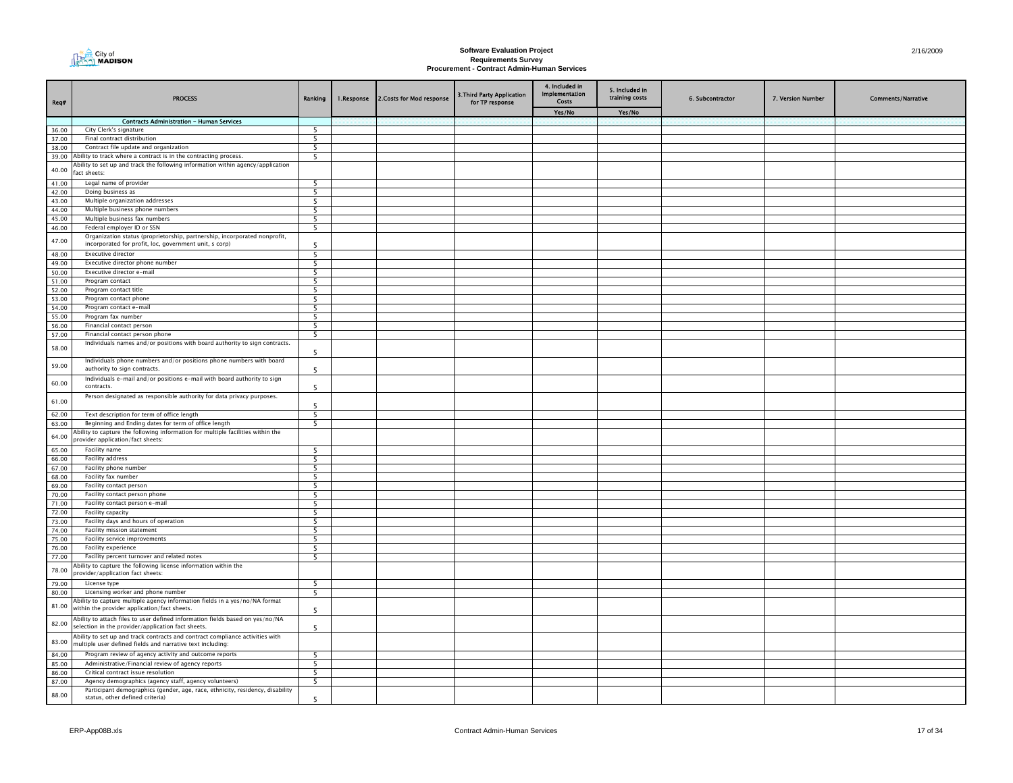

| Req#           | <b>PROCESS</b>                                                                                                                              | Ranking                  | 1.Response | 2. Costs for Mod response | 3. Third Party Application<br>for TP response | 4. Included in<br>Implementation<br>Costs | 5. Included in<br>training costs | 6. Subcontractor | 7. Version Number | <b>Comments/Narrative</b> |
|----------------|---------------------------------------------------------------------------------------------------------------------------------------------|--------------------------|------------|---------------------------|-----------------------------------------------|-------------------------------------------|----------------------------------|------------------|-------------------|---------------------------|
|                |                                                                                                                                             |                          |            |                           |                                               | Yes/No                                    | Yes/No                           |                  |                   |                           |
|                | <b>Contracts Administration - Human Services</b>                                                                                            |                          |            |                           |                                               |                                           |                                  |                  |                   |                           |
| 36.00          | City Clerk's signature                                                                                                                      | 5                        |            |                           |                                               |                                           |                                  |                  |                   |                           |
| 37.00          | Final contract distribution                                                                                                                 | 5                        |            |                           |                                               |                                           |                                  |                  |                   |                           |
| 38.00<br>39.00 | Contract file update and organization<br>Ability to track where a contract is in the contracting process.                                   | 5<br>5                   |            |                           |                                               |                                           |                                  |                  |                   |                           |
|                | Ability to set up and track the following information within agency/application                                                             |                          |            |                           |                                               |                                           |                                  |                  |                   |                           |
| 40.00          | act sheets:                                                                                                                                 |                          |            |                           |                                               |                                           |                                  |                  |                   |                           |
| 41.00          | Legal name of provider                                                                                                                      | 5                        |            |                           |                                               |                                           |                                  |                  |                   |                           |
| 42.00          | Doing business as                                                                                                                           | 5                        |            |                           |                                               |                                           |                                  |                  |                   |                           |
| 43.00          | Multiple organization addresses                                                                                                             | 5                        |            |                           |                                               |                                           |                                  |                  |                   |                           |
| 44.00          | Multiple business phone numbers                                                                                                             | 5                        |            |                           |                                               |                                           |                                  |                  |                   |                           |
| 45.00<br>46.00 | Multiple business fax numbers<br>Federal employer ID or SSN                                                                                 | 5<br>5                   |            |                           |                                               |                                           |                                  |                  |                   |                           |
|                | Organization status (proprietorship, partnership, incorporated nonprofit,                                                                   |                          |            |                           |                                               |                                           |                                  |                  |                   |                           |
| 47.00          | incorporated for profit, loc, government unit, s corp)                                                                                      | 5                        |            |                           |                                               |                                           |                                  |                  |                   |                           |
| 48.00          | <b>Executive director</b>                                                                                                                   | 5                        |            |                           |                                               |                                           |                                  |                  |                   |                           |
| 49.00          | Executive director phone number                                                                                                             | 5                        |            |                           |                                               |                                           |                                  |                  |                   |                           |
| 50.00          | Executive director e-mail                                                                                                                   | 5                        |            |                           |                                               |                                           |                                  |                  |                   |                           |
| 51.00          | Program contact                                                                                                                             | 5                        |            |                           |                                               |                                           |                                  |                  |                   |                           |
| 52.00          | Program contact title                                                                                                                       | $\overline{5}$           |            |                           |                                               |                                           |                                  |                  |                   |                           |
| 53.00<br>54.00 | Program contact phone<br>Program contact e-mail                                                                                             | 5<br>5                   |            |                           |                                               |                                           |                                  |                  |                   |                           |
| 55.00          | Program fax number                                                                                                                          | 5                        |            |                           |                                               |                                           |                                  |                  |                   |                           |
| 56.00          | Financial contact person                                                                                                                    | 5                        |            |                           |                                               |                                           |                                  |                  |                   |                           |
| 57.00          | Financial contact person phone                                                                                                              | 5                        |            |                           |                                               |                                           |                                  |                  |                   |                           |
| 58.00          | Individuals names and/or positions with board authority to sign contracts.                                                                  | -5                       |            |                           |                                               |                                           |                                  |                  |                   |                           |
| 59.00          | Individuals phone numbers and/or positions phone numbers with board<br>authority to sign contracts.                                         | -5                       |            |                           |                                               |                                           |                                  |                  |                   |                           |
| 60.00          | Individuals e-mail and/or positions e-mail with board authority to sign<br>contracts.                                                       | 5                        |            |                           |                                               |                                           |                                  |                  |                   |                           |
| 61.00          | Person designated as responsible authority for data privacy purposes.                                                                       | 5                        |            |                           |                                               |                                           |                                  |                  |                   |                           |
| 62.00          | Text description for term of office length                                                                                                  | -5                       |            |                           |                                               |                                           |                                  |                  |                   |                           |
| 63.00          | Beginning and Ending dates for term of office length                                                                                        | $\overline{\phantom{0}}$ |            |                           |                                               |                                           |                                  |                  |                   |                           |
| 64.00          | Ability to capture the following information for multiple facilities within the<br>rovider application/fact sheets:                         |                          |            |                           |                                               |                                           |                                  |                  |                   |                           |
| 65.00          | Facility name                                                                                                                               | 5                        |            |                           |                                               |                                           |                                  |                  |                   |                           |
| 66.00          | Facility address                                                                                                                            | 5                        |            |                           |                                               |                                           |                                  |                  |                   |                           |
| 67.00<br>68.00 | Facility phone number<br>Facility fax number                                                                                                | 5<br>-5                  |            |                           |                                               |                                           |                                  |                  |                   |                           |
| 69.00          | Facility contact person                                                                                                                     | 5                        |            |                           |                                               |                                           |                                  |                  |                   |                           |
| 70.00          | Facility contact person phone                                                                                                               | $\overline{5}$           |            |                           |                                               |                                           |                                  |                  |                   |                           |
| 71.00          | Facility contact person e-mail                                                                                                              | 5                        |            |                           |                                               |                                           |                                  |                  |                   |                           |
| 72.00          | Facility capacity                                                                                                                           | 5                        |            |                           |                                               |                                           |                                  |                  |                   |                           |
| 73.00          | Facility days and hours of operation                                                                                                        | - 5                      |            |                           |                                               |                                           |                                  |                  |                   |                           |
| 74.00          | Facility mission statement                                                                                                                  | 5                        |            |                           |                                               |                                           |                                  |                  |                   |                           |
| 75.00          | Facility service improvements                                                                                                               | 5                        |            |                           |                                               |                                           |                                  |                  |                   |                           |
| 76.00          | Facility experience                                                                                                                         | 5                        |            |                           |                                               |                                           |                                  |                  |                   |                           |
| 77.00          | Facility percent turnover and related notes                                                                                                 | 5                        |            |                           |                                               |                                           |                                  |                  |                   |                           |
| 78.00          | Ability to capture the following license information within the<br>provider/application fact sheets:                                        |                          |            |                           |                                               |                                           |                                  |                  |                   |                           |
| 79.00          | License type                                                                                                                                | 5                        |            |                           |                                               |                                           |                                  |                  |                   |                           |
| 80.00          | Licensing worker and phone number                                                                                                           | - 5                      |            |                           |                                               |                                           |                                  |                  |                   |                           |
| 81.00          | Ability to capture multiple agency information fields in a yes/no/NA format<br>within the provider application/fact sheets.                 | -5                       |            |                           |                                               |                                           |                                  |                  |                   |                           |
| 82.00          | Ability to attach files to user defined information fields based on yes/no/NA<br>selection in the provider/application fact sheets.         | 5                        |            |                           |                                               |                                           |                                  |                  |                   |                           |
| 83.00          | Ability to set up and track contracts and contract compliance activities with<br>multiple user defined fields and narrative text including: |                          |            |                           |                                               |                                           |                                  |                  |                   |                           |
| 84.00          | Program review of agency activity and outcome reports                                                                                       | 5                        |            |                           |                                               |                                           |                                  |                  |                   |                           |
| 85.00          | Administrative/Financial review of agency reports                                                                                           | 5                        |            |                           |                                               |                                           |                                  |                  |                   |                           |
| 86.00<br>87.00 | Critical contract issue resolution<br>Agency demographics (agency staff, agency volunteers)                                                 | 5<br>$\overline{5}$      |            |                           |                                               |                                           |                                  |                  |                   |                           |
|                | Participant demographics (gender, age, race, ethnicity, residency, disability                                                               |                          |            |                           |                                               |                                           |                                  |                  |                   |                           |
| 88.00          | status, other defined criteria)                                                                                                             | 5                        |            |                           |                                               |                                           |                                  |                  |                   |                           |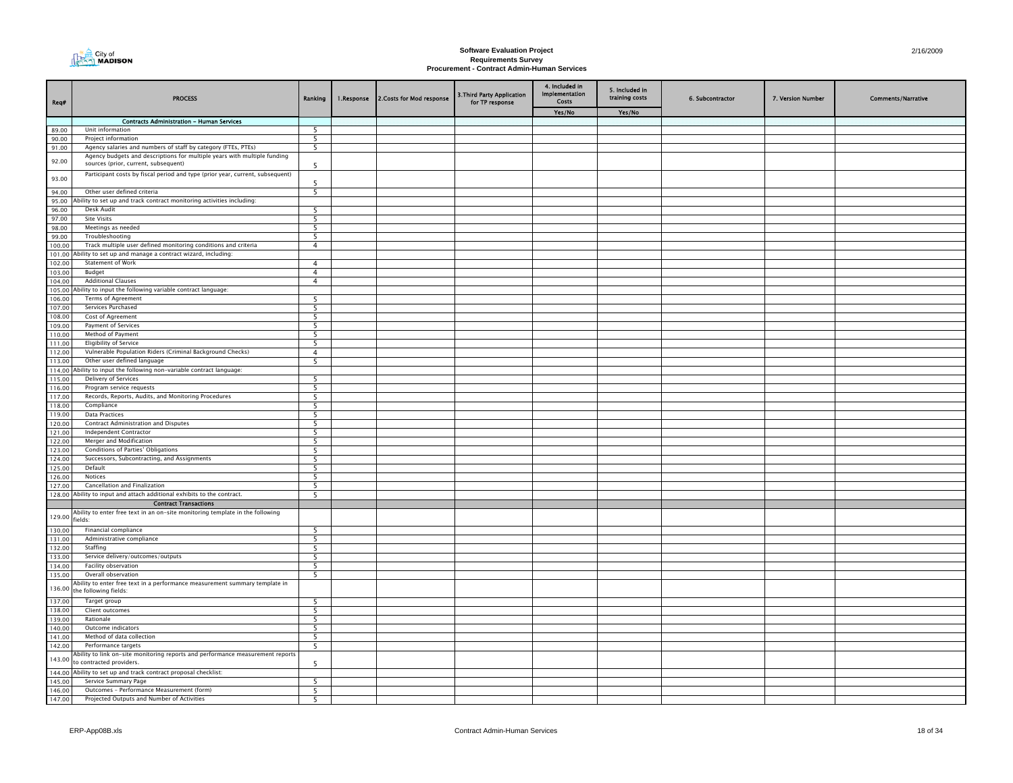

| Req#             | <b>PROCESS</b>                                                                                                                            | Ranking        | 1.Response | 2. Costs for Mod response | 3. Third Party Application<br>for TP response | 4. Included in<br>Implementation<br><b>Costs</b> | 5. Included in<br>training costs | 6. Subcontractor | 7. Version Number | <b>Comments/Narrative</b> |
|------------------|-------------------------------------------------------------------------------------------------------------------------------------------|----------------|------------|---------------------------|-----------------------------------------------|--------------------------------------------------|----------------------------------|------------------|-------------------|---------------------------|
|                  |                                                                                                                                           |                |            |                           |                                               | Yes/No                                           | Yes/No                           |                  |                   |                           |
|                  | <b>Contracts Administration - Human Services</b>                                                                                          |                |            |                           |                                               |                                                  |                                  |                  |                   |                           |
| 89.00            | Unit information<br>Project information                                                                                                   | 5              |            |                           |                                               |                                                  |                                  |                  |                   |                           |
| 90.00            |                                                                                                                                           | 5              |            |                           |                                               |                                                  |                                  |                  |                   |                           |
| 91.00            | Agency salaries and numbers of staff by category (FTEs, PTEs)<br>Agency budgets and descriptions for multiple years with multiple funding | 5              |            |                           |                                               |                                                  |                                  |                  |                   |                           |
| 92.00            | sources (prior, current, subsequent)                                                                                                      | 5              |            |                           |                                               |                                                  |                                  |                  |                   |                           |
| 93.00            | Participant costs by fiscal period and type (prior year, current, subsequent)                                                             | 5              |            |                           |                                               |                                                  |                                  |                  |                   |                           |
| 94.00            | Other user defined criteria                                                                                                               | 5              |            |                           |                                               |                                                  |                                  |                  |                   |                           |
| 95.00            | Ability to set up and track contract monitoring activities including:                                                                     |                |            |                           |                                               |                                                  |                                  |                  |                   |                           |
| 96.00            | Desk Audit                                                                                                                                | 5              |            |                           |                                               |                                                  |                                  |                  |                   |                           |
| 97.00<br>98.00   | Site Visits<br>Meetings as needed                                                                                                         | 5<br>5         |            |                           |                                               |                                                  |                                  |                  |                   |                           |
| 99.00            | Troubleshooting                                                                                                                           | 5              |            |                           |                                               |                                                  |                                  |                  |                   |                           |
| 100.00           | Track multiple user defined monitoring conditions and criteria                                                                            | $\overline{4}$ |            |                           |                                               |                                                  |                                  |                  |                   |                           |
|                  | 101.00 Ability to set up and manage a contract wizard, including:                                                                         |                |            |                           |                                               |                                                  |                                  |                  |                   |                           |
| 102.00           | <b>Statement of Work</b>                                                                                                                  | $\overline{4}$ |            |                           |                                               |                                                  |                                  |                  |                   |                           |
| 103.00           | Budget                                                                                                                                    | $\overline{4}$ |            |                           |                                               |                                                  |                                  |                  |                   |                           |
| 104.00           | <b>Additional Clauses</b>                                                                                                                 | $\overline{4}$ |            |                           |                                               |                                                  |                                  |                  |                   |                           |
|                  | 105.00 Ability to input the following variable contract language:                                                                         |                |            |                           |                                               |                                                  |                                  |                  |                   |                           |
| 106.00           | Terms of Agreement                                                                                                                        | 5              |            |                           |                                               |                                                  |                                  |                  |                   |                           |
| 107.00           | Services Purchased                                                                                                                        | 5              |            |                           |                                               |                                                  |                                  |                  |                   |                           |
| 108.00           | Cost of Agreement                                                                                                                         | 5              |            |                           |                                               |                                                  |                                  |                  |                   |                           |
| 109.00           | <b>Payment of Services</b>                                                                                                                | - 5            |            |                           |                                               |                                                  |                                  |                  |                   |                           |
| 110.00           | Method of Payment                                                                                                                         | 5              |            |                           |                                               |                                                  |                                  |                  |                   |                           |
| 111.00           | <b>Eligibility of Service</b>                                                                                                             | 5              |            |                           |                                               |                                                  |                                  |                  |                   |                           |
| 112.00           | Vulnerable Population Riders (Criminal Background Checks)                                                                                 | $\overline{4}$ |            |                           |                                               |                                                  |                                  |                  |                   |                           |
| 113.00<br>114.00 | Other user defined language<br>Ability to input the following non-variable contract language:                                             | 5              |            |                           |                                               |                                                  |                                  |                  |                   |                           |
| 115.00           | Delivery of Services                                                                                                                      | 5              |            |                           |                                               |                                                  |                                  |                  |                   |                           |
| 116.00           | Program service requests                                                                                                                  | - 5            |            |                           |                                               |                                                  |                                  |                  |                   |                           |
| 117.00           | Records, Reports, Audits, and Monitoring Procedures                                                                                       | 5              |            |                           |                                               |                                                  |                                  |                  |                   |                           |
| 118.00           | Compliance                                                                                                                                | 5              |            |                           |                                               |                                                  |                                  |                  |                   |                           |
| 119.00           | <b>Data Practices</b>                                                                                                                     | 5              |            |                           |                                               |                                                  |                                  |                  |                   |                           |
| 120.00           | Contract Administration and Disputes                                                                                                      | 5              |            |                           |                                               |                                                  |                                  |                  |                   |                           |
| 121.00           | Independent Contractor                                                                                                                    | 5              |            |                           |                                               |                                                  |                                  |                  |                   |                           |
| 122.00           | Merger and Modification                                                                                                                   | 5              |            |                           |                                               |                                                  |                                  |                  |                   |                           |
| 123.00           | Conditions of Parties' Obligations                                                                                                        | 5              |            |                           |                                               |                                                  |                                  |                  |                   |                           |
| 124.00           | Successors, Subcontracting, and Assignments                                                                                               | 5              |            |                           |                                               |                                                  |                                  |                  |                   |                           |
| 125.00           | Default                                                                                                                                   | 5              |            |                           |                                               |                                                  |                                  |                  |                   |                           |
| 126.00           | Notices                                                                                                                                   | 5              |            |                           |                                               |                                                  |                                  |                  |                   |                           |
| 127.00           | Cancellation and Finalization<br>128.00 Ability to input and attach additional exhibits to the contract.                                  | 5<br>5         |            |                           |                                               |                                                  |                                  |                  |                   |                           |
|                  | <b>Contract Transactions</b>                                                                                                              |                |            |                           |                                               |                                                  |                                  |                  |                   |                           |
| 129.00 fields:   | Ability to enter free text in an on-site monitoring template in the following                                                             |                |            |                           |                                               |                                                  |                                  |                  |                   |                           |
| 130.00           | Financial compliance                                                                                                                      | 5              |            |                           |                                               |                                                  |                                  |                  |                   |                           |
| 131.00           | Administrative compliance                                                                                                                 | $\overline{5}$ |            |                           |                                               |                                                  |                                  |                  |                   |                           |
| 132.00           | Staffing                                                                                                                                  | -5             |            |                           |                                               |                                                  |                                  |                  |                   |                           |
| 133.00           | Service delivery/outcomes/outputs                                                                                                         | 5              |            |                           |                                               |                                                  |                                  |                  |                   |                           |
| 134.00           | Facility observation                                                                                                                      | 5              |            |                           |                                               |                                                  |                                  |                  |                   |                           |
| 135.00           | Overall observation                                                                                                                       | - 5            |            |                           |                                               |                                                  |                                  |                  |                   |                           |
| 136.00           | Ability to enter free text in a performance measurement summary template in<br>the following fields:                                      |                |            |                           |                                               |                                                  |                                  |                  |                   |                           |
| 137.00           | Target group                                                                                                                              | - 5            |            |                           |                                               |                                                  |                                  |                  |                   |                           |
| 138.00           | <b>Client outcomes</b>                                                                                                                    | -5             |            |                           |                                               |                                                  |                                  |                  |                   |                           |
| 139.00           | Rationale                                                                                                                                 | 5              |            |                           |                                               |                                                  |                                  |                  |                   |                           |
| 140.00           | Outcome indicators                                                                                                                        | -5             |            |                           |                                               |                                                  |                                  |                  |                   |                           |
| 141.00           | Method of data collection                                                                                                                 | 5              |            |                           |                                               |                                                  |                                  |                  |                   |                           |
| 142.00           | Performance targets                                                                                                                       | - 5            |            |                           |                                               |                                                  |                                  |                  |                   |                           |
| 143.00           | Ability to link on-site monitoring reports and performance measurement reports<br>to contracted providers.                                | -5             |            |                           |                                               |                                                  |                                  |                  |                   |                           |
|                  | 144.00 Ability to set up and track contract proposal checklist:                                                                           |                |            |                           |                                               |                                                  |                                  |                  |                   |                           |
| 145.00<br>146.00 | Service Summary Page                                                                                                                      | 5              |            |                           |                                               |                                                  |                                  |                  |                   |                           |
| 147.00           | Outcomes - Performance Measurement (form)<br>Projected Outputs and Number of Activities                                                   | 5<br>5         |            |                           |                                               |                                                  |                                  |                  |                   |                           |
|                  |                                                                                                                                           |                |            |                           |                                               |                                                  |                                  |                  |                   |                           |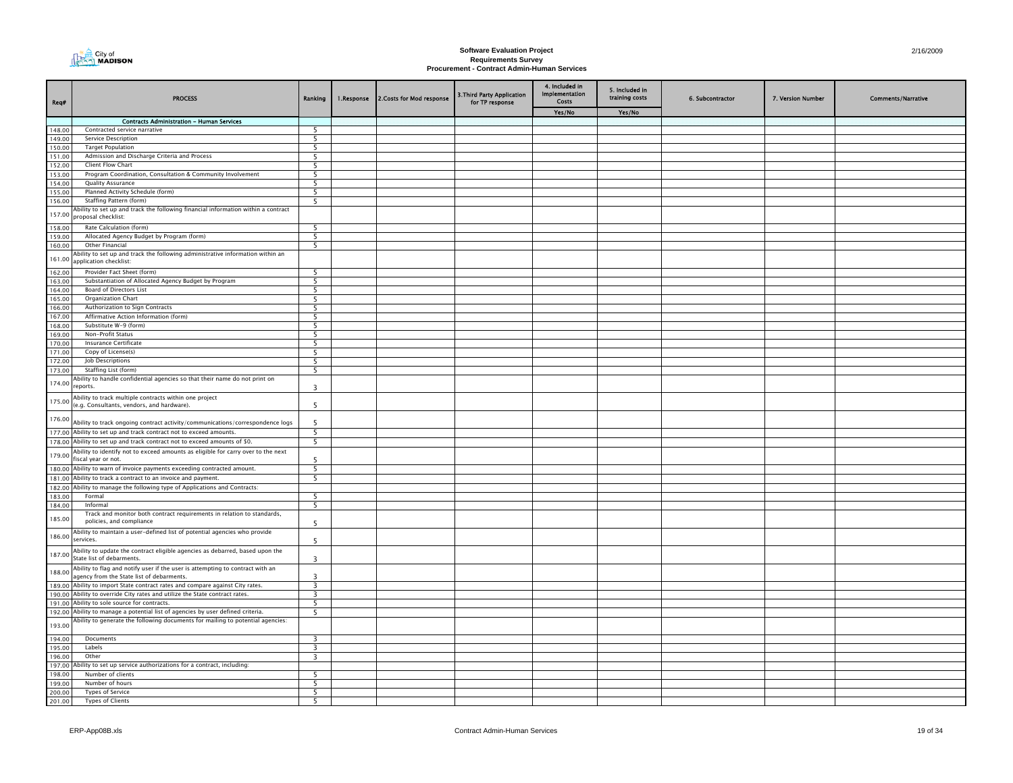

| Req#             | <b>PROCESS</b>                                                                                                             | Ranking                 | 1.Response | 2. Costs for Mod response | 3. Third Party Application<br>for TP response | 4. Included in<br><b>Implementation</b><br>Costs | 5. Included in<br>training costs | 6. Subcontractor | 7. Version Number | <b>Comments/Narrative</b> |
|------------------|----------------------------------------------------------------------------------------------------------------------------|-------------------------|------------|---------------------------|-----------------------------------------------|--------------------------------------------------|----------------------------------|------------------|-------------------|---------------------------|
|                  |                                                                                                                            |                         |            |                           |                                               | Yes/No                                           | Yes/No                           |                  |                   |                           |
|                  | <b>Contracts Administration - Human Services</b>                                                                           |                         |            |                           |                                               |                                                  |                                  |                  |                   |                           |
| 148.00           | Contracted service narrative                                                                                               | 5                       |            |                           |                                               |                                                  |                                  |                  |                   |                           |
| 149.00           | Service Description                                                                                                        | 5                       |            |                           |                                               |                                                  |                                  |                  |                   |                           |
| 150.00<br>151.00 | <b>Target Population</b><br>Admission and Discharge Criteria and Process                                                   | 5<br>5                  |            |                           |                                               |                                                  |                                  |                  |                   |                           |
| 152.00           | Client Flow Chart                                                                                                          | 5                       |            |                           |                                               |                                                  |                                  |                  |                   |                           |
| 153.00           | Program Coordination, Consultation & Community Involvement                                                                 | $\overline{5}$          |            |                           |                                               |                                                  |                                  |                  |                   |                           |
| 154.00           | Quality Assurance                                                                                                          | 5                       |            |                           |                                               |                                                  |                                  |                  |                   |                           |
| 155.00           | Planned Activity Schedule (form)                                                                                           | 5                       |            |                           |                                               |                                                  |                                  |                  |                   |                           |
| 156.00           | Staffing Pattern (form)                                                                                                    | 5                       |            |                           |                                               |                                                  |                                  |                  |                   |                           |
| 157.00           | Ability to set up and track the following financial information within a contract                                          |                         |            |                           |                                               |                                                  |                                  |                  |                   |                           |
| 158.00           | proposal checklist:<br>Rate Calculation (form)                                                                             | 5                       |            |                           |                                               |                                                  |                                  |                  |                   |                           |
| 159.00           | Allocated Agency Budget by Program (form)                                                                                  | 5                       |            |                           |                                               |                                                  |                                  |                  |                   |                           |
| 160.00           | Other Financial                                                                                                            | - 5                     |            |                           |                                               |                                                  |                                  |                  |                   |                           |
|                  | Ability to set up and track the following administrative information within an                                             |                         |            |                           |                                               |                                                  |                                  |                  |                   |                           |
| 161.00           | application checklist:                                                                                                     |                         |            |                           |                                               |                                                  |                                  |                  |                   |                           |
| 162.00           | Provider Fact Sheet (form)                                                                                                 | 5                       |            |                           |                                               |                                                  |                                  |                  |                   |                           |
| 163.00           | Substantiation of Allocated Agency Budget by Program                                                                       | 5                       |            |                           |                                               |                                                  |                                  |                  |                   |                           |
| 164.00           | Board of Directors List                                                                                                    | - 5                     |            |                           |                                               |                                                  |                                  |                  |                   |                           |
| 165.00           | <b>Organization Chart</b>                                                                                                  | 5                       |            |                           |                                               |                                                  |                                  |                  |                   |                           |
| 166.00           | Authorization to Sign Contracts                                                                                            | 5                       |            |                           |                                               |                                                  |                                  |                  |                   |                           |
| 167.00<br>168.00 | Affirmative Action Information (form)<br>Substitute W-9 (form)                                                             | $\overline{5}$<br>5     |            |                           |                                               |                                                  |                                  |                  |                   |                           |
| 169.00           | Non-Profit Status                                                                                                          | $\overline{5}$          |            |                           |                                               |                                                  |                                  |                  |                   |                           |
| 170.00           | Insurance Certificate                                                                                                      | 5                       |            |                           |                                               |                                                  |                                  |                  |                   |                           |
| 171.00           | Copy of License(s)                                                                                                         | 5                       |            |                           |                                               |                                                  |                                  |                  |                   |                           |
| 172.00           | Job Descriptions                                                                                                           | - 5                     |            |                           |                                               |                                                  |                                  |                  |                   |                           |
| 173.00           | Staffing List (form)                                                                                                       | 5                       |            |                           |                                               |                                                  |                                  |                  |                   |                           |
| 174.00           | Ability to handle confidential agencies so that their name do not print on<br>reports.                                     | 3                       |            |                           |                                               |                                                  |                                  |                  |                   |                           |
| 175.00           | Ability to track multiple contracts within one project<br>(e.g. Consultants, vendors, and hardware).                       | -5                      |            |                           |                                               |                                                  |                                  |                  |                   |                           |
| 176.00           | Ability to track ongoing contract activity/communications/correspondence logs                                              | 5                       |            |                           |                                               |                                                  |                                  |                  |                   |                           |
|                  | 177.00 Ability to set up and track contract not to exceed amounts.                                                         | 5                       |            |                           |                                               |                                                  |                                  |                  |                   |                           |
|                  | 178.00 Ability to set up and track contract not to exceed amounts of \$0.                                                  | 5                       |            |                           |                                               |                                                  |                                  |                  |                   |                           |
| 179.00           | Ability to identify not to exceed amounts as eligible for carry over to the next<br>fiscal year or not.                    | 5                       |            |                           |                                               |                                                  |                                  |                  |                   |                           |
| 180.00           | Ability to warn of invoice payments exceeding contracted amount.<br>Ability to track a contract to an invoice and payment. | 5                       |            |                           |                                               |                                                  |                                  |                  |                   |                           |
| 181.00           | 182.00 Ability to manage the following type of Applications and Contracts:                                                 | 5                       |            |                           |                                               |                                                  |                                  |                  |                   |                           |
| 183.00           | Formal                                                                                                                     | 5                       |            |                           |                                               |                                                  |                                  |                  |                   |                           |
| 184.00           | Informal                                                                                                                   | - 5                     |            |                           |                                               |                                                  |                                  |                  |                   |                           |
| 185.00           | Track and monitor both contract requirements in relation to standards,<br>policies, and compliance                         | 5                       |            |                           |                                               |                                                  |                                  |                  |                   |                           |
| 186.00           | Ability to maintain a user-defined list of potential agencies who provide<br>services.                                     | -5                      |            |                           |                                               |                                                  |                                  |                  |                   |                           |
| 187.00           | Ability to update the contract eligible agencies as debarred, based upon the<br>State list of debarments.                  | $\overline{\mathbf{3}}$ |            |                           |                                               |                                                  |                                  |                  |                   |                           |
| 188.00           | Ability to flag and notify user if the user is attempting to contract with an<br>agency from the State list of debarments. | $\overline{3}$          |            |                           |                                               |                                                  |                                  |                  |                   |                           |
| 189.00           | Ability to import State contract rates and compare against City rates.                                                     | $\overline{3}$          |            |                           |                                               |                                                  |                                  |                  |                   |                           |
|                  | 190.00 Ability to override City rates and utilize the State contract rates.                                                | $\overline{\mathbf{3}}$ |            |                           |                                               |                                                  |                                  |                  |                   |                           |
| 192.00           | 191.00 Ability to sole source for contracts.<br>Ability to manage a potential list of agencies by user defined criteria.   | 5<br>5                  |            |                           |                                               |                                                  |                                  |                  |                   |                           |
| 193.00           | Ability to generate the following documents for mailing to potential agencies:                                             |                         |            |                           |                                               |                                                  |                                  |                  |                   |                           |
| 194.00           | Documents                                                                                                                  | $\overline{\mathbf{3}}$ |            |                           |                                               |                                                  |                                  |                  |                   |                           |
| 195.00           | Labels                                                                                                                     | 3                       |            |                           |                                               |                                                  |                                  |                  |                   |                           |
| 196.00           | Other                                                                                                                      | $\overline{\mathbf{3}}$ |            |                           |                                               |                                                  |                                  |                  |                   |                           |
| 197.00           | Ability to set up service authorizations for a contract, including:                                                        |                         |            |                           |                                               |                                                  |                                  |                  |                   |                           |
| 198.00           | Number of clients                                                                                                          | 5                       |            |                           |                                               |                                                  |                                  |                  |                   |                           |
| 199.00           | Number of hours                                                                                                            | 5                       |            |                           |                                               |                                                  |                                  |                  |                   |                           |
| 200.00<br>201.00 | Types of Service<br>Types of Clients                                                                                       | 5<br>5                  |            |                           |                                               |                                                  |                                  |                  |                   |                           |
|                  |                                                                                                                            |                         |            |                           |                                               |                                                  |                                  |                  |                   |                           |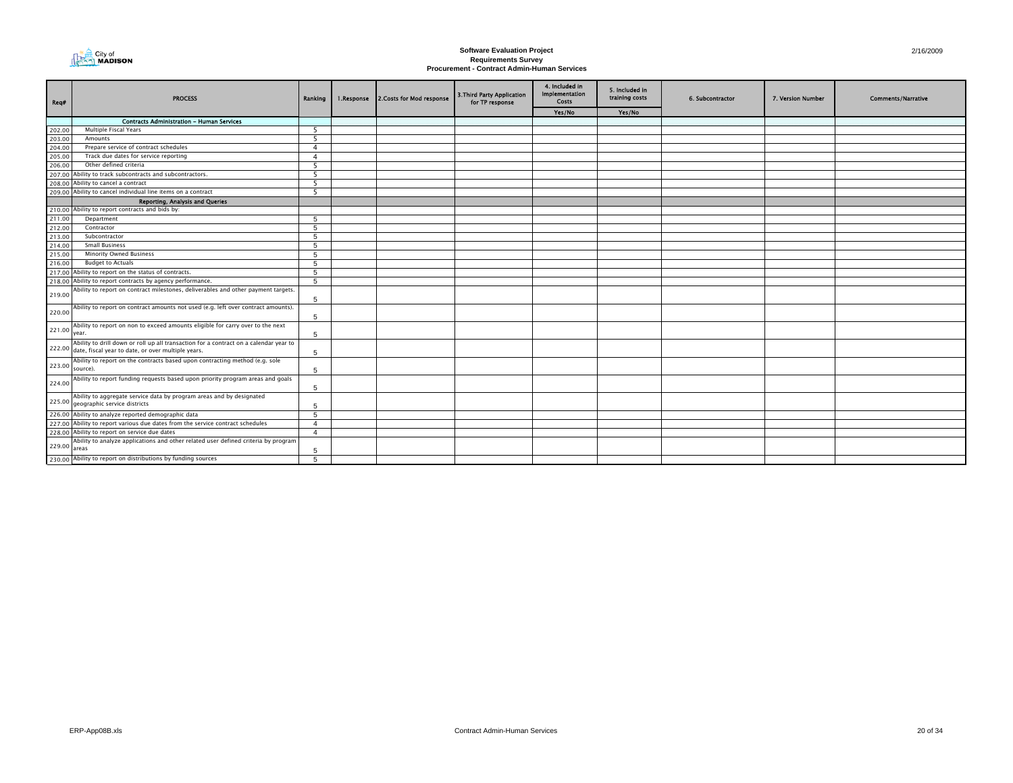

| Req#            | <b>PROCESS</b>                                                                                                                                     | Ranking                  | 1.Response | 2. Costs for Mod response | 3. Third Party Application<br>for TP response | 4. Included in<br><b>Implementation</b><br><b>Costs</b> | 5. Included in<br>training costs | 6. Subcontractor | 7. Version Number | <b>Comments/Narrative</b> |
|-----------------|----------------------------------------------------------------------------------------------------------------------------------------------------|--------------------------|------------|---------------------------|-----------------------------------------------|---------------------------------------------------------|----------------------------------|------------------|-------------------|---------------------------|
|                 |                                                                                                                                                    |                          |            |                           |                                               | Yes/No                                                  | Yes/No                           |                  |                   |                           |
|                 | <b>Contracts Administration - Human Services</b>                                                                                                   |                          |            |                           |                                               |                                                         |                                  |                  |                   |                           |
| 202.00          | Multiple Fiscal Years                                                                                                                              | $\overline{\phantom{a}}$ |            |                           |                                               |                                                         |                                  |                  |                   |                           |
| 203.00          | Amounts                                                                                                                                            | -5                       |            |                           |                                               |                                                         |                                  |                  |                   |                           |
| 204.00          | Prepare service of contract schedules                                                                                                              | $\overline{4}$           |            |                           |                                               |                                                         |                                  |                  |                   |                           |
| 205.00          | Track due dates for service reporting                                                                                                              | $\overline{4}$           |            |                           |                                               |                                                         |                                  |                  |                   |                           |
| 206.00          | Other defined criteria                                                                                                                             | -5                       |            |                           |                                               |                                                         |                                  |                  |                   |                           |
| 207.00          | Ability to track subcontracts and subcontractors.                                                                                                  | 5                        |            |                           |                                               |                                                         |                                  |                  |                   |                           |
|                 | 208.00 Ability to cancel a contract                                                                                                                | 5                        |            |                           |                                               |                                                         |                                  |                  |                   |                           |
|                 | 209.00 Ability to cancel individual line items on a contract                                                                                       | $\overline{\phantom{a}}$ |            |                           |                                               |                                                         |                                  |                  |                   |                           |
|                 | Reporting, Analysis and Queries                                                                                                                    |                          |            |                           |                                               |                                                         |                                  |                  |                   |                           |
|                 | 210.00 Ability to report contracts and bids by:                                                                                                    |                          |            |                           |                                               |                                                         |                                  |                  |                   |                           |
| 211.00          | Department                                                                                                                                         | 5                        |            |                           |                                               |                                                         |                                  |                  |                   |                           |
| 212.00          | Contractor                                                                                                                                         | $\overline{5}$           |            |                           |                                               |                                                         |                                  |                  |                   |                           |
| 213.00          | Subcontractor                                                                                                                                      | -5                       |            |                           |                                               |                                                         |                                  |                  |                   |                           |
| 214.00          | <b>Small Business</b>                                                                                                                              | 5                        |            |                           |                                               |                                                         |                                  |                  |                   |                           |
| 215.00          | <b>Minority Owned Business</b>                                                                                                                     | $\overline{5}$           |            |                           |                                               |                                                         |                                  |                  |                   |                           |
| 216.00          | <b>Budget to Actuals</b>                                                                                                                           | -5                       |            |                           |                                               |                                                         |                                  |                  |                   |                           |
|                 | 217.00 Ability to report on the status of contracts.                                                                                               | $5^{\circ}$              |            |                           |                                               |                                                         |                                  |                  |                   |                           |
|                 | 218.00 Ability to report contracts by agency performance.                                                                                          | -5                       |            |                           |                                               |                                                         |                                  |                  |                   |                           |
| 219.00          | Ability to report on contract milestones, deliverables and other payment targets.                                                                  | 5                        |            |                           |                                               |                                                         |                                  |                  |                   |                           |
| 220.00          | Ability to report on contract amounts not used (e.g. left over contract amounts).                                                                  | 5                        |            |                           |                                               |                                                         |                                  |                  |                   |                           |
| 221.00 year.    | Ability to report on non to exceed amounts eligible for carry over to the next                                                                     | 5                        |            |                           |                                               |                                                         |                                  |                  |                   |                           |
|                 | Ability to drill down or roll up all transaction for a contract on a calendar year to<br>222.00 date, fiscal year to date, or over multiple years. | $\overline{5}$           |            |                           |                                               |                                                         |                                  |                  |                   |                           |
| 223.00 source). | Ability to report on the contracts based upon contracting method (e.g. sole                                                                        | 5                        |            |                           |                                               |                                                         |                                  |                  |                   |                           |
| 224.00          | Ability to report funding requests based upon priority program areas and goals                                                                     | 5                        |            |                           |                                               |                                                         |                                  |                  |                   |                           |
|                 | Ability to aggregate service data by program areas and by designated<br>225.00 geographic service districts                                        | -5                       |            |                           |                                               |                                                         |                                  |                  |                   |                           |
|                 | 226.00 Ability to analyze reported demographic data                                                                                                | $\overline{5}$           |            |                           |                                               |                                                         |                                  |                  |                   |                           |
|                 | 227.00 Ability to report various due dates from the service contract schedules                                                                     | $\overline{a}$           |            |                           |                                               |                                                         |                                  |                  |                   |                           |
|                 | 228.00 Ability to report on service due dates                                                                                                      | $\overline{a}$           |            |                           |                                               |                                                         |                                  |                  |                   |                           |
| 229.00 areas    | Ability to analyze applications and other related user defined criteria by program                                                                 | -5                       |            |                           |                                               |                                                         |                                  |                  |                   |                           |
|                 | 230.00 Ability to report on distributions by funding sources                                                                                       | $\overline{5}$           |            |                           |                                               |                                                         |                                  |                  |                   |                           |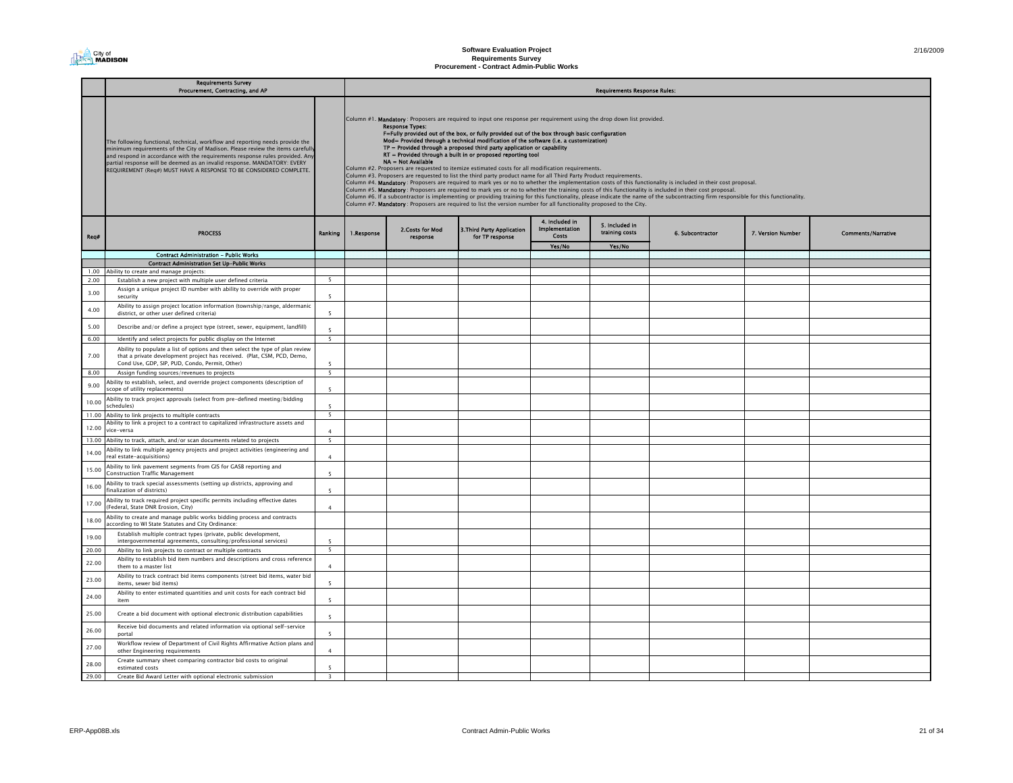### **Software Evaluation Project Requirements Survey Procurement - Contract Admin-Public Works**

| 2/16/2009 |
|-----------|

|       | <b>Requirements Survey</b><br>Procurement, Contracting, and AP                                                                                                                                                                                                                                                                                                                                    |                          |            |                                              |                                                                                                                                                                                                                                                                                                                                                                                                                                                                                                                                                                                                                                                                                                                                                                                                            |                                                  | <b>Requirements Response Rules:</b> |                                                                                                                                                                                                                                                                                                                                                                                                                                                                                                               |                   |                           |
|-------|---------------------------------------------------------------------------------------------------------------------------------------------------------------------------------------------------------------------------------------------------------------------------------------------------------------------------------------------------------------------------------------------------|--------------------------|------------|----------------------------------------------|------------------------------------------------------------------------------------------------------------------------------------------------------------------------------------------------------------------------------------------------------------------------------------------------------------------------------------------------------------------------------------------------------------------------------------------------------------------------------------------------------------------------------------------------------------------------------------------------------------------------------------------------------------------------------------------------------------------------------------------------------------------------------------------------------------|--------------------------------------------------|-------------------------------------|---------------------------------------------------------------------------------------------------------------------------------------------------------------------------------------------------------------------------------------------------------------------------------------------------------------------------------------------------------------------------------------------------------------------------------------------------------------------------------------------------------------|-------------------|---------------------------|
|       | The following functional, technical, workflow and reporting needs provide the<br>minimum requirements of the City of Madison. Please review the items carefully<br>and respond in accordance with the requirements response rules provided. Any<br>partial response will be deemed as an invalid response. MANDATORY: EVERY<br>REQUIREMENT (Req#) MUST HAVE A RESPONSE TO BE CONSIDERED COMPLETE. |                          |            | <b>Response Types:</b><br>NA = Not Available | Column #1. Mandatory: Proposers are required to input one response per requirement using the drop down list provided.<br>F=Fully provided out of the box, or fully provided out of the box through basic configuration<br>Mod= Provided through a technical modification of the software (i.e. a customization)<br>$TP =$ Provided through a proposed third party application or capability<br>RT = Provided through a built in or proposed reporting tool<br>Column #2. Proposers are requested to itemize estimated costs for all modification requirements.<br>Column #3. Proposers are requested to list the third party product name for all Third Party Product requirements.<br>Column #7. Mandatory: Proposers are required to list the version number for all functionality proposed to the City. |                                                  |                                     | Column #4. Mandatory: Proposers are required to mark yes or no to whether the implementation costs of this functionality is included in their cost proposal.<br>Column #5. Mandatory: Proposers are required to mark yes or no to whether the training costs of this functionality is included in their cost proposal.<br>Column #6. If a subcontractor is implementing or providing training for this functionality, please indicate the name of the subcontracting firm responsible for this functionality. |                   |                           |
| Rea#  | <b>PROCESS</b>                                                                                                                                                                                                                                                                                                                                                                                    | Ranking                  | 1.Response | 2.Costs for Mod<br>response                  | 3. Third Party Application<br>for TP response                                                                                                                                                                                                                                                                                                                                                                                                                                                                                                                                                                                                                                                                                                                                                              | 4. Included in<br><b>Implementation</b><br>Costs | 5. Included in<br>training costs    | 6. Subcontractor                                                                                                                                                                                                                                                                                                                                                                                                                                                                                              | 7. Version Number | <b>Comments/Narrative</b> |
|       |                                                                                                                                                                                                                                                                                                                                                                                                   |                          |            |                                              |                                                                                                                                                                                                                                                                                                                                                                                                                                                                                                                                                                                                                                                                                                                                                                                                            | Yes/No                                           | Yes/No                              |                                                                                                                                                                                                                                                                                                                                                                                                                                                                                                               |                   |                           |
|       | <b>Contract Administration - Public Works</b>                                                                                                                                                                                                                                                                                                                                                     |                          |            |                                              |                                                                                                                                                                                                                                                                                                                                                                                                                                                                                                                                                                                                                                                                                                                                                                                                            |                                                  |                                     |                                                                                                                                                                                                                                                                                                                                                                                                                                                                                                               |                   |                           |
| 1.00  | <b>Contract Administration Set Up-Public Works</b><br>Ability to create and manage projects:                                                                                                                                                                                                                                                                                                      |                          |            |                                              |                                                                                                                                                                                                                                                                                                                                                                                                                                                                                                                                                                                                                                                                                                                                                                                                            |                                                  |                                     |                                                                                                                                                                                                                                                                                                                                                                                                                                                                                                               |                   |                           |
| 2.00  | Establish a new project with multiple user defined criteria                                                                                                                                                                                                                                                                                                                                       | $\overline{5}$           |            |                                              |                                                                                                                                                                                                                                                                                                                                                                                                                                                                                                                                                                                                                                                                                                                                                                                                            |                                                  |                                     |                                                                                                                                                                                                                                                                                                                                                                                                                                                                                                               |                   |                           |
| 3.00  | Assign a unique project ID number with ability to override with proper<br>security                                                                                                                                                                                                                                                                                                                | $\overline{5}$           |            |                                              |                                                                                                                                                                                                                                                                                                                                                                                                                                                                                                                                                                                                                                                                                                                                                                                                            |                                                  |                                     |                                                                                                                                                                                                                                                                                                                                                                                                                                                                                                               |                   |                           |
| 4.00  | Ability to assign project location information (township/range, aldermanic<br>district, or other user defined criteria)                                                                                                                                                                                                                                                                           | 5                        |            |                                              |                                                                                                                                                                                                                                                                                                                                                                                                                                                                                                                                                                                                                                                                                                                                                                                                            |                                                  |                                     |                                                                                                                                                                                                                                                                                                                                                                                                                                                                                                               |                   |                           |
| 5.00  | Describe and/or define a project type (street, sewer, equipment, landfill)                                                                                                                                                                                                                                                                                                                        | 5                        |            |                                              |                                                                                                                                                                                                                                                                                                                                                                                                                                                                                                                                                                                                                                                                                                                                                                                                            |                                                  |                                     |                                                                                                                                                                                                                                                                                                                                                                                                                                                                                                               |                   |                           |
| 6.00  | Identify and select projects for public display on the Internet                                                                                                                                                                                                                                                                                                                                   | $\overline{5}$           |            |                                              |                                                                                                                                                                                                                                                                                                                                                                                                                                                                                                                                                                                                                                                                                                                                                                                                            |                                                  |                                     |                                                                                                                                                                                                                                                                                                                                                                                                                                                                                                               |                   |                           |
| 7.00  | Ability to populate a list of options and then select the type of plan review<br>that a private development project has received. (Plat, CSM, PCD, Demo,<br>Cond Use, GDP, SIP, PUD, Condo, Permit, Other)                                                                                                                                                                                        | $\overline{\phantom{a}}$ |            |                                              |                                                                                                                                                                                                                                                                                                                                                                                                                                                                                                                                                                                                                                                                                                                                                                                                            |                                                  |                                     |                                                                                                                                                                                                                                                                                                                                                                                                                                                                                                               |                   |                           |
| 8.00  | Assign funding sources/revenues to projects                                                                                                                                                                                                                                                                                                                                                       | $5\overline{5}$          |            |                                              |                                                                                                                                                                                                                                                                                                                                                                                                                                                                                                                                                                                                                                                                                                                                                                                                            |                                                  |                                     |                                                                                                                                                                                                                                                                                                                                                                                                                                                                                                               |                   |                           |
| 9.00  | Ability to establish, select, and override project components (description of<br>scope of utility replacements)                                                                                                                                                                                                                                                                                   | $5\overline{5}$          |            |                                              |                                                                                                                                                                                                                                                                                                                                                                                                                                                                                                                                                                                                                                                                                                                                                                                                            |                                                  |                                     |                                                                                                                                                                                                                                                                                                                                                                                                                                                                                                               |                   |                           |
| 10.00 | Ability to track project approvals (select from pre-defined meeting/bidding<br>(calules)                                                                                                                                                                                                                                                                                                          | $\overline{\phantom{a}}$ |            |                                              |                                                                                                                                                                                                                                                                                                                                                                                                                                                                                                                                                                                                                                                                                                                                                                                                            |                                                  |                                     |                                                                                                                                                                                                                                                                                                                                                                                                                                                                                                               |                   |                           |
| 11.00 | Ability to link projects to multiple contracts                                                                                                                                                                                                                                                                                                                                                    | 5                        |            |                                              |                                                                                                                                                                                                                                                                                                                                                                                                                                                                                                                                                                                                                                                                                                                                                                                                            |                                                  |                                     |                                                                                                                                                                                                                                                                                                                                                                                                                                                                                                               |                   |                           |
| 12.00 | Ability to link a project to a contract to capitalized infrastructure assets and<br>dre-versa                                                                                                                                                                                                                                                                                                     | $\overline{4}$           |            |                                              |                                                                                                                                                                                                                                                                                                                                                                                                                                                                                                                                                                                                                                                                                                                                                                                                            |                                                  |                                     |                                                                                                                                                                                                                                                                                                                                                                                                                                                                                                               |                   |                           |
| 13.00 | Ability to track, attach, and/or scan documents related to projects                                                                                                                                                                                                                                                                                                                               | 5                        |            |                                              |                                                                                                                                                                                                                                                                                                                                                                                                                                                                                                                                                                                                                                                                                                                                                                                                            |                                                  |                                     |                                                                                                                                                                                                                                                                                                                                                                                                                                                                                                               |                   |                           |
| 14.00 | Ability to link multiple agency projects and project activities (engineering and<br>eal estate-acquisitions)                                                                                                                                                                                                                                                                                      | $\Delta$                 |            |                                              |                                                                                                                                                                                                                                                                                                                                                                                                                                                                                                                                                                                                                                                                                                                                                                                                            |                                                  |                                     |                                                                                                                                                                                                                                                                                                                                                                                                                                                                                                               |                   |                           |
| 15.00 | Ability to link pavement segments from GIS for GASB reporting and<br><b>Construction Traffic Management</b>                                                                                                                                                                                                                                                                                       | 5                        |            |                                              |                                                                                                                                                                                                                                                                                                                                                                                                                                                                                                                                                                                                                                                                                                                                                                                                            |                                                  |                                     |                                                                                                                                                                                                                                                                                                                                                                                                                                                                                                               |                   |                           |
| 16.00 | Ability to track special assessments (setting up districts, approving and<br>finalization of districts)                                                                                                                                                                                                                                                                                           | 5                        |            |                                              |                                                                                                                                                                                                                                                                                                                                                                                                                                                                                                                                                                                                                                                                                                                                                                                                            |                                                  |                                     |                                                                                                                                                                                                                                                                                                                                                                                                                                                                                                               |                   |                           |
| 17.00 | Ability to track required project specific permits including effective dates<br>(Federal, State DNR Erosion, City)                                                                                                                                                                                                                                                                                | $\overline{a}$           |            |                                              |                                                                                                                                                                                                                                                                                                                                                                                                                                                                                                                                                                                                                                                                                                                                                                                                            |                                                  |                                     |                                                                                                                                                                                                                                                                                                                                                                                                                                                                                                               |                   |                           |
| 18.00 | Ability to create and manage public works bidding process and contracts<br>according to WI State Statutes and City Ordinance:                                                                                                                                                                                                                                                                     |                          |            |                                              |                                                                                                                                                                                                                                                                                                                                                                                                                                                                                                                                                                                                                                                                                                                                                                                                            |                                                  |                                     |                                                                                                                                                                                                                                                                                                                                                                                                                                                                                                               |                   |                           |
| 19.00 | Establish multiple contract types (private, public development,<br>intergovernmental agreements, consulting/professional services)                                                                                                                                                                                                                                                                | 5                        |            |                                              |                                                                                                                                                                                                                                                                                                                                                                                                                                                                                                                                                                                                                                                                                                                                                                                                            |                                                  |                                     |                                                                                                                                                                                                                                                                                                                                                                                                                                                                                                               |                   |                           |
| 20.00 | Ability to link projects to contract or multiple contracts                                                                                                                                                                                                                                                                                                                                        | 5                        |            |                                              |                                                                                                                                                                                                                                                                                                                                                                                                                                                                                                                                                                                                                                                                                                                                                                                                            |                                                  |                                     |                                                                                                                                                                                                                                                                                                                                                                                                                                                                                                               |                   |                           |
| 22.00 | Ability to establish bid item numbers and descriptions and cross reference<br>them to a master list                                                                                                                                                                                                                                                                                               | $\mathbf{A}$             |            |                                              |                                                                                                                                                                                                                                                                                                                                                                                                                                                                                                                                                                                                                                                                                                                                                                                                            |                                                  |                                     |                                                                                                                                                                                                                                                                                                                                                                                                                                                                                                               |                   |                           |
| 23.00 | Ability to track contract bid items components (street bid items, water bid<br>items, sewer bid items)                                                                                                                                                                                                                                                                                            | 5                        |            |                                              |                                                                                                                                                                                                                                                                                                                                                                                                                                                                                                                                                                                                                                                                                                                                                                                                            |                                                  |                                     |                                                                                                                                                                                                                                                                                                                                                                                                                                                                                                               |                   |                           |
| 24.00 | Ability to enter estimated quantities and unit costs for each contract bid<br>item                                                                                                                                                                                                                                                                                                                | 5                        |            |                                              |                                                                                                                                                                                                                                                                                                                                                                                                                                                                                                                                                                                                                                                                                                                                                                                                            |                                                  |                                     |                                                                                                                                                                                                                                                                                                                                                                                                                                                                                                               |                   |                           |
| 25.00 | Create a bid document with optional electronic distribution capabilities                                                                                                                                                                                                                                                                                                                          | 5 <sup>5</sup>           |            |                                              |                                                                                                                                                                                                                                                                                                                                                                                                                                                                                                                                                                                                                                                                                                                                                                                                            |                                                  |                                     |                                                                                                                                                                                                                                                                                                                                                                                                                                                                                                               |                   |                           |
| 26.00 | Receive bid documents and related information via optional self-service<br>portal                                                                                                                                                                                                                                                                                                                 | $\overline{\phantom{a}}$ |            |                                              |                                                                                                                                                                                                                                                                                                                                                                                                                                                                                                                                                                                                                                                                                                                                                                                                            |                                                  |                                     |                                                                                                                                                                                                                                                                                                                                                                                                                                                                                                               |                   |                           |
| 27.00 | Workflow review of Department of Civil Rights Affirmative Action plans and<br>other Engineering requirements                                                                                                                                                                                                                                                                                      | $\overline{a}$           |            |                                              |                                                                                                                                                                                                                                                                                                                                                                                                                                                                                                                                                                                                                                                                                                                                                                                                            |                                                  |                                     |                                                                                                                                                                                                                                                                                                                                                                                                                                                                                                               |                   |                           |
| 28.00 | Create summary sheet comparing contractor bid costs to original<br>estimated costs                                                                                                                                                                                                                                                                                                                | $\overline{\phantom{a}}$ |            |                                              |                                                                                                                                                                                                                                                                                                                                                                                                                                                                                                                                                                                                                                                                                                                                                                                                            |                                                  |                                     |                                                                                                                                                                                                                                                                                                                                                                                                                                                                                                               |                   |                           |
| 29.00 | Create Bid Award Letter with optional electronic submission                                                                                                                                                                                                                                                                                                                                       | 3                        |            |                                              |                                                                                                                                                                                                                                                                                                                                                                                                                                                                                                                                                                                                                                                                                                                                                                                                            |                                                  |                                     |                                                                                                                                                                                                                                                                                                                                                                                                                                                                                                               |                   |                           |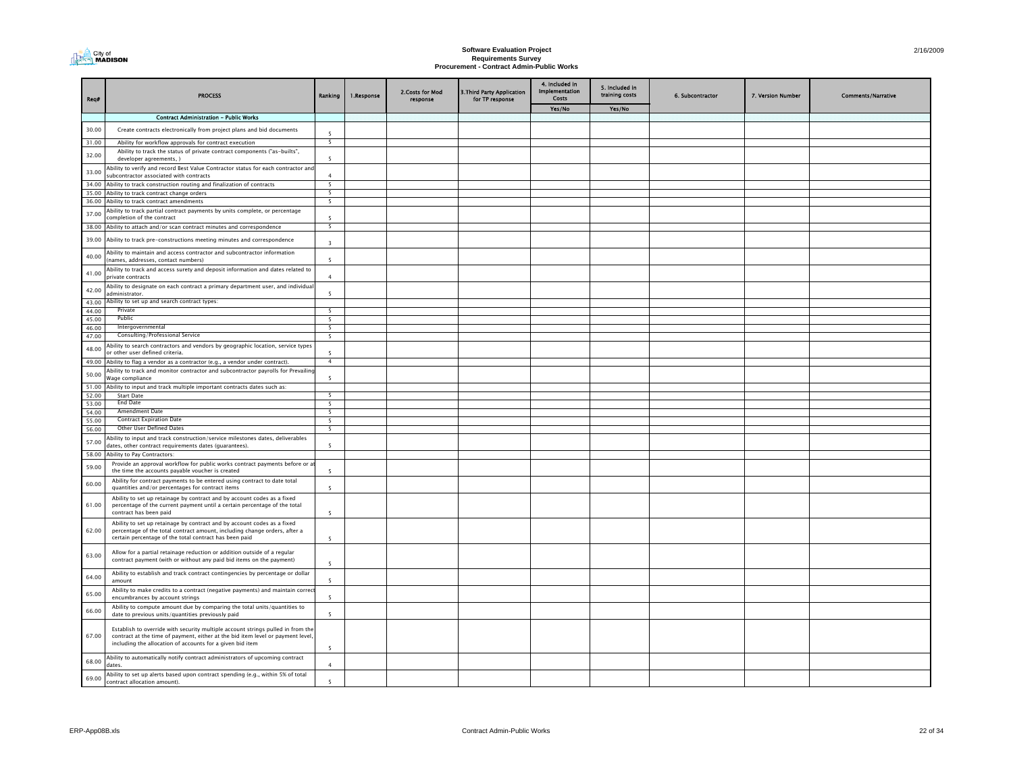

### **Software Evaluation Project Requirements Survey Procurement - Contract Admin-Public Works**

| Rea#           | <b>PROCESS</b>                                                                                                                                                                                                                  | Ranking                        | 1.Response | 2.Costs for Mod<br>response | 3. Third Party Application<br>for TP response | 4. Included in<br><b>Implementation</b><br>Costs | 5. Included in<br>training costs | 6. Subcontractor | 7. Version Number | <b>Comments/Narrative</b> |
|----------------|---------------------------------------------------------------------------------------------------------------------------------------------------------------------------------------------------------------------------------|--------------------------------|------------|-----------------------------|-----------------------------------------------|--------------------------------------------------|----------------------------------|------------------|-------------------|---------------------------|
|                |                                                                                                                                                                                                                                 |                                |            |                             |                                               | Yes/No                                           | Yes/No                           |                  |                   |                           |
|                | <b>Contract Administration - Public Works</b>                                                                                                                                                                                   |                                |            |                             |                                               |                                                  |                                  |                  |                   |                           |
| 30.00          | Create contracts electronically from project plans and bid documents                                                                                                                                                            |                                |            |                             |                                               |                                                  |                                  |                  |                   |                           |
| 31.00          | Ability for workflow approvals for contract execution                                                                                                                                                                           | $\overline{5}$                 |            |                             |                                               |                                                  |                                  |                  |                   |                           |
| 32.00          | Ability to track the status of private contract components ("as-builts",<br>developer agreements, )                                                                                                                             | 5                              |            |                             |                                               |                                                  |                                  |                  |                   |                           |
| 33.00          | Ability to verify and record Best Value Contractor status for each contractor an                                                                                                                                                |                                |            |                             |                                               |                                                  |                                  |                  |                   |                           |
| 34.00          | subcontractor associated with contracts<br>Ability to track construction routing and finalization of contracts                                                                                                                  | $\overline{a}$<br>5            |            |                             |                                               |                                                  |                                  |                  |                   |                           |
| 35.00          | Ability to track contract change orders                                                                                                                                                                                         | 5                              |            |                             |                                               |                                                  |                                  |                  |                   |                           |
|                | 36.00 Ability to track contract amendments                                                                                                                                                                                      | $\overline{\phantom{a}}$       |            |                             |                                               |                                                  |                                  |                  |                   |                           |
| 37.00          | Ability to track partial contract payments by units complete, or percentage                                                                                                                                                     |                                |            |                             |                                               |                                                  |                                  |                  |                   |                           |
|                | completion of the contract<br>38.00 Ability to attach and/or scan contract minutes and correspondence                                                                                                                           | -5<br>$\overline{\phantom{a}}$ |            |                             |                                               |                                                  |                                  |                  |                   |                           |
| 39.00          | Ability to track pre-constructions meeting minutes and correspondence                                                                                                                                                           | $\overline{z}$                 |            |                             |                                               |                                                  |                                  |                  |                   |                           |
| 40.00          | Ability to maintain and access contractor and subcontractor information                                                                                                                                                         |                                |            |                             |                                               |                                                  |                                  |                  |                   |                           |
| 41.00          | (names, addresses, contact numbers)<br>Ability to track and access surety and deposit information and dates related to                                                                                                          |                                |            |                             |                                               |                                                  |                                  |                  |                   |                           |
| 42.00          | private contracts<br>Ability to designate on each contract a primary department user, and individua                                                                                                                             | $\overline{4}$                 |            |                             |                                               |                                                  |                                  |                  |                   |                           |
| 43.00          | administrator.<br>Ability to set up and search contract types:                                                                                                                                                                  | $\overline{5}$                 |            |                             |                                               |                                                  |                                  |                  |                   |                           |
| 44.00          | Private                                                                                                                                                                                                                         | $\overline{5}$                 |            |                             |                                               |                                                  |                                  |                  |                   |                           |
| 45.00          | Public                                                                                                                                                                                                                          | $\overline{5}$                 |            |                             |                                               |                                                  |                                  |                  |                   |                           |
| 46.00          | Intergovernmental                                                                                                                                                                                                               | $\overline{\phantom{a}}$       |            |                             |                                               |                                                  |                                  |                  |                   |                           |
| 47.00          | Consulting/Professional Service                                                                                                                                                                                                 | $5\overline{5}$                |            |                             |                                               |                                                  |                                  |                  |                   |                           |
| 48.00          | Ability to search contractors and vendors by geographic location, service types<br>or other user defined criteria.                                                                                                              | $\overline{\phantom{a}}$       |            |                             |                                               |                                                  |                                  |                  |                   |                           |
|                | 49.00 Ability to flag a vendor as a contractor (e.g., a vendor under contract).                                                                                                                                                 | $\overline{4}$                 |            |                             |                                               |                                                  |                                  |                  |                   |                           |
| 50.00          | Ability to track and monitor contractor and subcontractor payrolls for Prevailing<br>Wage compliance                                                                                                                            |                                |            |                             |                                               |                                                  |                                  |                  |                   |                           |
| 51.00<br>52.00 | Ability to input and track multiple important contracts dates such as:<br><b>Start Date</b>                                                                                                                                     |                                |            |                             |                                               |                                                  |                                  |                  |                   |                           |
| 53.00          | End Date                                                                                                                                                                                                                        | $5\overline{5}$                |            |                             |                                               |                                                  |                                  |                  |                   |                           |
| 54.00          | Amendment Date                                                                                                                                                                                                                  | $\overline{\phantom{a}}$       |            |                             |                                               |                                                  |                                  |                  |                   |                           |
| 55.00          | <b>Contract Expiration Date</b>                                                                                                                                                                                                 | $\overline{\phantom{a}}$       |            |                             |                                               |                                                  |                                  |                  |                   |                           |
| 56.00          | Other User Defined Dates                                                                                                                                                                                                        | 5 <sub>5</sub>                 |            |                             |                                               |                                                  |                                  |                  |                   |                           |
| 57.00          | Ability to input and track construction/service milestones dates, deliverables<br>dates, other contract requirements dates (guarantees).                                                                                        | $\overline{5}$                 |            |                             |                                               |                                                  |                                  |                  |                   |                           |
| 58.00          | Ability to Pay Contractors:                                                                                                                                                                                                     |                                |            |                             |                                               |                                                  |                                  |                  |                   |                           |
| 59.00          | Provide an approval workflow for public works contract payments before or a<br>the time the accounts payable voucher is created                                                                                                 | -5                             |            |                             |                                               |                                                  |                                  |                  |                   |                           |
| 60.00          | Ability for contract payments to be entered using contract to date total<br>quantities and/or percentages for contract items                                                                                                    | $\overline{5}$                 |            |                             |                                               |                                                  |                                  |                  |                   |                           |
| 61.00          | Ability to set up retainage by contract and by account codes as a fixed<br>percentage of the current payment until a certain percentage of the total<br>contract has been paid                                                  | $\overline{5}$                 |            |                             |                                               |                                                  |                                  |                  |                   |                           |
| 62.00          | Ability to set up retainage by contract and by account codes as a fixed<br>percentage of the total contract amount, including change orders, after a<br>certain percentage of the total contract has been paid                  | $\overline{5}$                 |            |                             |                                               |                                                  |                                  |                  |                   |                           |
| 63.00          | Allow for a partial retainage reduction or addition outside of a regular<br>contract payment (with or without any paid bid items on the payment)                                                                                | $\overline{\phantom{a}}$       |            |                             |                                               |                                                  |                                  |                  |                   |                           |
| 64.00          | Ability to establish and track contract contingencies by percentage or dollar<br>amount                                                                                                                                         | $\overline{5}$                 |            |                             |                                               |                                                  |                                  |                  |                   |                           |
| 65.00          | Ability to make credits to a contract (negative payments) and maintain correc<br>encumbrances by account strings                                                                                                                | $\overline{5}$                 |            |                             |                                               |                                                  |                                  |                  |                   |                           |
| 66.00          | Ability to compute amount due by comparing the total units/quantities to<br>date to previous units/quantities previously paid                                                                                                   | $\overline{5}$                 |            |                             |                                               |                                                  |                                  |                  |                   |                           |
| 67.00          | Establish to override with security multiple account strings pulled in from the<br>contract at the time of payment, either at the bid item level or payment level,<br>including the allocation of accounts for a given bid item |                                |            |                             |                                               |                                                  |                                  |                  |                   |                           |
| 68.00          | Ability to automatically notify contract administrators of upcoming contract<br>dates.                                                                                                                                          |                                |            |                             |                                               |                                                  |                                  |                  |                   |                           |
| 69.00          | Ability to set up alerts based upon contract spending (e.g., within 5% of total<br>contract allocation amount).                                                                                                                 | $\overline{5}$                 |            |                             |                                               |                                                  |                                  |                  |                   |                           |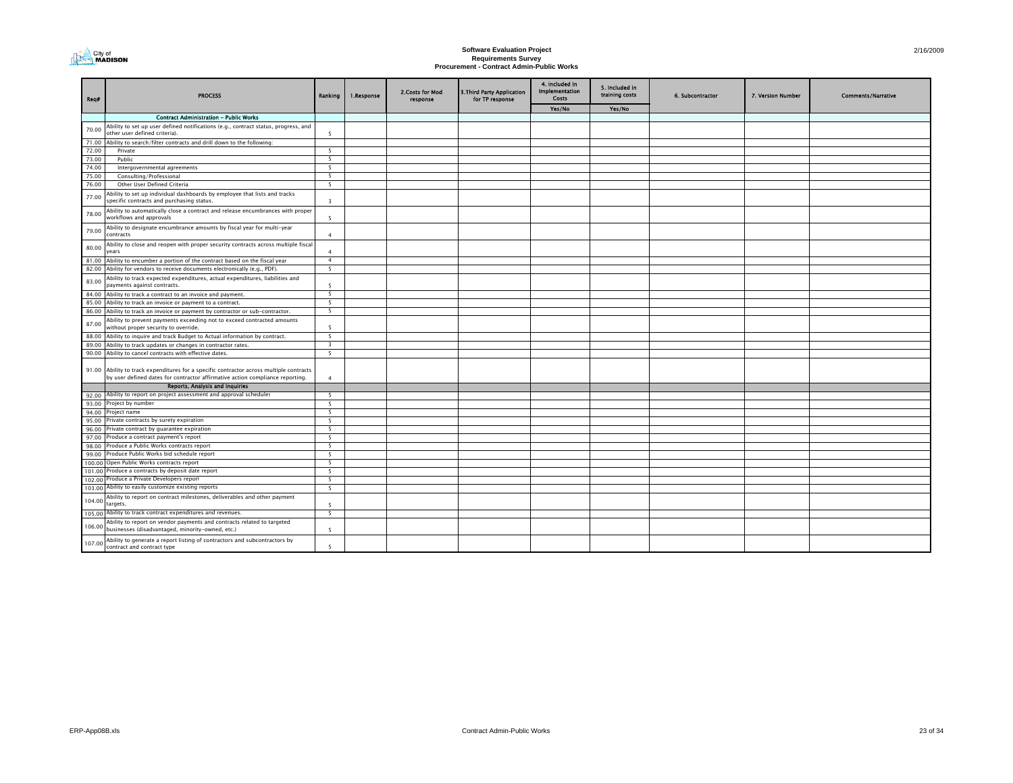

### **Software Evaluation Project Requirements Survey Procurement - Contract Admin-Public Works**

| Rea#   | <b>PROCESS</b>                                                                                                                                                           | Ranking                  | 1.Response | 2.Costs for Mod<br>response | 3. Third Party Application<br>for TP response | 4. Included in<br><b>Implementation</b><br><b>Costs</b> | 5. Included in<br>training costs | 6. Subcontractor | 7. Version Number | <b>Comments/Narrative</b> |
|--------|--------------------------------------------------------------------------------------------------------------------------------------------------------------------------|--------------------------|------------|-----------------------------|-----------------------------------------------|---------------------------------------------------------|----------------------------------|------------------|-------------------|---------------------------|
|        |                                                                                                                                                                          |                          |            |                             |                                               | Yes/No                                                  | Yes/No                           |                  |                   |                           |
|        | <b>Contract Administration - Public Works</b>                                                                                                                            |                          |            |                             |                                               |                                                         |                                  |                  |                   |                           |
| 70.00  | Ability to set up user defined notifications (e.g., contract status, progress, and<br>other user defined criteria).                                                      | 5                        |            |                             |                                               |                                                         |                                  |                  |                   |                           |
| 71.00  | Ability to search/filter contracts and drill down to the following:                                                                                                      |                          |            |                             |                                               |                                                         |                                  |                  |                   |                           |
| 72.00  | Private                                                                                                                                                                  | - 5                      |            |                             |                                               |                                                         |                                  |                  |                   |                           |
| 73.00  | Public                                                                                                                                                                   | 5                        |            |                             |                                               |                                                         |                                  |                  |                   |                           |
| 74.00  | Intergovernmental agreements                                                                                                                                             | 5                        |            |                             |                                               |                                                         |                                  |                  |                   |                           |
| 75.00  | Consulting/Professional                                                                                                                                                  | $5\overline{5}$          |            |                             |                                               |                                                         |                                  |                  |                   |                           |
| 76.00  | Other User Defined Criteria                                                                                                                                              | 5                        |            |                             |                                               |                                                         |                                  |                  |                   |                           |
| 77.00  | Ability to set up individual dashboards by employee that lists and tracks<br>specific contracts and purchasing status.                                                   | $\overline{3}$           |            |                             |                                               |                                                         |                                  |                  |                   |                           |
| 78.00  | Ability to automatically close a contract and release encumbrances with proper<br>workflows and approvals                                                                | $\overline{5}$           |            |                             |                                               |                                                         |                                  |                  |                   |                           |
| 79.00  | Ability to designate encumbrance amounts by fiscal year for multi-year<br>contracts                                                                                      | $\overline{a}$           |            |                             |                                               |                                                         |                                  |                  |                   |                           |
| 80.00  | Ability to close and reopen with proper security contracts across multiple fiscal<br>years                                                                               | $\overline{4}$           |            |                             |                                               |                                                         |                                  |                  |                   |                           |
|        | 81.00 Ability to encumber a portion of the contract based on the fiscal year                                                                                             | $\overline{4}$           |            |                             |                                               |                                                         |                                  |                  |                   |                           |
|        | 82.00 Ability for vendors to receive documents electronically (e.g., PDF).                                                                                               | $\overline{\phantom{a}}$ |            |                             |                                               |                                                         |                                  |                  |                   |                           |
| 83.00  | Ability to track expected expenditures, actual expenditures, liabilities and<br>payments against contracts.                                                              | $\overline{5}$           |            |                             |                                               |                                                         |                                  |                  |                   |                           |
| 84.00  | Ability to track a contract to an invoice and payment.                                                                                                                   | 5                        |            |                             |                                               |                                                         |                                  |                  |                   |                           |
| 85.00  | Ability to track an invoice or payment to a contract.                                                                                                                    | 5                        |            |                             |                                               |                                                         |                                  |                  |                   |                           |
|        | 86.00 Ability to track an invoice or payment by contractor or sub-contractor.                                                                                            | 5                        |            |                             |                                               |                                                         |                                  |                  |                   |                           |
| 87.00  | Ability to prevent payments exceeding not to exceed contracted amounts<br>without proper security to override.                                                           | 5                        |            |                             |                                               |                                                         |                                  |                  |                   |                           |
|        | 88.00 Ability to inquire and track Budget to Actual information by contract.                                                                                             | 5                        |            |                             |                                               |                                                         |                                  |                  |                   |                           |
| 89.00  | Ability to track updates or changes in contractor rates.                                                                                                                 | $\overline{\mathbf{3}}$  |            |                             |                                               |                                                         |                                  |                  |                   |                           |
|        | 90.00 Ability to cancel contracts with effective dates.                                                                                                                  | 5                        |            |                             |                                               |                                                         |                                  |                  |                   |                           |
|        | 91.00 Ability to track expenditures for a specific contractor across multiple contracts<br>by user defined dates for contractor affirmative action compliance reporting. | $\overline{4}$           |            |                             |                                               |                                                         |                                  |                  |                   |                           |
|        | Reports, Analysis and Inquiries                                                                                                                                          |                          |            |                             |                                               |                                                         |                                  |                  |                   |                           |
| 92.00  | Ability to report on project assessment and approval schedules                                                                                                           | - 5                      |            |                             |                                               |                                                         |                                  |                  |                   |                           |
|        | 93.00 Project by number                                                                                                                                                  | 5                        |            |                             |                                               |                                                         |                                  |                  |                   |                           |
| 94.00  | roject name                                                                                                                                                              | $\overline{\phantom{a}}$ |            |                             |                                               |                                                         |                                  |                  |                   |                           |
| 95.00  | Private contracts by surety expiration                                                                                                                                   | 5                        |            |                             |                                               |                                                         |                                  |                  |                   |                           |
| 96.00  | Private contract by guarantee expiration                                                                                                                                 | 5                        |            |                             |                                               |                                                         |                                  |                  |                   |                           |
| 97.00  | Produce a contract payment's report                                                                                                                                      | $\overline{\phantom{a}}$ |            |                             |                                               |                                                         |                                  |                  |                   |                           |
| 98.00  | Produce a Public Works contracts report                                                                                                                                  | 5                        |            |                             |                                               |                                                         |                                  |                  |                   |                           |
| 99.00  | Produce Public Works bid schedule report                                                                                                                                 | 5                        |            |                             |                                               |                                                         |                                  |                  |                   |                           |
| 100.00 | Open Public Works contracts report                                                                                                                                       | 5                        |            |                             |                                               |                                                         |                                  |                  |                   |                           |
| 101.00 | Produce a contracts by deposit date report                                                                                                                               | 5                        |            |                             |                                               |                                                         |                                  |                  |                   |                           |
| 102.00 | Produce a Private Developers report                                                                                                                                      | 5                        |            |                             |                                               |                                                         |                                  |                  |                   |                           |
| 103.00 | Ability to easily customize existing reports                                                                                                                             | 5                        |            |                             |                                               |                                                         |                                  |                  |                   |                           |
| 104.00 | Ability to report on contract milestones, deliverables and other payment<br>targets.                                                                                     | 5                        |            |                             |                                               |                                                         |                                  |                  |                   |                           |
|        | 105.00 Ability to track contract expenditures and revenues.                                                                                                              | 5                        |            |                             |                                               |                                                         |                                  |                  |                   |                           |
|        | Ability to report on vendor payments and contracts related to targeted<br>106.00 businesses (disadvantaged, minority-owned, etc.)                                        | 5                        |            |                             |                                               |                                                         |                                  |                  |                   |                           |
| 107.00 | Ability to generate a report listing of contractors and subcontractors by<br>contract and contract type                                                                  | $\overline{5}$           |            |                             |                                               |                                                         |                                  |                  |                   |                           |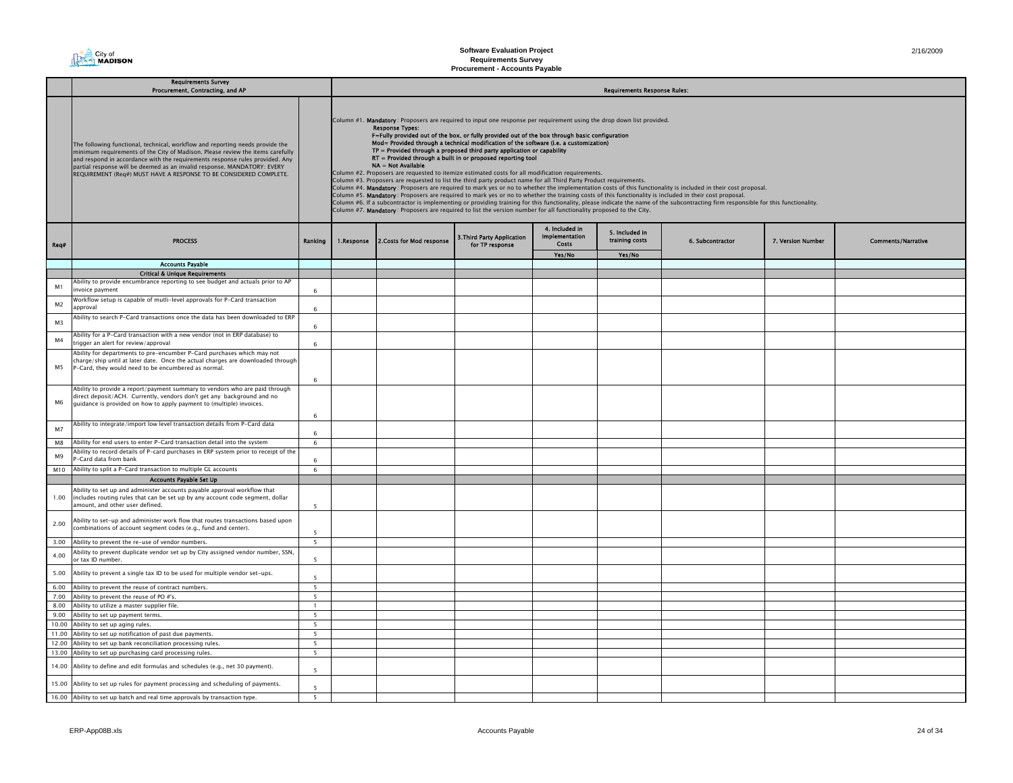

|                | <b>Requirements Survey</b><br>Procurement, Contracting, and AP                                                                                                                                                                                                                                                                                                                                    |                          |            |                                                                                                                                                                                                                                                                                                                                                                                                                                                                                                                                                                                                                                                                                                                                                                                                                                                          |                                               |                                           | <b>Requirements Response Rules:</b> |                                                                                                                                                                                                                                                                                                                                                                                                                                                                                                               |                   |                           |
|----------------|---------------------------------------------------------------------------------------------------------------------------------------------------------------------------------------------------------------------------------------------------------------------------------------------------------------------------------------------------------------------------------------------------|--------------------------|------------|----------------------------------------------------------------------------------------------------------------------------------------------------------------------------------------------------------------------------------------------------------------------------------------------------------------------------------------------------------------------------------------------------------------------------------------------------------------------------------------------------------------------------------------------------------------------------------------------------------------------------------------------------------------------------------------------------------------------------------------------------------------------------------------------------------------------------------------------------------|-----------------------------------------------|-------------------------------------------|-------------------------------------|---------------------------------------------------------------------------------------------------------------------------------------------------------------------------------------------------------------------------------------------------------------------------------------------------------------------------------------------------------------------------------------------------------------------------------------------------------------------------------------------------------------|-------------------|---------------------------|
|                | The following functional, technical, workflow and reporting needs provide the<br>minimum requirements of the City of Madison. Please review the items carefully<br>and respond in accordance with the requirements response rules provided. Any<br>partial response will be deemed as an invalid response. MANDATORY: EVERY<br>REQUIREMENT (Req#) MUST HAVE A RESPONSE TO BE CONSIDERED COMPLETE. |                          |            | Column #1. Mandatory: Proposers are required to input one response per requirement using the drop down list provided.<br><b>Response Types:</b><br>F=Fully provided out of the box, or fully provided out of the box through basic configuration<br>Mod= Provided through a technical modification of the software (i.e. a customization)<br>TP = Provided through a proposed third party application or capability<br>RT = Provided through a built in or proposed reporting tool<br>NA = Not Available<br>Column #2. Proposers are requested to itemize estimated costs for all modification requirements.<br>Column #3. Proposers are requested to list the third party product name for all Third Party Product requirements.<br>Column #7. Mandatory: Proposers are required to list the version number for all functionality proposed to the City. |                                               |                                           |                                     | Column #4. Mandatory: Proposers are required to mark yes or no to whether the implementation costs of this functionality is included in their cost proposal.<br>Column #5. Mandatory: Proposers are required to mark yes or no to whether the training costs of this functionality is included in their cost proposal.<br>Column #6. If a subcontractor is implementing or providing training for this functionality, please indicate the name of the subcontracting firm responsible for this functionality. |                   |                           |
| Req#           | <b>PROCESS</b>                                                                                                                                                                                                                                                                                                                                                                                    | Ranking                  | 1.Response | 2. Costs for Mod response                                                                                                                                                                                                                                                                                                                                                                                                                                                                                                                                                                                                                                                                                                                                                                                                                                | 3. Third Party Application<br>for TP response | 4. Included in<br>Implementation<br>Costs | 5. Included in<br>training costs    | 6. Subcontractor                                                                                                                                                                                                                                                                                                                                                                                                                                                                                              | 7. Version Number | <b>Comments/Narrative</b> |
|                |                                                                                                                                                                                                                                                                                                                                                                                                   |                          |            |                                                                                                                                                                                                                                                                                                                                                                                                                                                                                                                                                                                                                                                                                                                                                                                                                                                          |                                               | Yes/No                                    | Yes/No                              |                                                                                                                                                                                                                                                                                                                                                                                                                                                                                                               |                   |                           |
|                | <b>Accounts Payable</b>                                                                                                                                                                                                                                                                                                                                                                           |                          |            |                                                                                                                                                                                                                                                                                                                                                                                                                                                                                                                                                                                                                                                                                                                                                                                                                                                          |                                               |                                           |                                     |                                                                                                                                                                                                                                                                                                                                                                                                                                                                                                               |                   |                           |
|                | <b>Critical &amp; Unique Requirements</b>                                                                                                                                                                                                                                                                                                                                                         |                          |            |                                                                                                                                                                                                                                                                                                                                                                                                                                                                                                                                                                                                                                                                                                                                                                                                                                                          |                                               |                                           |                                     |                                                                                                                                                                                                                                                                                                                                                                                                                                                                                                               |                   |                           |
| M1             | Ability to provide encumbrance reporting to see budget and actuals prior to AP<br>invoice pavment                                                                                                                                                                                                                                                                                                 | 6                        |            |                                                                                                                                                                                                                                                                                                                                                                                                                                                                                                                                                                                                                                                                                                                                                                                                                                                          |                                               |                                           |                                     |                                                                                                                                                                                                                                                                                                                                                                                                                                                                                                               |                   |                           |
| M <sub>2</sub> | Workflow setup is capable of mutli-level approvals for P-Card transaction<br>approval                                                                                                                                                                                                                                                                                                             | 6                        |            |                                                                                                                                                                                                                                                                                                                                                                                                                                                                                                                                                                                                                                                                                                                                                                                                                                                          |                                               |                                           |                                     |                                                                                                                                                                                                                                                                                                                                                                                                                                                                                                               |                   |                           |
| M <sub>3</sub> | Ability to search P-Card transactions once the data has been downloaded to ERP                                                                                                                                                                                                                                                                                                                    | 6                        |            |                                                                                                                                                                                                                                                                                                                                                                                                                                                                                                                                                                                                                                                                                                                                                                                                                                                          |                                               |                                           |                                     |                                                                                                                                                                                                                                                                                                                                                                                                                                                                                                               |                   |                           |
| M <sub>4</sub> | Ability for a P-Card transaction with a new vendor (not in ERP database) to<br>rigger an alert for review/approval                                                                                                                                                                                                                                                                                | 6                        |            |                                                                                                                                                                                                                                                                                                                                                                                                                                                                                                                                                                                                                                                                                                                                                                                                                                                          |                                               |                                           |                                     |                                                                                                                                                                                                                                                                                                                                                                                                                                                                                                               |                   |                           |
|                | Ability for departments to pre-encumber P-Card purchases which may not                                                                                                                                                                                                                                                                                                                            |                          |            |                                                                                                                                                                                                                                                                                                                                                                                                                                                                                                                                                                                                                                                                                                                                                                                                                                                          |                                               |                                           |                                     |                                                                                                                                                                                                                                                                                                                                                                                                                                                                                                               |                   |                           |
| M5             | harge/ship until at later date. Once the actual charges are downloaded through<br>P-Card, they would need to be encumbered as normal.                                                                                                                                                                                                                                                             | 6                        |            |                                                                                                                                                                                                                                                                                                                                                                                                                                                                                                                                                                                                                                                                                                                                                                                                                                                          |                                               |                                           |                                     |                                                                                                                                                                                                                                                                                                                                                                                                                                                                                                               |                   |                           |
|                | Ability to provide a report/payment summary to vendors who are paid through                                                                                                                                                                                                                                                                                                                       |                          |            |                                                                                                                                                                                                                                                                                                                                                                                                                                                                                                                                                                                                                                                                                                                                                                                                                                                          |                                               |                                           |                                     |                                                                                                                                                                                                                                                                                                                                                                                                                                                                                                               |                   |                           |
| M6             | direct deposit/ACH. Currently, vendors don't get any background and no<br>guidance is provided on how to apply payment to (multiple) invoices.                                                                                                                                                                                                                                                    | $\mathbf{f}$             |            |                                                                                                                                                                                                                                                                                                                                                                                                                                                                                                                                                                                                                                                                                                                                                                                                                                                          |                                               |                                           |                                     |                                                                                                                                                                                                                                                                                                                                                                                                                                                                                                               |                   |                           |
| M <sub>7</sub> | Ability to integrate/import low level transaction details from P-Card data                                                                                                                                                                                                                                                                                                                        | 6                        |            |                                                                                                                                                                                                                                                                                                                                                                                                                                                                                                                                                                                                                                                                                                                                                                                                                                                          |                                               |                                           |                                     |                                                                                                                                                                                                                                                                                                                                                                                                                                                                                                               |                   |                           |
| M8             | Ability for end users to enter P-Card transaction detail into the system                                                                                                                                                                                                                                                                                                                          | $\,$ 6 $\,$              |            |                                                                                                                                                                                                                                                                                                                                                                                                                                                                                                                                                                                                                                                                                                                                                                                                                                                          |                                               |                                           |                                     |                                                                                                                                                                                                                                                                                                                                                                                                                                                                                                               |                   |                           |
| M9             | Ability to record details of P-card purchases in ERP system prior to receipt of the<br>-Card data from bank                                                                                                                                                                                                                                                                                       | 6                        |            |                                                                                                                                                                                                                                                                                                                                                                                                                                                                                                                                                                                                                                                                                                                                                                                                                                                          |                                               |                                           |                                     |                                                                                                                                                                                                                                                                                                                                                                                                                                                                                                               |                   |                           |
| M10            | Ability to split a P-Card transaction to multiple GL accounts                                                                                                                                                                                                                                                                                                                                     | 6                        |            |                                                                                                                                                                                                                                                                                                                                                                                                                                                                                                                                                                                                                                                                                                                                                                                                                                                          |                                               |                                           |                                     |                                                                                                                                                                                                                                                                                                                                                                                                                                                                                                               |                   |                           |
|                | <b>Accounts Payable Set Up</b>                                                                                                                                                                                                                                                                                                                                                                    |                          |            |                                                                                                                                                                                                                                                                                                                                                                                                                                                                                                                                                                                                                                                                                                                                                                                                                                                          |                                               |                                           |                                     |                                                                                                                                                                                                                                                                                                                                                                                                                                                                                                               |                   |                           |
| 1.00           | Ability to set up and administer accounts payable approval workflow that<br>includes routing rules that can be set up by any account code segment, dollar<br>amount, and other user defined.                                                                                                                                                                                                      | 5                        |            |                                                                                                                                                                                                                                                                                                                                                                                                                                                                                                                                                                                                                                                                                                                                                                                                                                                          |                                               |                                           |                                     |                                                                                                                                                                                                                                                                                                                                                                                                                                                                                                               |                   |                           |
| 2.00           | Ability to set-up and administer work flow that routes transactions based upon<br>combinations of account segment codes (e.g., fund and center).                                                                                                                                                                                                                                                  | $\overline{\phantom{a}}$ |            |                                                                                                                                                                                                                                                                                                                                                                                                                                                                                                                                                                                                                                                                                                                                                                                                                                                          |                                               |                                           |                                     |                                                                                                                                                                                                                                                                                                                                                                                                                                                                                                               |                   |                           |
| 3.00           | Ability to prevent the re-use of vendor numbers.                                                                                                                                                                                                                                                                                                                                                  | 5 <sup>5</sup>           |            |                                                                                                                                                                                                                                                                                                                                                                                                                                                                                                                                                                                                                                                                                                                                                                                                                                                          |                                               |                                           |                                     |                                                                                                                                                                                                                                                                                                                                                                                                                                                                                                               |                   |                           |
| 4.00           | Ability to prevent duplicate vendor set up by City assigned vendor number, SSN,<br>or tax ID number.                                                                                                                                                                                                                                                                                              | 5                        |            |                                                                                                                                                                                                                                                                                                                                                                                                                                                                                                                                                                                                                                                                                                                                                                                                                                                          |                                               |                                           |                                     |                                                                                                                                                                                                                                                                                                                                                                                                                                                                                                               |                   |                           |
| 5.00           | Ability to prevent a single tax ID to be used for multiple vendor set-ups.                                                                                                                                                                                                                                                                                                                        | 5                        |            |                                                                                                                                                                                                                                                                                                                                                                                                                                                                                                                                                                                                                                                                                                                                                                                                                                                          |                                               |                                           |                                     |                                                                                                                                                                                                                                                                                                                                                                                                                                                                                                               |                   |                           |
| 6.00           | Ability to prevent the reuse of contract numbers.                                                                                                                                                                                                                                                                                                                                                 | 5                        |            |                                                                                                                                                                                                                                                                                                                                                                                                                                                                                                                                                                                                                                                                                                                                                                                                                                                          |                                               |                                           |                                     |                                                                                                                                                                                                                                                                                                                                                                                                                                                                                                               |                   |                           |
| 7.00           | Ability to prevent the reuse of PO #'s.                                                                                                                                                                                                                                                                                                                                                           | 5                        |            |                                                                                                                                                                                                                                                                                                                                                                                                                                                                                                                                                                                                                                                                                                                                                                                                                                                          |                                               |                                           |                                     |                                                                                                                                                                                                                                                                                                                                                                                                                                                                                                               |                   |                           |
| 8.00           | Ability to utilize a master supplier file.                                                                                                                                                                                                                                                                                                                                                        | $\mathbf{1}$             |            |                                                                                                                                                                                                                                                                                                                                                                                                                                                                                                                                                                                                                                                                                                                                                                                                                                                          |                                               |                                           |                                     |                                                                                                                                                                                                                                                                                                                                                                                                                                                                                                               |                   |                           |
| 9.00           | Ability to set up payment terms.                                                                                                                                                                                                                                                                                                                                                                  | 5                        |            |                                                                                                                                                                                                                                                                                                                                                                                                                                                                                                                                                                                                                                                                                                                                                                                                                                                          |                                               |                                           |                                     |                                                                                                                                                                                                                                                                                                                                                                                                                                                                                                               |                   |                           |
| 10.00          | Ability to set up aging rules.                                                                                                                                                                                                                                                                                                                                                                    | 5                        |            |                                                                                                                                                                                                                                                                                                                                                                                                                                                                                                                                                                                                                                                                                                                                                                                                                                                          |                                               |                                           |                                     |                                                                                                                                                                                                                                                                                                                                                                                                                                                                                                               |                   |                           |
| 11.00          | Ability to set up notification of past due payments.                                                                                                                                                                                                                                                                                                                                              | $5\overline{5}$          |            |                                                                                                                                                                                                                                                                                                                                                                                                                                                                                                                                                                                                                                                                                                                                                                                                                                                          |                                               |                                           |                                     |                                                                                                                                                                                                                                                                                                                                                                                                                                                                                                               |                   |                           |
| 12.00          | Ability to set up bank reconciliation processing rules.                                                                                                                                                                                                                                                                                                                                           | $\overline{\phantom{a}}$ |            |                                                                                                                                                                                                                                                                                                                                                                                                                                                                                                                                                                                                                                                                                                                                                                                                                                                          |                                               |                                           |                                     |                                                                                                                                                                                                                                                                                                                                                                                                                                                                                                               |                   |                           |
|                | 13.00 Ability to set up purchasing card processing rules.                                                                                                                                                                                                                                                                                                                                         | 5                        |            |                                                                                                                                                                                                                                                                                                                                                                                                                                                                                                                                                                                                                                                                                                                                                                                                                                                          |                                               |                                           |                                     |                                                                                                                                                                                                                                                                                                                                                                                                                                                                                                               |                   |                           |
| 14.00          | Ability to define and edit formulas and schedules (e.g., net 30 payment).                                                                                                                                                                                                                                                                                                                         | $\overline{\phantom{a}}$ |            |                                                                                                                                                                                                                                                                                                                                                                                                                                                                                                                                                                                                                                                                                                                                                                                                                                                          |                                               |                                           |                                     |                                                                                                                                                                                                                                                                                                                                                                                                                                                                                                               |                   |                           |
|                | 15.00 Ability to set up rules for payment processing and scheduling of payments.                                                                                                                                                                                                                                                                                                                  | $\overline{5}$           |            |                                                                                                                                                                                                                                                                                                                                                                                                                                                                                                                                                                                                                                                                                                                                                                                                                                                          |                                               |                                           |                                     |                                                                                                                                                                                                                                                                                                                                                                                                                                                                                                               |                   |                           |
|                | 16.00 Ability to set up batch and real time approvals by transaction type.                                                                                                                                                                                                                                                                                                                        | 5                        |            |                                                                                                                                                                                                                                                                                                                                                                                                                                                                                                                                                                                                                                                                                                                                                                                                                                                          |                                               |                                           |                                     |                                                                                                                                                                                                                                                                                                                                                                                                                                                                                                               |                   |                           |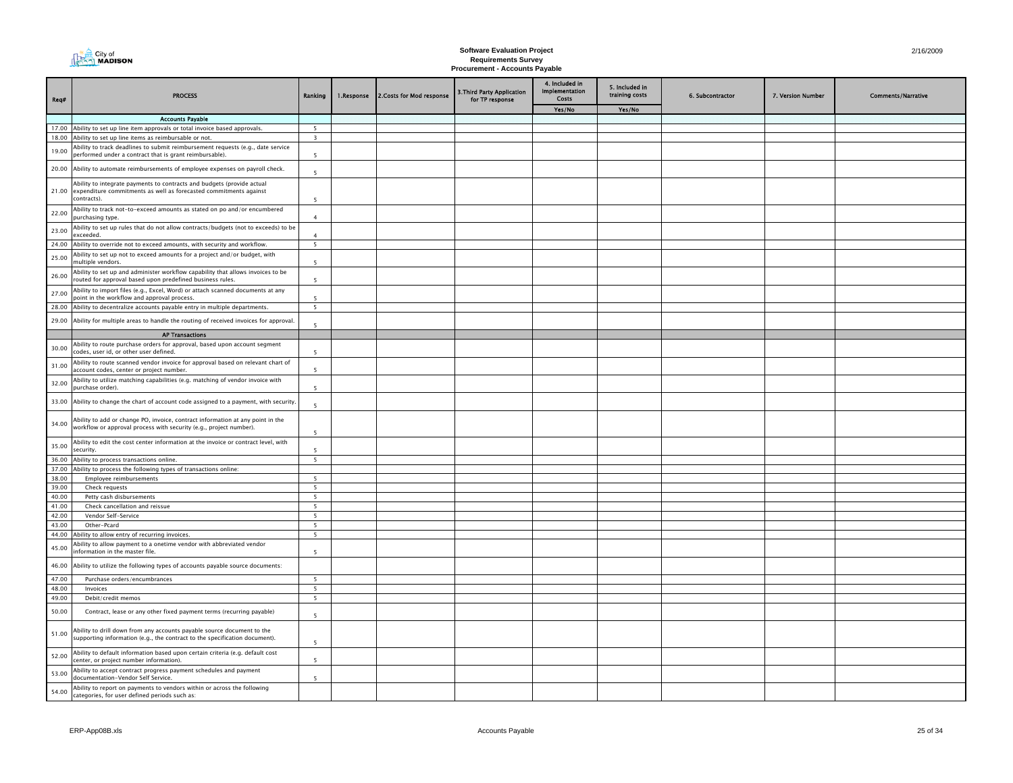| City of<br><b>A<sub>222</sub>1 MADISON</b> |
|--------------------------------------------|
|                                            |

| Req#           | <b>PROCESS</b>                                                                                                                                             | Ranking                  | 1.Response | 2. Costs for Mod response | 3.Third Party Application<br>for TP response | 4. Included in<br><b>Implementation</b><br>Costs | 5. Included in<br>training costs | 6. Subcontractor | 7. Version Number | <b>Comments/Narrative</b> |
|----------------|------------------------------------------------------------------------------------------------------------------------------------------------------------|--------------------------|------------|---------------------------|----------------------------------------------|--------------------------------------------------|----------------------------------|------------------|-------------------|---------------------------|
|                |                                                                                                                                                            |                          |            |                           |                                              | Yes/No                                           | Yes/No                           |                  |                   |                           |
|                | <b>Accounts Payable</b>                                                                                                                                    |                          |            |                           |                                              |                                                  |                                  |                  |                   |                           |
|                | 17.00 Ability to set up line item approvals or total invoice based approvals.                                                                              | - 5                      |            |                           |                                              |                                                  |                                  |                  |                   |                           |
|                | 18.00 Ability to set up line items as reimbursable or not.<br>Ability to track deadlines to submit reimbursement requests (e.g., date service              | $\overline{\mathbf{3}}$  |            |                           |                                              |                                                  |                                  |                  |                   |                           |
| 19.00          | performed under a contract that is grant reimbursable).                                                                                                    | 5                        |            |                           |                                              |                                                  |                                  |                  |                   |                           |
| 20.00          | Ability to automate reimbursements of employee expenses on payroll check.                                                                                  | 5                        |            |                           |                                              |                                                  |                                  |                  |                   |                           |
| 21.00          | Ability to integrate payments to contracts and budgets (provide actual<br>expenditure commitments as well as forecasted commitments against<br>contracts). | 5                        |            |                           |                                              |                                                  |                                  |                  |                   |                           |
| 22.00          | Ability to track not-to-exceed amounts as stated on po and/or encumbered<br>purchasing type.                                                               | $\mathbf{A}$             |            |                           |                                              |                                                  |                                  |                  |                   |                           |
| 23.00          | Ability to set up rules that do not allow contracts/budgets (not to exceeds) to be<br>exceeded.                                                            | $\overline{4}$           |            |                           |                                              |                                                  |                                  |                  |                   |                           |
| 24.00          | Ability to override not to exceed amounts, with security and workflow.                                                                                     | $\overline{5}$           |            |                           |                                              |                                                  |                                  |                  |                   |                           |
| 25.00          | Ability to set up not to exceed amounts for a project and/or budget, with<br>multiple vendors                                                              | $\overline{\phantom{a}}$ |            |                           |                                              |                                                  |                                  |                  |                   |                           |
| 26.00          | Ability to set up and administer workflow capability that allows invoices to be<br>routed for approval based upon predefined business rules.               | -5                       |            |                           |                                              |                                                  |                                  |                  |                   |                           |
| 27.00          | Ability to import files (e.g., Excel, Word) or attach scanned documents at any<br>point in the workflow and approval process.                              |                          |            |                           |                                              |                                                  |                                  |                  |                   |                           |
| 28.00          | Ability to decentralize accounts payable entry in multiple departments.                                                                                    | 5                        |            |                           |                                              |                                                  |                                  |                  |                   |                           |
| 29.00          | Ability for multiple areas to handle the routing of received invoices for approval.                                                                        | $\overline{\phantom{a}}$ |            |                           |                                              |                                                  |                                  |                  |                   |                           |
|                | <b>AP Transactions</b>                                                                                                                                     |                          |            |                           |                                              |                                                  |                                  |                  |                   |                           |
| 30.00          | Ability to route purchase orders for approval, based upon account segment<br>codes, user id, or other user defined.                                        | -5                       |            |                           |                                              |                                                  |                                  |                  |                   |                           |
| 31.00          | Ability to route scanned vendor invoice for approval based on relevant chart of<br>account codes, center or project number.                                | $\overline{\phantom{a}}$ |            |                           |                                              |                                                  |                                  |                  |                   |                           |
| 32.00          | Ability to utilize matching capabilities (e.g. matching of vendor invoice with<br>purchase order).                                                         | $\overline{5}$           |            |                           |                                              |                                                  |                                  |                  |                   |                           |
| 33.00          | Ability to change the chart of account code assigned to a payment, with security.                                                                          | $\overline{5}$           |            |                           |                                              |                                                  |                                  |                  |                   |                           |
| 34.00          | Ability to add or change PO, invoice, contract information at any point in the<br>workflow or approval process with security (e.g., project number).       | -5                       |            |                           |                                              |                                                  |                                  |                  |                   |                           |
| 35.00          | Ability to edit the cost center information at the invoice or contract level, with<br>security.                                                            |                          |            |                           |                                              |                                                  |                                  |                  |                   |                           |
| 36.00          | Ability to process transactions online.                                                                                                                    | 5                        |            |                           |                                              |                                                  |                                  |                  |                   |                           |
|                | 37.00 Ability to process the following types of transactions online:                                                                                       |                          |            |                           |                                              |                                                  |                                  |                  |                   |                           |
| 38.00          | Employee reimbursements                                                                                                                                    | $\overline{5}$           |            |                           |                                              |                                                  |                                  |                  |                   |                           |
| 39.00<br>40.00 | Check requests                                                                                                                                             | 5<br>5                   |            |                           |                                              |                                                  |                                  |                  |                   |                           |
| 41.00          | Petty cash disbursements<br>Check cancellation and reissue                                                                                                 | 5                        |            |                           |                                              |                                                  |                                  |                  |                   |                           |
| 42.00          | Vendor Self-Service                                                                                                                                        | 5                        |            |                           |                                              |                                                  |                                  |                  |                   |                           |
| 43.00          | Other-Pcard                                                                                                                                                | 5                        |            |                           |                                              |                                                  |                                  |                  |                   |                           |
| 44.00          | Ability to allow entry of recurring invoices.                                                                                                              | 5                        |            |                           |                                              |                                                  |                                  |                  |                   |                           |
| 45.00          | Ability to allow payment to a onetime vendor with abbreviated vendor<br>nformation in the master file.                                                     | $\overline{5}$           |            |                           |                                              |                                                  |                                  |                  |                   |                           |
| 46.00          | Ability to utilize the following types of accounts payable source documents:                                                                               |                          |            |                           |                                              |                                                  |                                  |                  |                   |                           |
| 47.00          | Purchase orders/encumbrances                                                                                                                               | -5                       |            |                           |                                              |                                                  |                                  |                  |                   |                           |
| 48.00          | Invoices                                                                                                                                                   | 5                        |            |                           |                                              |                                                  |                                  |                  |                   |                           |
| 49.00          | Debit/credit memos                                                                                                                                         | 5                        |            |                           |                                              |                                                  |                                  |                  |                   |                           |
| 50.00          | Contract, lease or any other fixed payment terms (recurring payable)                                                                                       | 5                        |            |                           |                                              |                                                  |                                  |                  |                   |                           |
| 51.00          | Ability to drill down from any accounts payable source document to the<br>supporting information (e.g., the contract to the specification document).       | 5                        |            |                           |                                              |                                                  |                                  |                  |                   |                           |
| 52.00          | Ability to default information based upon certain criteria (e.g. default cost<br>center, or project number information).                                   | 5                        |            |                           |                                              |                                                  |                                  |                  |                   |                           |
| 53.00          | Ability to accept contract progress payment schedules and payment<br>documentation-Vendor Self Service.                                                    | $\overline{5}$           |            |                           |                                              |                                                  |                                  |                  |                   |                           |
| 54.00          | Ability to report on payments to vendors within or across the following<br>categories, for user defined periods such as:                                   |                          |            |                           |                                              |                                                  |                                  |                  |                   |                           |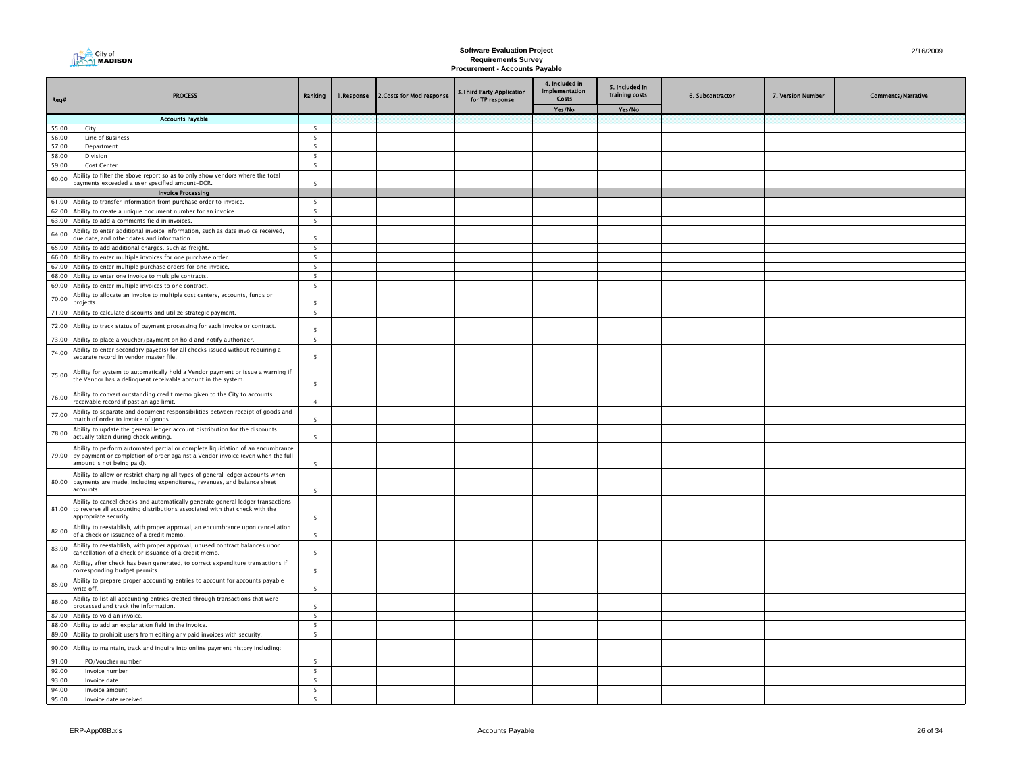| City of<br><b>A<sub>222</sub>1 MADISON</b> |
|--------------------------------------------|
|                                            |

| Req#           | <b>PROCESS</b>                                                                                                                                                                                       | Ranking                                    | 1.Response | 2. Costs for Mod response | 3. Third Party Application<br>for TP response | 4. Included in<br><b>Implementation</b><br>Costs | 5. Included in<br>training costs | 6. Subcontractor | 7. Version Number | <b>Comments/Narrative</b> |
|----------------|------------------------------------------------------------------------------------------------------------------------------------------------------------------------------------------------------|--------------------------------------------|------------|---------------------------|-----------------------------------------------|--------------------------------------------------|----------------------------------|------------------|-------------------|---------------------------|
|                |                                                                                                                                                                                                      |                                            |            |                           |                                               | Yes/No                                           | Yes/No                           |                  |                   |                           |
| 55.00          | <b>Accounts Payable</b><br>City                                                                                                                                                                      | 5                                          |            |                           |                                               |                                                  |                                  |                  |                   |                           |
| 56.00          | Line of Business                                                                                                                                                                                     | -5                                         |            |                           |                                               |                                                  |                                  |                  |                   |                           |
| 57.00          | Department                                                                                                                                                                                           | 5                                          |            |                           |                                               |                                                  |                                  |                  |                   |                           |
| 58.00          | Division                                                                                                                                                                                             | $5\overline{5}$                            |            |                           |                                               |                                                  |                                  |                  |                   |                           |
| 59.00          | Cost Center                                                                                                                                                                                          | 5                                          |            |                           |                                               |                                                  |                                  |                  |                   |                           |
| 60.00          | Ability to filter the above report so as to only show vendors where the total<br>payments exceeded a user specified amount-DCR.                                                                      | $\overline{5}$                             |            |                           |                                               |                                                  |                                  |                  |                   |                           |
|                | <b>Invoice Processing</b>                                                                                                                                                                            |                                            |            |                           |                                               |                                                  |                                  |                  |                   |                           |
|                | 61.00 Ability to transfer information from purchase order to invoice.                                                                                                                                | 5                                          |            |                           |                                               |                                                  |                                  |                  |                   |                           |
| 62.00<br>63.00 | Ability to create a unique document number for an invoice.<br>Ability to add a comments field in invoices.                                                                                           | $\overline{\phantom{a}}$<br>5              |            |                           |                                               |                                                  |                                  |                  |                   |                           |
|                | Ability to enter additional invoice information, such as date invoice received,                                                                                                                      |                                            |            |                           |                                               |                                                  |                                  |                  |                   |                           |
| 64.00          | due date, and other dates and information.                                                                                                                                                           | $\overline{\phantom{a}}$                   |            |                           |                                               |                                                  |                                  |                  |                   |                           |
| 65.00          | Ability to add additional charges, such as freight.                                                                                                                                                  | 5                                          |            |                           |                                               |                                                  |                                  |                  |                   |                           |
| 66.00          | Ability to enter multiple invoices for one purchase order.                                                                                                                                           | $\overline{\mathbf{5}}$                    |            |                           |                                               |                                                  |                                  |                  |                   |                           |
|                | 67.00 Ability to enter multiple purchase orders for one invoice.<br>68.00 Ability to enter one invoice to multiple contracts.                                                                        | 5<br>5                                     |            |                           |                                               |                                                  |                                  |                  |                   |                           |
| 69.00          | Ability to enter multiple invoices to one contract.                                                                                                                                                  | 5                                          |            |                           |                                               |                                                  |                                  |                  |                   |                           |
| 70.00          | Ability to allocate an invoice to multiple cost centers, accounts, funds or                                                                                                                          |                                            |            |                           |                                               |                                                  |                                  |                  |                   |                           |
| 71.00          | projects.<br>Ability to calculate discounts and utilize strategic payment.                                                                                                                           | $\overline{\phantom{a}}$<br>5 <sup>5</sup> |            |                           |                                               |                                                  |                                  |                  |                   |                           |
|                |                                                                                                                                                                                                      |                                            |            |                           |                                               |                                                  |                                  |                  |                   |                           |
| 72.00          | Ability to track status of payment processing for each invoice or contract.                                                                                                                          | $\overline{\phantom{a}}$                   |            |                           |                                               |                                                  |                                  |                  |                   |                           |
|                | 73.00 Ability to place a voucher/payment on hold and notify authorizer.                                                                                                                              | 5                                          |            |                           |                                               |                                                  |                                  |                  |                   |                           |
| 74.00          | Ability to enter secondary payee(s) for all checks issued without requiring a<br>separate record in vendor master file.                                                                              | 5                                          |            |                           |                                               |                                                  |                                  |                  |                   |                           |
| 75.00          | Ability for system to automatically hold a Vendor payment or issue a warning if<br>the Vendor has a delinquent receivable account in the system.                                                     | 5                                          |            |                           |                                               |                                                  |                                  |                  |                   |                           |
| 76.00          | Ability to convert outstanding credit memo given to the City to accounts<br>receivable record if past an age limit.                                                                                  | $\overline{4}$                             |            |                           |                                               |                                                  |                                  |                  |                   |                           |
| 77.00          | Ability to separate and document responsibilities between receipt of goods and<br>match of order to invoice of goods.                                                                                |                                            |            |                           |                                               |                                                  |                                  |                  |                   |                           |
| 78.00          | Ability to update the general ledger account distribution for the discounts<br>actually taken during check writing.                                                                                  | $\overline{\phantom{a}}$                   |            |                           |                                               |                                                  |                                  |                  |                   |                           |
|                | Ability to perform automated partial or complete liquidation of an encumbrance<br>79.00 by payment or completion of order against a Vendor invoice (even when the full<br>amount is not being paid). | $\overline{5}$                             |            |                           |                                               |                                                  |                                  |                  |                   |                           |
|                | Ability to allow or restrict charging all types of general ledger accounts when<br>80.00 payments are made, including expenditures, revenues, and balance sheet<br>accounts.                         | 5                                          |            |                           |                                               |                                                  |                                  |                  |                   |                           |
| 81.00          | Ability to cancel checks and automatically generate general ledger transactions<br>to reverse all accounting distributions associated with that check with the<br>appropriate security.              | 5                                          |            |                           |                                               |                                                  |                                  |                  |                   |                           |
| 82.00          | Ability to reestablish, with proper approval, an encumbrance upon cancellation<br>of a check or issuance of a credit memo.                                                                           | $\overline{\phantom{a}}$                   |            |                           |                                               |                                                  |                                  |                  |                   |                           |
| 83.00          | Ability to reestablish, with proper approval, unused contract balances upon<br>cancellation of a check or issuance of a credit memo.                                                                 | -5                                         |            |                           |                                               |                                                  |                                  |                  |                   |                           |
| 84.00          | Ability, after check has been generated, to correct expenditure transactions if<br>corresponding budget permits.                                                                                     | $\overline{5}$                             |            |                           |                                               |                                                  |                                  |                  |                   |                           |
| 85.00          | Ability to prepare proper accounting entries to account for accounts payable<br>write off.                                                                                                           | 5                                          |            |                           |                                               |                                                  |                                  |                  |                   |                           |
| 86.00          | Ability to list all accounting entries created through transactions that were<br>processed and track the information.                                                                                | -5                                         |            |                           |                                               |                                                  |                                  |                  |                   |                           |
| 87.00          | Ability to void an invoice.                                                                                                                                                                          | 5                                          |            |                           |                                               |                                                  |                                  |                  |                   |                           |
| 88.00          | Ability to add an explanation field in the invoice.                                                                                                                                                  | 5<br>5                                     |            |                           |                                               |                                                  |                                  |                  |                   |                           |
|                | 89.00 Ability to prohibit users from editing any paid invoices with security.                                                                                                                        |                                            |            |                           |                                               |                                                  |                                  |                  |                   |                           |
| 90.00          | Ability to maintain, track and inquire into online payment history including:                                                                                                                        |                                            |            |                           |                                               |                                                  |                                  |                  |                   |                           |
| 91.00          | PO/Voucher number                                                                                                                                                                                    | - 5                                        |            |                           |                                               |                                                  |                                  |                  |                   |                           |
| 92.00          | Invoice number                                                                                                                                                                                       | 5                                          |            |                           |                                               |                                                  |                                  |                  |                   |                           |
| 93.00<br>94.00 | Invoice date<br>Invoice amount                                                                                                                                                                       | $\overline{\mathbf{5}}$<br>5               |            |                           |                                               |                                                  |                                  |                  |                   |                           |
| 95.00          | Invoice date received                                                                                                                                                                                |                                            |            |                           |                                               |                                                  |                                  |                  |                   |                           |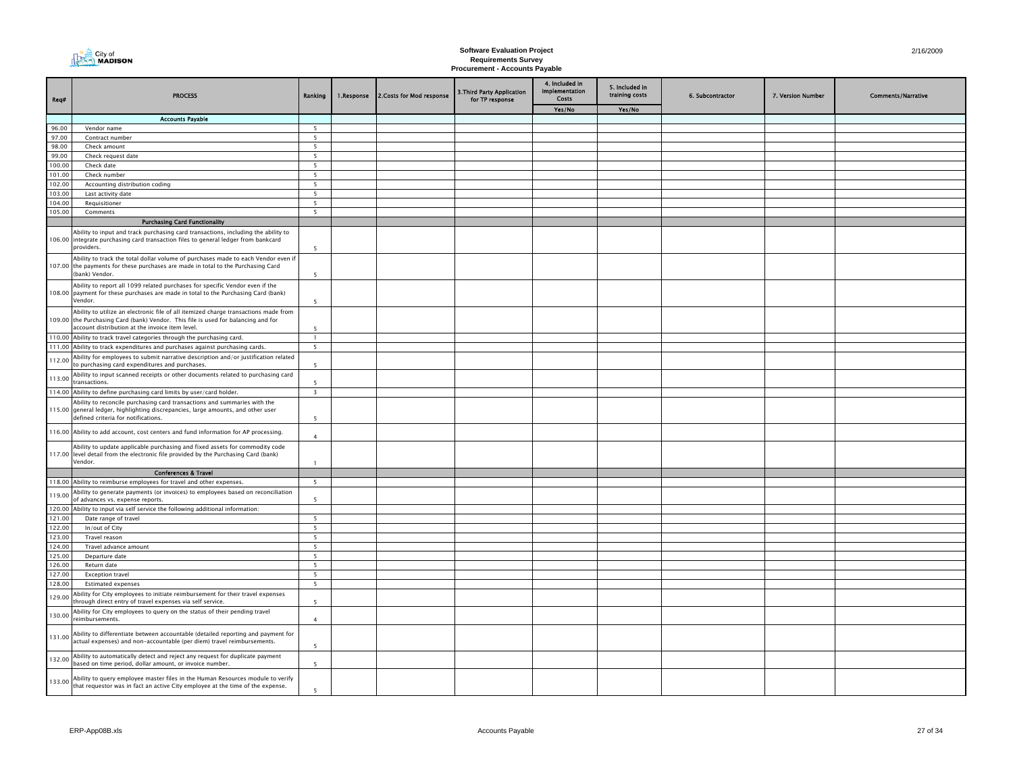| City of<br><b>AAMADISON</b> |
|-----------------------------|
|-----------------------------|

| Req#             | <b>PROCESS</b>                                                                                                                                                                                                              | Ranking                       | 1.Response | 2. Costs for Mod response | 3. Third Party Application<br>for TP response | 4. Included in<br><b>Implementation</b><br>Costs | 5. Included in<br>training costs | 6. Subcontractor | 7. Version Number | <b>Comments/Narrative</b> |
|------------------|-----------------------------------------------------------------------------------------------------------------------------------------------------------------------------------------------------------------------------|-------------------------------|------------|---------------------------|-----------------------------------------------|--------------------------------------------------|----------------------------------|------------------|-------------------|---------------------------|
|                  |                                                                                                                                                                                                                             |                               |            |                           |                                               | Yes/No                                           | Yes/No                           |                  |                   |                           |
|                  | <b>Accounts Payable</b>                                                                                                                                                                                                     |                               |            |                           |                                               |                                                  |                                  |                  |                   |                           |
| 96.00<br>97.00   | Vendor name                                                                                                                                                                                                                 | 5<br>5                        |            |                           |                                               |                                                  |                                  |                  |                   |                           |
| 98.00            | Contract number<br>Check amount                                                                                                                                                                                             | $\overline{\phantom{a}}$      |            |                           |                                               |                                                  |                                  |                  |                   |                           |
| 99.00            | Check request date                                                                                                                                                                                                          | 5                             |            |                           |                                               |                                                  |                                  |                  |                   |                           |
| 100.00           | Check date                                                                                                                                                                                                                  | 5                             |            |                           |                                               |                                                  |                                  |                  |                   |                           |
| 101.00           | Check number                                                                                                                                                                                                                | 5                             |            |                           |                                               |                                                  |                                  |                  |                   |                           |
| 102.00           | Accounting distribution coding                                                                                                                                                                                              | $\overline{\phantom{0}}$      |            |                           |                                               |                                                  |                                  |                  |                   |                           |
| 103.00           | Last activity date                                                                                                                                                                                                          | 5                             |            |                           |                                               |                                                  |                                  |                  |                   |                           |
| 104.00           | Requisitioner                                                                                                                                                                                                               | 5 <sup>5</sup>                |            |                           |                                               |                                                  |                                  |                  |                   |                           |
| 105.00           | Comments                                                                                                                                                                                                                    | 5 <sup>5</sup>                |            |                           |                                               |                                                  |                                  |                  |                   |                           |
|                  | <b>Purchasing Card Functionality</b>                                                                                                                                                                                        |                               |            |                           |                                               |                                                  |                                  |                  |                   |                           |
|                  | Ability to input and track purchasing card transactions, including the ability to<br>106.00 integrate purchasing card transaction files to general ledger from bankcard<br>providers.                                       | -5                            |            |                           |                                               |                                                  |                                  |                  |                   |                           |
|                  | Ability to track the total dollar volume of purchases made to each Vendor even if<br>107.00 the payments for these purchases are made in total to the Purchasing Card<br>(bank) Vendor.                                     | $\overline{5}$                |            |                           |                                               |                                                  |                                  |                  |                   |                           |
|                  | Ability to report all 1099 related purchases for specific Vendor even if the<br>108.00 payment for these purchases are made in total to the Purchasing Card (bank)<br>Vendor.                                               | $\overline{5}$                |            |                           |                                               |                                                  |                                  |                  |                   |                           |
|                  | Ability to utilize an electronic file of all itemized charge transactions made from<br>109.00 the Purchasing Card (bank) Vendor. This file is used for balancing and for<br>account distribution at the invoice item level. | $\overline{5}$                |            |                           |                                               |                                                  |                                  |                  |                   |                           |
|                  | 110.00 Ability to track travel categories through the purchasing card.                                                                                                                                                      | $\overline{1}$                |            |                           |                                               |                                                  |                                  |                  |                   |                           |
|                  | 111.00 Ability to track expenditures and purchases against purchasing cards.                                                                                                                                                | 5                             |            |                           |                                               |                                                  |                                  |                  |                   |                           |
| 112.00           | Ability for employees to submit narrative description and/or justification related<br>to purchasing card expenditures and purchases.                                                                                        | $\overline{\phantom{a}}$      |            |                           |                                               |                                                  |                                  |                  |                   |                           |
| 113.00           | Ability to input scanned receipts or other documents related to purchasing card<br>transactions.                                                                                                                            | $\overline{\phantom{a}}$      |            |                           |                                               |                                                  |                                  |                  |                   |                           |
|                  | 114.00 Ability to define purchasing card limits by user/card holder.                                                                                                                                                        | $\overline{\mathbf{3}}$       |            |                           |                                               |                                                  |                                  |                  |                   |                           |
|                  | Ability to reconcile purchasing card transactions and summaries with the<br>115.00 general ledger, highlighting discrepancies, large amounts, and other user<br>defined criteria for notifications.                         | 5                             |            |                           |                                               |                                                  |                                  |                  |                   |                           |
|                  | 116.00 Ability to add account, cost centers and fund information for AP processing.                                                                                                                                         | $\overline{a}$                |            |                           |                                               |                                                  |                                  |                  |                   |                           |
|                  | Ability to update applicable purchasing and fixed assets for commodity code<br>117.00 level detail from the electronic file provided by the Purchasing Card (bank)<br>Vendor.                                               | $\overline{1}$                |            |                           |                                               |                                                  |                                  |                  |                   |                           |
|                  | <b>Conferences &amp; Travel</b>                                                                                                                                                                                             |                               |            |                           |                                               |                                                  |                                  |                  |                   |                           |
|                  | 118.00 Ability to reimburse employees for travel and other expenses.                                                                                                                                                        | $\overline{\phantom{a}}$      |            |                           |                                               |                                                  |                                  |                  |                   |                           |
| 119.00           | Ability to generate payments (or invoices) to employees based on reconciliation<br>of advances vs. expense reports.                                                                                                         | 5                             |            |                           |                                               |                                                  |                                  |                  |                   |                           |
| 120.00           | Ability to input via self service the following additional information:                                                                                                                                                     |                               |            |                           |                                               |                                                  |                                  |                  |                   |                           |
| 121.00           | Date range of travel                                                                                                                                                                                                        | 5                             |            |                           |                                               |                                                  |                                  |                  |                   |                           |
| 122.00           | In/out of City                                                                                                                                                                                                              | 5                             |            |                           |                                               |                                                  |                                  |                  |                   |                           |
| 123.00           | Travel reason                                                                                                                                                                                                               | 5                             |            |                           |                                               |                                                  |                                  |                  |                   |                           |
| 124.00           | Travel advance amount                                                                                                                                                                                                       | - 5                           |            |                           |                                               |                                                  |                                  |                  |                   |                           |
| 125.00           | Departure date                                                                                                                                                                                                              | 5                             |            |                           |                                               |                                                  |                                  |                  |                   |                           |
| 126.00           | Return date                                                                                                                                                                                                                 | $\overline{\phantom{a}}$<br>5 |            |                           |                                               |                                                  |                                  |                  |                   |                           |
| 127.00<br>128.00 | <b>Exception travel</b><br><b>Estimated expenses</b>                                                                                                                                                                        | 5                             |            |                           |                                               |                                                  |                                  |                  |                   |                           |
|                  | Ability for City employees to initiate reimbursement for their travel expenses                                                                                                                                              |                               |            |                           |                                               |                                                  |                                  |                  |                   |                           |
| 129.00           | hrough direct entry of travel expenses via self service.<br>Ability for City employees to query on the status of their pending travel                                                                                       | $\overline{5}$                |            |                           |                                               |                                                  |                                  |                  |                   |                           |
| 130.00           | reimbursements.                                                                                                                                                                                                             | $\overline{4}$                |            |                           |                                               |                                                  |                                  |                  |                   |                           |
| 131.00           | Ability to differentiate between accountable (detailed reporting and payment for<br>actual expenses) and non-accountable (per diem) travel reimbursements.                                                                  | 5                             |            |                           |                                               |                                                  |                                  |                  |                   |                           |
| 132.00           | Ability to automatically detect and reject any request for duplicate payment<br>based on time period, dollar amount, or invoice number.                                                                                     | $\overline{\phantom{a}}$      |            |                           |                                               |                                                  |                                  |                  |                   |                           |
| 133.00           | Ability to query employee master files in the Human Resources module to verify<br>that requestor was in fact an active City employee at the time of the expense.                                                            | $\overline{\phantom{a}}$      |            |                           |                                               |                                                  |                                  |                  |                   |                           |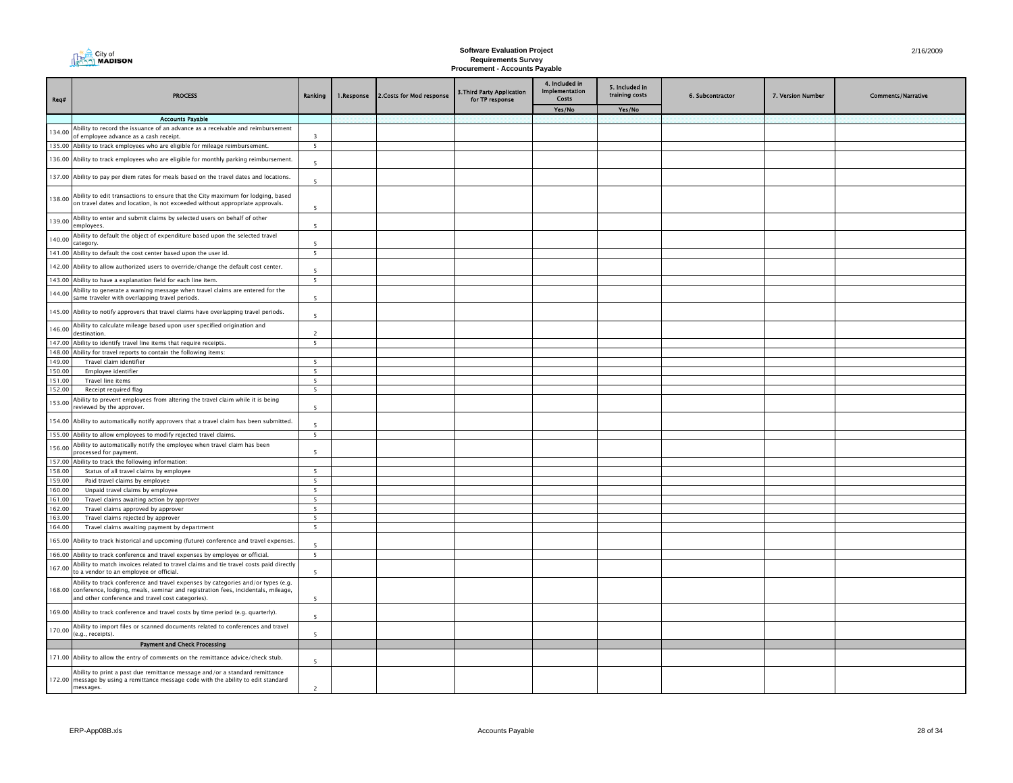| Req#             | <b>PROCESS</b>                                                                                                                                                                                                                   | Ranking                  | 1.Response | 2. Costs for Mod response | 3. Third Party Application<br>for TP response | 4. Included in<br>Implementation<br>Costs | 5. Included in<br>training costs | 6. Subcontractor | 7. Version Number | <b>Comments/Narrative</b> |
|------------------|----------------------------------------------------------------------------------------------------------------------------------------------------------------------------------------------------------------------------------|--------------------------|------------|---------------------------|-----------------------------------------------|-------------------------------------------|----------------------------------|------------------|-------------------|---------------------------|
|                  |                                                                                                                                                                                                                                  |                          |            |                           |                                               | Yes/No                                    | Yes/No                           |                  |                   |                           |
|                  | <b>Accounts Pavable</b>                                                                                                                                                                                                          |                          |            |                           |                                               |                                           |                                  |                  |                   |                           |
| 134.00           | Ability to record the issuance of an advance as a receivable and reimbursement<br>of employee advance as a cash receipt.                                                                                                         | $\overline{3}$           |            |                           |                                               |                                           |                                  |                  |                   |                           |
|                  | 135.00 Ability to track employees who are eligible for mileage reimbursement.                                                                                                                                                    | 5                        |            |                           |                                               |                                           |                                  |                  |                   |                           |
|                  | 136.00 Ability to track employees who are eligible for monthly parking reimbursement.                                                                                                                                            | -5                       |            |                           |                                               |                                           |                                  |                  |                   |                           |
|                  | 137.00 Ability to pay per diem rates for meals based on the travel dates and locations.                                                                                                                                          | $\overline{5}$           |            |                           |                                               |                                           |                                  |                  |                   |                           |
| 138.00           | Ability to edit transactions to ensure that the City maximum for lodging, based<br>on travel dates and location, is not exceeded without appropriate approvals.                                                                  | $\overline{\phantom{a}}$ |            |                           |                                               |                                           |                                  |                  |                   |                           |
| 139.00           | Ability to enter and submit claims by selected users on behalf of other<br>employees.                                                                                                                                            | $\overline{5}$           |            |                           |                                               |                                           |                                  |                  |                   |                           |
| 140.00           | Ability to default the object of expenditure based upon the selected travel<br>category.                                                                                                                                         | 5                        |            |                           |                                               |                                           |                                  |                  |                   |                           |
|                  | 141.00 Ability to default the cost center based upon the user id.                                                                                                                                                                | 5                        |            |                           |                                               |                                           |                                  |                  |                   |                           |
|                  | 142.00 Ability to allow authorized users to override/change the default cost center.                                                                                                                                             | 5                        |            |                           |                                               |                                           |                                  |                  |                   |                           |
|                  | 143.00 Ability to have a explanation field for each line item.                                                                                                                                                                   | $\overline{\phantom{a}}$ |            |                           |                                               |                                           |                                  |                  |                   |                           |
| 144.00           | Ability to generate a warning message when travel claims are entered for the<br>same traveler with overlapping travel periods.                                                                                                   | -5                       |            |                           |                                               |                                           |                                  |                  |                   |                           |
|                  | 145.00 Ability to notify approvers that travel claims have overlapping travel periods.                                                                                                                                           | $\overline{5}$           |            |                           |                                               |                                           |                                  |                  |                   |                           |
| 146.00           | Ability to calculate mileage based upon user specified origination and<br>destination.                                                                                                                                           | $\overline{\phantom{0}}$ |            |                           |                                               |                                           |                                  |                  |                   |                           |
|                  | 147.00 Ability to identify travel line items that require receipts.                                                                                                                                                              | 5                        |            |                           |                                               |                                           |                                  |                  |                   |                           |
|                  | 148.00 Ability for travel reports to contain the following items:                                                                                                                                                                |                          |            |                           |                                               |                                           |                                  |                  |                   |                           |
| 149.00           | Travel claim identifier                                                                                                                                                                                                          | 5                        |            |                           |                                               |                                           |                                  |                  |                   |                           |
| 150.00           | Employee identifier                                                                                                                                                                                                              | 5                        |            |                           |                                               |                                           |                                  |                  |                   |                           |
| 151.00<br>152.00 | Travel line items                                                                                                                                                                                                                | 5 <sup>5</sup><br>5      |            |                           |                                               |                                           |                                  |                  |                   |                           |
|                  | Receipt required flag<br>Ability to prevent employees from altering the travel claim while it is being                                                                                                                           |                          |            |                           |                                               |                                           |                                  |                  |                   |                           |
| 153.00           | reviewed by the approver.                                                                                                                                                                                                        | $\overline{\phantom{a}}$ |            |                           |                                               |                                           |                                  |                  |                   |                           |
|                  | 154.00 Ability to automatically notify approvers that a travel claim has been submitted.                                                                                                                                         | -5                       |            |                           |                                               |                                           |                                  |                  |                   |                           |
|                  | 155.00 Ability to allow employees to modify rejected travel claims.                                                                                                                                                              | 5                        |            |                           |                                               |                                           |                                  |                  |                   |                           |
| 156.00           | Ability to automatically notify the employee when travel claim has been<br>processed for payment.<br>157.00 Ability to track the following information:                                                                          | $\overline{5}$           |            |                           |                                               |                                           |                                  |                  |                   |                           |
| 158.00           | Status of all travel claims by employee                                                                                                                                                                                          | -5                       |            |                           |                                               |                                           |                                  |                  |                   |                           |
| 159.00           | Paid travel claims by employee                                                                                                                                                                                                   | 5                        |            |                           |                                               |                                           |                                  |                  |                   |                           |
| 160.00           | Unpaid travel claims by employee                                                                                                                                                                                                 | $\overline{5}$           |            |                           |                                               |                                           |                                  |                  |                   |                           |
| 161.00           | Travel claims awaiting action by approver                                                                                                                                                                                        | 5                        |            |                           |                                               |                                           |                                  |                  |                   |                           |
| 162.00           | Travel claims approved by approver                                                                                                                                                                                               | 5                        |            |                           |                                               |                                           |                                  |                  |                   |                           |
| 163.00           | Travel claims rejected by approver                                                                                                                                                                                               | 5 <sup>5</sup>           |            |                           |                                               |                                           |                                  |                  |                   |                           |
| 164.00           | Travel claims awaiting payment by department                                                                                                                                                                                     | 5                        |            |                           |                                               |                                           |                                  |                  |                   |                           |
| 165.00           | Ability to track historical and upcoming (future) conference and travel expenses.                                                                                                                                                | $\overline{\phantom{a}}$ |            |                           |                                               |                                           |                                  |                  |                   |                           |
|                  | 166.00 Ability to track conference and travel expenses by employee or official.                                                                                                                                                  | 5                        |            |                           |                                               |                                           |                                  |                  |                   |                           |
| 167.00           | Ability to match invoices related to travel claims and tie travel costs paid directly<br>to a vendor to an employee or official.                                                                                                 | 5                        |            |                           |                                               |                                           |                                  |                  |                   |                           |
|                  | Ability to track conference and travel expenses by categories and/or types (e.g.<br>168.00 conference, lodging, meals, seminar and registration fees, incidentals, mileage,<br>and other conference and travel cost categories). | 5                        |            |                           |                                               |                                           |                                  |                  |                   |                           |
|                  | 169.00 Ability to track conference and travel costs by time period (e.g. quarterly).                                                                                                                                             | 5                        |            |                           |                                               |                                           |                                  |                  |                   |                           |
| 170.00           | Ability to import files or scanned documents related to conferences and travel<br>(e.g., receipts).                                                                                                                              | 5                        |            |                           |                                               |                                           |                                  |                  |                   |                           |
|                  | <b>Payment and Check Processing</b>                                                                                                                                                                                              |                          |            |                           |                                               |                                           |                                  |                  |                   |                           |
|                  | 171.00 Ability to allow the entry of comments on the remittance advice/check stub.                                                                                                                                               | 5                        |            |                           |                                               |                                           |                                  |                  |                   |                           |
|                  | Ability to print a past due remittance message and/or a standard remittance<br>172.00 message by using a remittance message code with the ability to edit standard<br>messages.                                                  | $\overline{2}$           |            |                           |                                               |                                           |                                  |                  |                   |                           |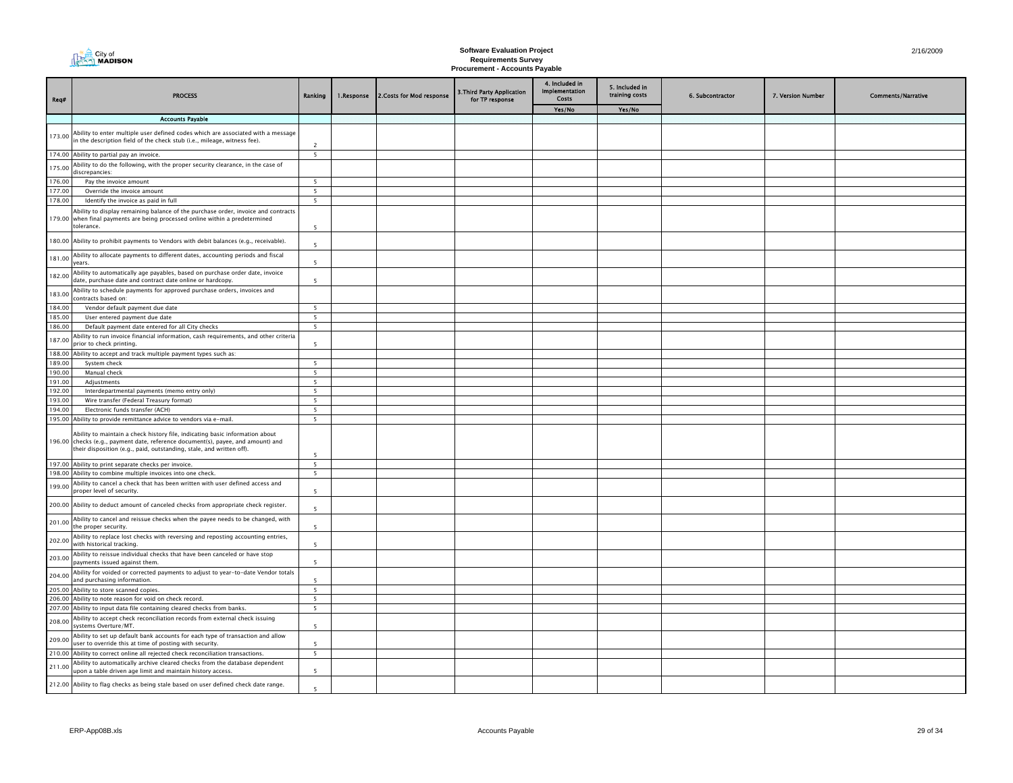| Req#             | <b>PROCESS</b>                                                                                                                                                           | Ranking                  | 1.Response | 2. Costs for Mod response | 3. Third Party Application<br>for TP response | 4. Included in<br>Implementation<br>Costs | 5. Included in<br>training costs | 6. Subcontractor | 7. Version Number | <b>Comments/Narrative</b> |
|------------------|--------------------------------------------------------------------------------------------------------------------------------------------------------------------------|--------------------------|------------|---------------------------|-----------------------------------------------|-------------------------------------------|----------------------------------|------------------|-------------------|---------------------------|
|                  |                                                                                                                                                                          |                          |            |                           |                                               | Yes/No                                    | Yes/No                           |                  |                   |                           |
|                  | <b>Accounts Pavable</b>                                                                                                                                                  |                          |            |                           |                                               |                                           |                                  |                  |                   |                           |
| 173.00           | Ability to enter multiple user defined codes which are associated with a message<br>in the description field of the check stub (i.e., mileage, witness fee).             | $\overline{2}$           |            |                           |                                               |                                           |                                  |                  |                   |                           |
|                  | 174.00 Ability to partial pay an invoice.                                                                                                                                | 5                        |            |                           |                                               |                                           |                                  |                  |                   |                           |
| 175.00           | Ability to do the following, with the proper security clearance, in the case of<br>discrepancies:                                                                        |                          |            |                           |                                               |                                           |                                  |                  |                   |                           |
| 176.00           | Pay the invoice amount                                                                                                                                                   | 5                        |            |                           |                                               |                                           |                                  |                  |                   |                           |
| 177.00           | Override the invoice amount                                                                                                                                              | 5                        |            |                           |                                               |                                           |                                  |                  |                   |                           |
| 178.00           | Identify the invoice as paid in full                                                                                                                                     | 5                        |            |                           |                                               |                                           |                                  |                  |                   |                           |
| 179.00           | Ability to display remaining balance of the purchase order, invoice and contracts<br>when final payments are being processed online within a predetermined<br>tolerance. | 5                        |            |                           |                                               |                                           |                                  |                  |                   |                           |
|                  | 180.00 Ability to prohibit payments to Vendors with debit balances (e.g., receivable).                                                                                   | -5                       |            |                           |                                               |                                           |                                  |                  |                   |                           |
| 181.00           | Ability to allocate payments to different dates, accounting periods and fiscal<br>years.                                                                                 | 5                        |            |                           |                                               |                                           |                                  |                  |                   |                           |
| 182.00           | Ability to automatically age payables, based on purchase order date, invoice<br>date, purchase date and contract date online or hardcopy.                                | 5                        |            |                           |                                               |                                           |                                  |                  |                   |                           |
| 183.00           | Ability to schedule payments for approved purchase orders, invoices and<br>contracts based on:                                                                           |                          |            |                           |                                               |                                           |                                  |                  |                   |                           |
| 184.00           | Vendor default payment due date                                                                                                                                          | 5                        |            |                           |                                               |                                           |                                  |                  |                   |                           |
| 185.00           | User entered payment due date                                                                                                                                            | $5\overline{ }$          |            |                           |                                               |                                           |                                  |                  |                   |                           |
| 186.00           | Default payment date entered for all City checks                                                                                                                         | 5                        |            |                           |                                               |                                           |                                  |                  |                   |                           |
| 187.00           | Ability to run invoice financial information, cash requirements, and other criteria<br>prior to check printing.                                                          | 5                        |            |                           |                                               |                                           |                                  |                  |                   |                           |
| 188.00           | Ability to accept and track multiple payment types such as:                                                                                                              |                          |            |                           |                                               |                                           |                                  |                  |                   |                           |
| 189.00           | System check                                                                                                                                                             | 5                        |            |                           |                                               |                                           |                                  |                  |                   |                           |
| 190.00           | Manual check                                                                                                                                                             | $\overline{5}$           |            |                           |                                               |                                           |                                  |                  |                   |                           |
| 191.00           | Adjustments                                                                                                                                                              | 5                        |            |                           |                                               |                                           |                                  |                  |                   |                           |
| 192.00<br>193.00 | Interdepartmental payments (memo entry only)<br>Wire transfer (Federal Treasury format)                                                                                  | 5<br>5                   |            |                           |                                               |                                           |                                  |                  |                   |                           |
| 194.00           | Electronic funds transfer (ACH)                                                                                                                                          | 5                        |            |                           |                                               |                                           |                                  |                  |                   |                           |
| 195.00           | Ability to provide remittance advice to vendors via e-mail.                                                                                                              | 5                        |            |                           |                                               |                                           |                                  |                  |                   |                           |
|                  | Ability to maintain a check history file, indicating basic information about<br>196.00 checks (e.g., payment date, reference document(s), payee, and amount) and         |                          |            |                           |                                               |                                           |                                  |                  |                   |                           |
|                  | their disposition (e.g., paid, outstanding, stale, and written off).                                                                                                     | $\overline{\phantom{a}}$ |            |                           |                                               |                                           |                                  |                  |                   |                           |
|                  | 197.00 Ability to print separate checks per invoice.                                                                                                                     | 5                        |            |                           |                                               |                                           |                                  |                  |                   |                           |
| 198.00           | Ability to combine multiple invoices into one check.<br>Ability to cancel a check that has been written with user defined access and                                     | $\overline{\phantom{0}}$ |            |                           |                                               |                                           |                                  |                  |                   |                           |
| 199.00           | proper level of security.                                                                                                                                                | 5                        |            |                           |                                               |                                           |                                  |                  |                   |                           |
| 200.00           | Ability to deduct amount of canceled checks from appropriate check register.                                                                                             | -5                       |            |                           |                                               |                                           |                                  |                  |                   |                           |
| 201.00           | Ability to cancel and reissue checks when the payee needs to be changed, with<br>the proper security.                                                                    | $\overline{5}$           |            |                           |                                               |                                           |                                  |                  |                   |                           |
| 202.00           | Ability to replace lost checks with reversing and reposting accounting entries,<br>with historical tracking.                                                             | $\overline{5}$           |            |                           |                                               |                                           |                                  |                  |                   |                           |
| 203.00           | Ability to reissue individual checks that have been canceled or have stop<br>payments issued against them.                                                               | $\overline{\phantom{a}}$ |            |                           |                                               |                                           |                                  |                  |                   |                           |
| 204.00           | Ability for voided or corrected payments to adjust to year-to-date Vendor totals<br>and purchasing information.                                                          | $\overline{\phantom{a}}$ |            |                           |                                               |                                           |                                  |                  |                   |                           |
| 205.00           | Ability to store scanned copies.                                                                                                                                         | $5\overline{5}$          |            |                           |                                               |                                           |                                  |                  |                   |                           |
|                  | 206.00 Ability to note reason for void on check record.                                                                                                                  | 5                        |            |                           |                                               |                                           |                                  |                  |                   |                           |
| 207.00           | Ability to input data file containing cleared checks from banks.                                                                                                         | $5\overline{ }$          |            |                           |                                               |                                           |                                  |                  |                   |                           |
| 208.00           | Ability to accept check reconciliation records from external check issuing<br>systems Overture/MT.                                                                       | $\overline{5}$           |            |                           |                                               |                                           |                                  |                  |                   |                           |
| 209.00           | Ability to set up default bank accounts for each type of transaction and allow<br>user to override this at time of posting with security.                                | 5                        |            |                           |                                               |                                           |                                  |                  |                   |                           |
|                  | 210.00 Ability to correct online all rejected check reconciliation transactions.                                                                                         | 5                        |            |                           |                                               |                                           |                                  |                  |                   |                           |
| 211.00           | Ability to automatically archive cleared checks from the database dependent<br>upon a table driven age limit and maintain history access.                                | $\overline{5}$           |            |                           |                                               |                                           |                                  |                  |                   |                           |
|                  | 212.00 Ability to flag checks as being stale based on user defined check date range.                                                                                     | $\overline{\phantom{a}}$ |            |                           |                                               |                                           |                                  |                  |                   |                           |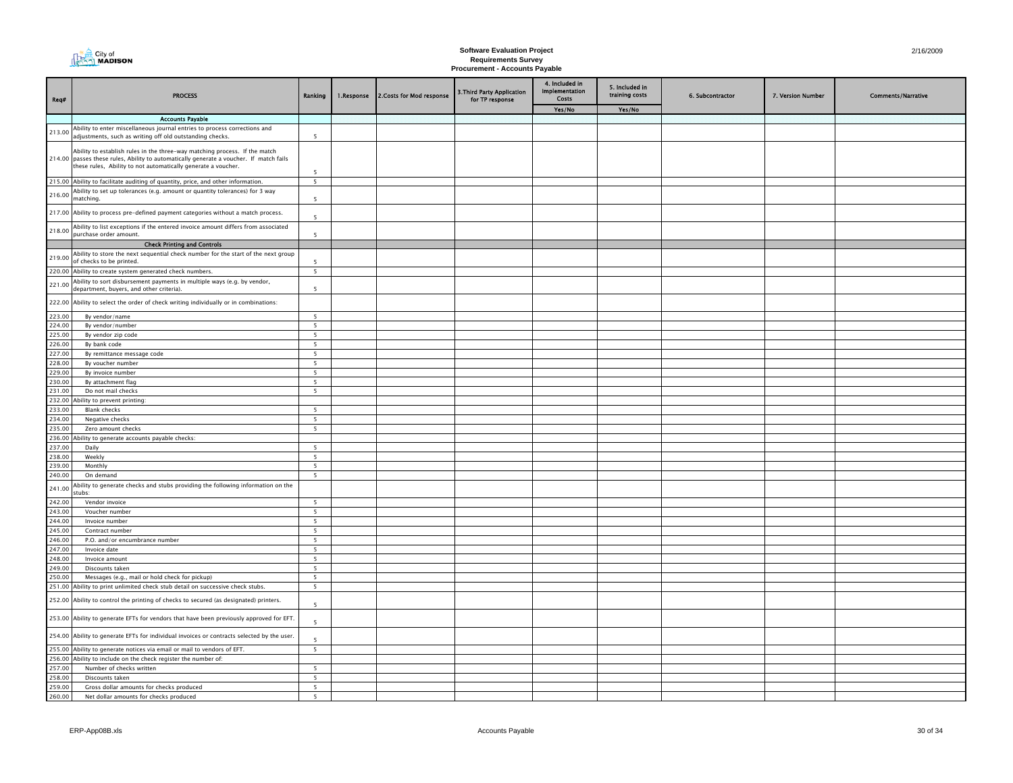| Req#             | <b>PROCESS</b>                                                                                                                                                                                                                        | Ranking                  | 1.Response | 2. Costs for Mod response | 3. Third Party Application<br>for TP response | 4. Included in<br>Implementation<br>Costs | 5. Included in<br>training costs | 6. Subcontractor | 7. Version Number | <b>Comments/Narrative</b> |
|------------------|---------------------------------------------------------------------------------------------------------------------------------------------------------------------------------------------------------------------------------------|--------------------------|------------|---------------------------|-----------------------------------------------|-------------------------------------------|----------------------------------|------------------|-------------------|---------------------------|
|                  |                                                                                                                                                                                                                                       |                          |            |                           |                                               | Yes/No                                    | Yes/No                           |                  |                   |                           |
|                  | <b>Accounts Payable</b>                                                                                                                                                                                                               |                          |            |                           |                                               |                                           |                                  |                  |                   |                           |
| 213.00           | Ability to enter miscellaneous journal entries to process corrections and<br>adjustments, such as writing off old outstanding checks.                                                                                                 | $\overline{\phantom{a}}$ |            |                           |                                               |                                           |                                  |                  |                   |                           |
|                  | Ability to establish rules in the three-way matching process. If the match<br>214.00 passes these rules, Ability to automatically generate a voucher. If match fails<br>these rules, Ability to not automatically generate a voucher. | 5                        |            |                           |                                               |                                           |                                  |                  |                   |                           |
|                  | 215.00 Ability to facilitate auditing of quantity, price, and other information.                                                                                                                                                      | $\overline{\phantom{0}}$ |            |                           |                                               |                                           |                                  |                  |                   |                           |
| 216.00           | Ability to set up tolerances (e.g. amount or quantity tolerances) for 3 way<br>matching.                                                                                                                                              | 5                        |            |                           |                                               |                                           |                                  |                  |                   |                           |
|                  | 217.00 Ability to process pre-defined payment categories without a match process.                                                                                                                                                     | $\overline{\phantom{a}}$ |            |                           |                                               |                                           |                                  |                  |                   |                           |
| 218.00           | Ability to list exceptions if the entered invoice amount differs from associated<br>purchase order amount.                                                                                                                            | 5                        |            |                           |                                               |                                           |                                  |                  |                   |                           |
|                  | <b>Check Printing and Controls</b>                                                                                                                                                                                                    |                          |            |                           |                                               |                                           |                                  |                  |                   |                           |
| 219.00           | Ability to store the next sequential check number for the start of the next group<br>of checks to be printed.                                                                                                                         | 5                        |            |                           |                                               |                                           |                                  |                  |                   |                           |
|                  | 220.00 Ability to create system generated check numbers.                                                                                                                                                                              | $\sqrt{5}$               |            |                           |                                               |                                           |                                  |                  |                   |                           |
| 221.00           | Ability to sort disbursement payments in multiple ways (e.g. by vendor,<br>department, buyers, and other criteria).                                                                                                                   | 5                        |            |                           |                                               |                                           |                                  |                  |                   |                           |
|                  | 222.00 Ability to select the order of check writing individually or in combinations:                                                                                                                                                  |                          |            |                           |                                               |                                           |                                  |                  |                   |                           |
| 223.00           | By vendor/name                                                                                                                                                                                                                        | $5\overline{5}$          |            |                           |                                               |                                           |                                  |                  |                   |                           |
| 224.00           | By vendor/number                                                                                                                                                                                                                      | 5 <sup>7</sup>           |            |                           |                                               |                                           |                                  |                  |                   |                           |
| 225.00           | By vendor zip code                                                                                                                                                                                                                    | 5                        |            |                           |                                               |                                           |                                  |                  |                   |                           |
| 226.00<br>227.00 | By bank code                                                                                                                                                                                                                          | 5<br>$5\overline{5}$     |            |                           |                                               |                                           |                                  |                  |                   |                           |
| 228.00           | By remittance message code<br>By voucher number                                                                                                                                                                                       | 5                        |            |                           |                                               |                                           |                                  |                  |                   |                           |
| 229.00           | By invoice number                                                                                                                                                                                                                     | 5                        |            |                           |                                               |                                           |                                  |                  |                   |                           |
| 230.00           | By attachment flag                                                                                                                                                                                                                    | 5                        |            |                           |                                               |                                           |                                  |                  |                   |                           |
| 231.00           | Do not mail checks                                                                                                                                                                                                                    | 5                        |            |                           |                                               |                                           |                                  |                  |                   |                           |
| 232.00           | Ability to prevent printing:                                                                                                                                                                                                          |                          |            |                           |                                               |                                           |                                  |                  |                   |                           |
| 233.00           | <b>Blank checks</b>                                                                                                                                                                                                                   | 5                        |            |                           |                                               |                                           |                                  |                  |                   |                           |
| 234.00           | Negative checks                                                                                                                                                                                                                       | 5                        |            |                           |                                               |                                           |                                  |                  |                   |                           |
| 235.00           | Zero amount checks                                                                                                                                                                                                                    | 5                        |            |                           |                                               |                                           |                                  |                  |                   |                           |
| 236.00<br>237.00 | bility to generate accounts payable checks:<br>Daily                                                                                                                                                                                  | 5                        |            |                           |                                               |                                           |                                  |                  |                   |                           |
| 238.00           | Weekly                                                                                                                                                                                                                                | 5 <sup>5</sup>           |            |                           |                                               |                                           |                                  |                  |                   |                           |
| 239.00           | Monthly                                                                                                                                                                                                                               | $\overline{\phantom{0}}$ |            |                           |                                               |                                           |                                  |                  |                   |                           |
| 240.00           | On demand                                                                                                                                                                                                                             | $\overline{\phantom{0}}$ |            |                           |                                               |                                           |                                  |                  |                   |                           |
| 241.00           | Ability to generate checks and stubs providing the following information on the<br>tubs:                                                                                                                                              |                          |            |                           |                                               |                                           |                                  |                  |                   |                           |
| 242.00           | Vendor invoice                                                                                                                                                                                                                        | 5                        |            |                           |                                               |                                           |                                  |                  |                   |                           |
| 243.00           | Voucher number                                                                                                                                                                                                                        | 5                        |            |                           |                                               |                                           |                                  |                  |                   |                           |
| 244.00           | Invoice number                                                                                                                                                                                                                        | $\overline{5}$           |            |                           |                                               |                                           |                                  |                  |                   |                           |
| 245.00           | Contract number                                                                                                                                                                                                                       | 5                        |            |                           |                                               |                                           |                                  |                  |                   |                           |
| 246.00           | P.O. and/or encumbrance number                                                                                                                                                                                                        | $5\overline{ }$          |            |                           |                                               |                                           |                                  |                  |                   |                           |
| 247.00           | Invoice date                                                                                                                                                                                                                          | 5                        |            |                           |                                               |                                           |                                  |                  |                   |                           |
| 248.00           | Invoice amount                                                                                                                                                                                                                        | 5<br>5                   |            |                           |                                               |                                           |                                  |                  |                   |                           |
| 249.00<br>250.00 | Discounts taken<br>Messages (e.g., mail or hold check for pickup)                                                                                                                                                                     | 5                        |            |                           |                                               |                                           |                                  |                  |                   |                           |
|                  | 251.00 Ability to print unlimited check stub detail on successive check stubs.                                                                                                                                                        | $5\overline{ }$          |            |                           |                                               |                                           |                                  |                  |                   |                           |
|                  | 252.00 Ability to control the printing of checks to secured (as designated) printers.                                                                                                                                                 | $\overline{\phantom{a}}$ |            |                           |                                               |                                           |                                  |                  |                   |                           |
|                  | 253.00 Ability to generate EFTs for vendors that have been previously approved for EFT.                                                                                                                                               | 5                        |            |                           |                                               |                                           |                                  |                  |                   |                           |
|                  | 254.00 Ability to generate EFTs for individual invoices or contracts selected by the user.                                                                                                                                            | 5                        |            |                           |                                               |                                           |                                  |                  |                   |                           |
|                  | 255.00 Ability to generate notices via email or mail to vendors of EFT.                                                                                                                                                               | $\overline{\phantom{a}}$ |            |                           |                                               |                                           |                                  |                  |                   |                           |
| 256.00           | Ability to include on the check register the number of:                                                                                                                                                                               |                          |            |                           |                                               |                                           |                                  |                  |                   |                           |
| 257.00           | Number of checks written                                                                                                                                                                                                              | 5                        |            |                           |                                               |                                           |                                  |                  |                   |                           |
| 258.00           | Discounts taken                                                                                                                                                                                                                       | $5\overline{ }$          |            |                           |                                               |                                           |                                  |                  |                   |                           |
| 259.00           | Gross dollar amounts for checks produced                                                                                                                                                                                              | 5                        |            |                           |                                               |                                           |                                  |                  |                   |                           |
| 260.00           | Net dollar amounts for checks produced                                                                                                                                                                                                | 5                        |            |                           |                                               |                                           |                                  |                  |                   |                           |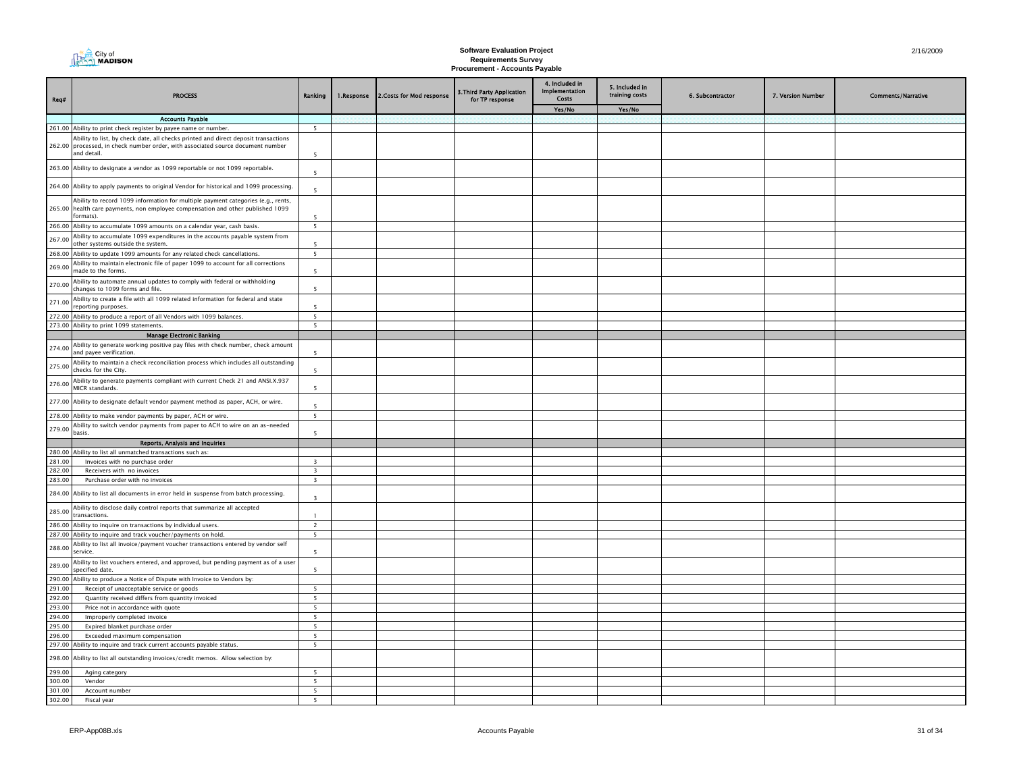| Req#             | <b>PROCESS</b>                                                                                                                                                                       | Ranking                                     | 1.Response | 2. Costs for Mod response | 3. Third Party Application<br>for TP response | 4. Included in<br>Implementation<br>Costs | 5. Included in<br>training costs | 6. Subcontractor | 7. Version Number | <b>Comments/Narrative</b> |
|------------------|--------------------------------------------------------------------------------------------------------------------------------------------------------------------------------------|---------------------------------------------|------------|---------------------------|-----------------------------------------------|-------------------------------------------|----------------------------------|------------------|-------------------|---------------------------|
|                  |                                                                                                                                                                                      |                                             |            |                           |                                               | Yes/No                                    | Yes/No                           |                  |                   |                           |
|                  | <b>Accounts Pavable</b>                                                                                                                                                              |                                             |            |                           |                                               |                                           |                                  |                  |                   |                           |
|                  | 261.00 Ability to print check register by payee name or number.                                                                                                                      | 5                                           |            |                           |                                               |                                           |                                  |                  |                   |                           |
|                  | Ability to list, by check date, all checks printed and direct deposit transactions<br>262.00 processed, in check number order, with associated source document number<br>and detail. | 5 <sup>5</sup>                              |            |                           |                                               |                                           |                                  |                  |                   |                           |
|                  | 263.00 Ability to designate a vendor as 1099 reportable or not 1099 reportable.                                                                                                      | 5                                           |            |                           |                                               |                                           |                                  |                  |                   |                           |
|                  | 264.00 Ability to apply payments to original Vendor for historical and 1099 processing.                                                                                              | $\overline{5}$                              |            |                           |                                               |                                           |                                  |                  |                   |                           |
|                  | Ability to record 1099 information for multiple payment categories (e.g., rents,<br>265.00 health care payments, non employee compensation and other published 1099<br>formats).     | 5                                           |            |                           |                                               |                                           |                                  |                  |                   |                           |
|                  | 266.00 Ability to accumulate 1099 amounts on a calendar year, cash basis.                                                                                                            | 5                                           |            |                           |                                               |                                           |                                  |                  |                   |                           |
| 267.00           | Ability to accumulate 1099 expenditures in the accounts payable system from<br>other systems outside the system.                                                                     | 5                                           |            |                           |                                               |                                           |                                  |                  |                   |                           |
|                  | 268.00 Ability to update 1099 amounts for any related check cancellations.                                                                                                           | 5                                           |            |                           |                                               |                                           |                                  |                  |                   |                           |
| 269.00           | Ability to maintain electronic file of paper 1099 to account for all corrections<br>made to the forms.                                                                               | 5                                           |            |                           |                                               |                                           |                                  |                  |                   |                           |
| 270.00           | Ability to automate annual updates to comply with federal or withholding<br>changes to 1099 forms and file.                                                                          | 5                                           |            |                           |                                               |                                           |                                  |                  |                   |                           |
| 271.00           | Ability to create a file with all 1099 related information for federal and state<br>reporting purposes.                                                                              | 5                                           |            |                           |                                               |                                           |                                  |                  |                   |                           |
|                  | 272.00 Ability to produce a report of all Vendors with 1099 balances.                                                                                                                | $5\overline{5}$<br>$\overline{\phantom{0}}$ |            |                           |                                               |                                           |                                  |                  |                   |                           |
|                  | 273.00 Ability to print 1099 statements.<br><b>Manage Electronic Banking</b>                                                                                                         |                                             |            |                           |                                               |                                           |                                  |                  |                   |                           |
| 274.00           | Ability to generate working positive pay files with check number, check amount<br>and payee verification.                                                                            | $\overline{\phantom{a}}$                    |            |                           |                                               |                                           |                                  |                  |                   |                           |
| 275.00           | Ability to maintain a check reconciliation process which includes all outstanding<br>checks for the City.                                                                            | -5                                          |            |                           |                                               |                                           |                                  |                  |                   |                           |
| 276.00           | Ability to generate payments compliant with current Check 21 and ANSI.X.937<br>MICR standards.                                                                                       | $\overline{5}$                              |            |                           |                                               |                                           |                                  |                  |                   |                           |
|                  | 277.00 Ability to designate default vendor payment method as paper, ACH, or wire.                                                                                                    | 5                                           |            |                           |                                               |                                           |                                  |                  |                   |                           |
|                  | 278.00 Ability to make vendor payments by paper, ACH or wire.                                                                                                                        | 5                                           |            |                           |                                               |                                           |                                  |                  |                   |                           |
| 279.00           | Ability to switch vendor payments from paper to ACH to wire on an as-needed<br>basis.                                                                                                | 5                                           |            |                           |                                               |                                           |                                  |                  |                   |                           |
|                  | <b>Reports, Analysis and Inquiries</b>                                                                                                                                               |                                             |            |                           |                                               |                                           |                                  |                  |                   |                           |
|                  | 280.00 Ability to list all unmatched transactions such as:                                                                                                                           |                                             |            |                           |                                               |                                           |                                  |                  |                   |                           |
| 281.00           | Invoices with no purchase order                                                                                                                                                      | $\overline{\mathbf{3}}$                     |            |                           |                                               |                                           |                                  |                  |                   |                           |
| 282.00           | Receivers with no invoices                                                                                                                                                           | $\overline{3}$                              |            |                           |                                               |                                           |                                  |                  |                   |                           |
| 283.00           | Purchase order with no invoices<br>284.00 Ability to list all documents in error held in suspense from batch processing.                                                             | $\overline{\mathbf{3}}$<br>$\overline{3}$   |            |                           |                                               |                                           |                                  |                  |                   |                           |
| 285.00           | Ability to disclose daily control reports that summarize all accepted<br>transactions.                                                                                               |                                             |            |                           |                                               |                                           |                                  |                  |                   |                           |
|                  | 286.00 Ability to inquire on transactions by individual users.                                                                                                                       | 2                                           |            |                           |                                               |                                           |                                  |                  |                   |                           |
|                  | 287.00 Ability to inquire and track voucher/payments on hold.                                                                                                                        | $5\overline{ }$                             |            |                           |                                               |                                           |                                  |                  |                   |                           |
| 288.00           | Ability to list all invoice/payment voucher transactions entered by vendor self<br>service.                                                                                          | - 5                                         |            |                           |                                               |                                           |                                  |                  |                   |                           |
| 289.00           | Ability to list vouchers entered, and approved, but pending payment as of a user<br>specified date.                                                                                  | 5                                           |            |                           |                                               |                                           |                                  |                  |                   |                           |
|                  | 290.00 Ability to produce a Notice of Dispute with Invoice to Vendors by:                                                                                                            |                                             |            |                           |                                               |                                           |                                  |                  |                   |                           |
| 291.00           | Receipt of unacceptable service or goods                                                                                                                                             | 5                                           |            |                           |                                               |                                           |                                  |                  |                   |                           |
| 292.00           | Quantity received differs from quantity invoiced                                                                                                                                     | 5                                           |            |                           |                                               |                                           |                                  |                  |                   |                           |
| 293.00           | Price not in accordance with quote                                                                                                                                                   | $\overline{\phantom{0}}$                    |            |                           |                                               |                                           |                                  |                  |                   |                           |
| 294.00           | Improperly completed invoice                                                                                                                                                         | 5                                           |            |                           |                                               |                                           |                                  |                  |                   |                           |
| 295.00<br>296.00 | Expired blanket purchase order<br>Exceeded maximum compensation                                                                                                                      | 5 <sub>1</sub><br>5                         |            |                           |                                               |                                           |                                  |                  |                   |                           |
| 297.00           | Ability to inquire and track current accounts payable status.                                                                                                                        | 5                                           |            |                           |                                               |                                           |                                  |                  |                   |                           |
|                  |                                                                                                                                                                                      |                                             |            |                           |                                               |                                           |                                  |                  |                   |                           |
| 298.00<br>299.00 | Ability to list all outstanding invoices/credit memos. Allow selection by:<br>Aging category                                                                                         | $\overline{5}$                              |            |                           |                                               |                                           |                                  |                  |                   |                           |
| 300.00           | Vendor                                                                                                                                                                               | 5                                           |            |                           |                                               |                                           |                                  |                  |                   |                           |
| 301.00           | Account number                                                                                                                                                                       | 5                                           |            |                           |                                               |                                           |                                  |                  |                   |                           |
| 302.00           | Fiscal year                                                                                                                                                                          | $\overline{5}$                              |            |                           |                                               |                                           |                                  |                  |                   |                           |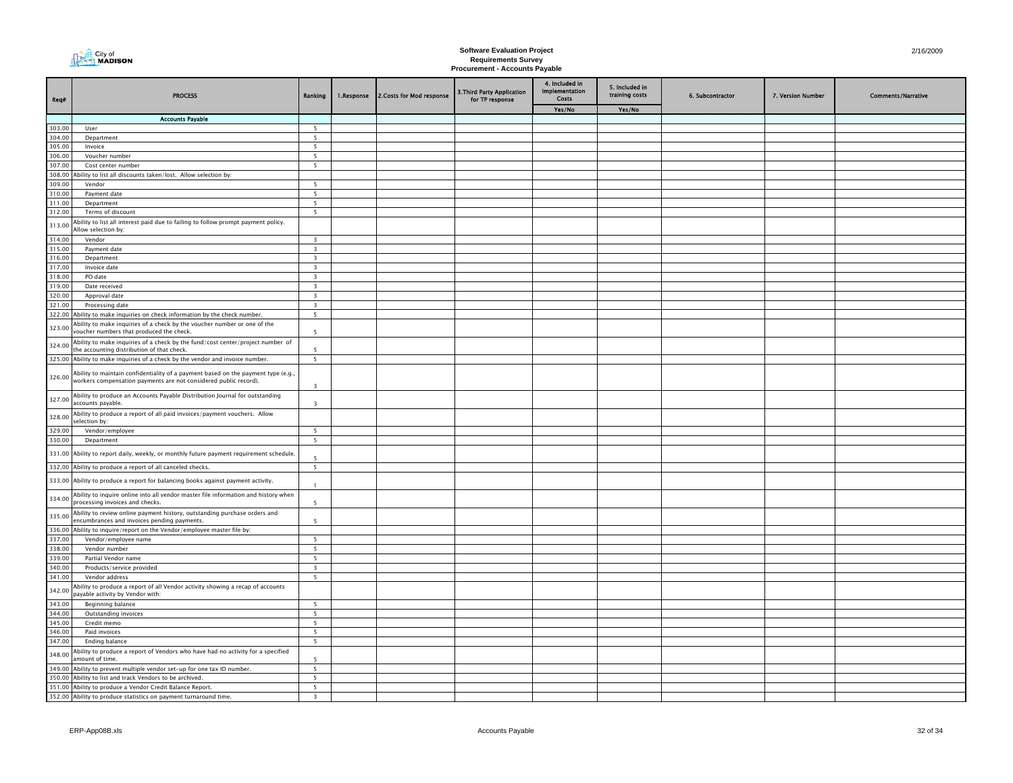| City of<br><b>ALMADISON</b> |
|-----------------------------|
|                             |

| Req#             | <b>PROCESS</b>                                                                                                                                        | Ranking                                            | 1.Response | 2. Costs for Mod response | 3.Third Party Application<br>for TP response | 4. Included in<br>Implementation<br>Costs | 5. Included in<br>training costs | 6. Subcontractor | 7. Version Number | <b>Comments/Narrative</b> |
|------------------|-------------------------------------------------------------------------------------------------------------------------------------------------------|----------------------------------------------------|------------|---------------------------|----------------------------------------------|-------------------------------------------|----------------------------------|------------------|-------------------|---------------------------|
|                  |                                                                                                                                                       |                                                    |            |                           |                                              | Yes/No                                    | Yes/No                           |                  |                   |                           |
| 303.00           | <b>Accounts Payable</b><br>User                                                                                                                       | 5                                                  |            |                           |                                              |                                           |                                  |                  |                   |                           |
| 304.00           | Department                                                                                                                                            | 5                                                  |            |                           |                                              |                                           |                                  |                  |                   |                           |
| 305.00           | Invoice                                                                                                                                               | 5                                                  |            |                           |                                              |                                           |                                  |                  |                   |                           |
| 306.00           | Voucher number                                                                                                                                        | 5 <sup>5</sup>                                     |            |                           |                                              |                                           |                                  |                  |                   |                           |
| 307.00           | Cost center number                                                                                                                                    | 5                                                  |            |                           |                                              |                                           |                                  |                  |                   |                           |
| 308.00<br>309.00 | Ability to list all discounts taken/lost. Allow selection by:<br>Vendor                                                                               |                                                    |            |                           |                                              |                                           |                                  |                  |                   |                           |
| 310.00           | Payment date                                                                                                                                          | 5<br>5                                             |            |                           |                                              |                                           |                                  |                  |                   |                           |
| 311.00           | Department                                                                                                                                            | $\overline{\phantom{0}}$                           |            |                           |                                              |                                           |                                  |                  |                   |                           |
| 312.00           | Terms of discount                                                                                                                                     | 5                                                  |            |                           |                                              |                                           |                                  |                  |                   |                           |
| 313.00           | Ability to list all interest paid due to failing to follow prompt payment policy.<br>Allow selection by:                                              |                                                    |            |                           |                                              |                                           |                                  |                  |                   |                           |
| 314.00           | Vendor                                                                                                                                                | $\overline{\mathbf{3}}$                            |            |                           |                                              |                                           |                                  |                  |                   |                           |
| 315.00           | Payment date                                                                                                                                          | $\overline{\mathbf{3}}$                            |            |                           |                                              |                                           |                                  |                  |                   |                           |
| 316.00<br>317.00 | Department                                                                                                                                            | $\overline{\mathbf{3}}$<br>$\overline{\mathbf{3}}$ |            |                           |                                              |                                           |                                  |                  |                   |                           |
| 318.00           | Invoice date<br>PO date                                                                                                                               | $\overline{\mathbf{3}}$                            |            |                           |                                              |                                           |                                  |                  |                   |                           |
| 319.00           | Date received                                                                                                                                         | $\overline{\mathbf{3}}$                            |            |                           |                                              |                                           |                                  |                  |                   |                           |
| 320.00           | Approval date                                                                                                                                         | $\overline{\mathbf{3}}$                            |            |                           |                                              |                                           |                                  |                  |                   |                           |
| 321.00           | Processing date                                                                                                                                       | $\overline{\mathbf{3}}$                            |            |                           |                                              |                                           |                                  |                  |                   |                           |
| 322.00           | Ability to make inquiries on check information by the check number.                                                                                   | 5                                                  |            |                           |                                              |                                           |                                  |                  |                   |                           |
| 323.00           | Ability to make inquiries of a check by the voucher number or one of the<br>voucher numbers that produced the check.                                  | $\overline{\phantom{a}}$                           |            |                           |                                              |                                           |                                  |                  |                   |                           |
| 324.00           | Ability to make inquiries of a check by the fund/cost center/project number of<br>the accounting distribution of that check.                          | $\overline{\phantom{0}}$                           |            |                           |                                              |                                           |                                  |                  |                   |                           |
|                  | 325.00 Ability to make inquiries of a check by the vendor and invoice number.                                                                         | 5                                                  |            |                           |                                              |                                           |                                  |                  |                   |                           |
| 326.00           | Ability to maintain confidentiality of a payment based on the payment type (e.g.,<br>workers compensation payments are not considered public record). | $\overline{\mathbf{3}}$                            |            |                           |                                              |                                           |                                  |                  |                   |                           |
| 327.00           | Ability to produce an Accounts Payable Distribution Journal for outstanding<br>accounts payable.                                                      | $\overline{3}$                                     |            |                           |                                              |                                           |                                  |                  |                   |                           |
| 328.00           | Ability to produce a report of all paid invoices/payment vouchers. Allow<br>selection by:                                                             |                                                    |            |                           |                                              |                                           |                                  |                  |                   |                           |
| 329.00<br>330.00 | Vendor/employee                                                                                                                                       | 5<br>5                                             |            |                           |                                              |                                           |                                  |                  |                   |                           |
|                  | Department                                                                                                                                            |                                                    |            |                           |                                              |                                           |                                  |                  |                   |                           |
| 331.00           | Ability to report daily, weekly, or monthly future payment requirement schedule.<br>332.00 Ability to produce a report of all canceled checks.        | $\overline{\phantom{a}}$<br>5                      |            |                           |                                              |                                           |                                  |                  |                   |                           |
|                  | 333.00 Ability to produce a report for balancing books against payment activity.                                                                      |                                                    |            |                           |                                              |                                           |                                  |                  |                   |                           |
| 334.00           | Ability to inquire online into all vendor master file information and history when<br>processing invoices and checks.                                 | 5                                                  |            |                           |                                              |                                           |                                  |                  |                   |                           |
| 335.00           | Ability to review online payment history, outstanding purchase orders and<br>encumbrances and invoices pending payments.                              | $\overline{\phantom{a}}$                           |            |                           |                                              |                                           |                                  |                  |                   |                           |
| 336.00           | Ability to inquire/report on the Vendor/employee master file by:                                                                                      |                                                    |            |                           |                                              |                                           |                                  |                  |                   |                           |
| 337.00           | Vendor/employee name                                                                                                                                  | 5                                                  |            |                           |                                              |                                           |                                  |                  |                   |                           |
| 338.00           | Vendor number                                                                                                                                         | 5                                                  |            |                           |                                              |                                           |                                  |                  |                   |                           |
| 339.00           | Partial Vendor name                                                                                                                                   | $\overline{\phantom{0}}$                           |            |                           |                                              |                                           |                                  |                  |                   |                           |
| 340.00<br>341.00 | Products/service provided<br>Vendor address                                                                                                           | $\overline{\mathbf{3}}$<br>$5^{\circ}$             |            |                           |                                              |                                           |                                  |                  |                   |                           |
| 342.00           | Ability to produce a report of all Vendor activity showing a recap of accounts<br>payable activity by Vendor with:                                    |                                                    |            |                           |                                              |                                           |                                  |                  |                   |                           |
| 343.00           | <b>Beginning balance</b>                                                                                                                              | $\overline{\phantom{a}}$                           |            |                           |                                              |                                           |                                  |                  |                   |                           |
| 344.00           | Outstanding invoices                                                                                                                                  | $5\overline{ }$                                    |            |                           |                                              |                                           |                                  |                  |                   |                           |
| 345.00           | Credit memo                                                                                                                                           | 5 <sup>5</sup>                                     |            |                           |                                              |                                           |                                  |                  |                   |                           |
| 346.00           | Paid invoices                                                                                                                                         | 5                                                  |            |                           |                                              |                                           |                                  |                  |                   |                           |
| 347.00           | Ending balance                                                                                                                                        | 5                                                  |            |                           |                                              |                                           |                                  |                  |                   |                           |
| 348.00           | Ability to produce a report of Vendors who have had no activity for a specified<br>amount of time.                                                    | 5                                                  |            |                           |                                              |                                           |                                  |                  |                   |                           |
|                  | 349.00 Ability to prevent multiple vendor set-up for one tax ID number.                                                                               | $\overline{5}$                                     |            |                           |                                              |                                           |                                  |                  |                   |                           |
|                  | 350.00 Ability to list and track Vendors to be archived<br>351.00 Ability to produce a Vendor Credit Balance Report.                                  | 5<br>5                                             |            |                           |                                              |                                           |                                  |                  |                   |                           |
|                  | 352.00 Ability to produce statistics on payment turnaround time.                                                                                      | $\overline{3}$                                     |            |                           |                                              |                                           |                                  |                  |                   |                           |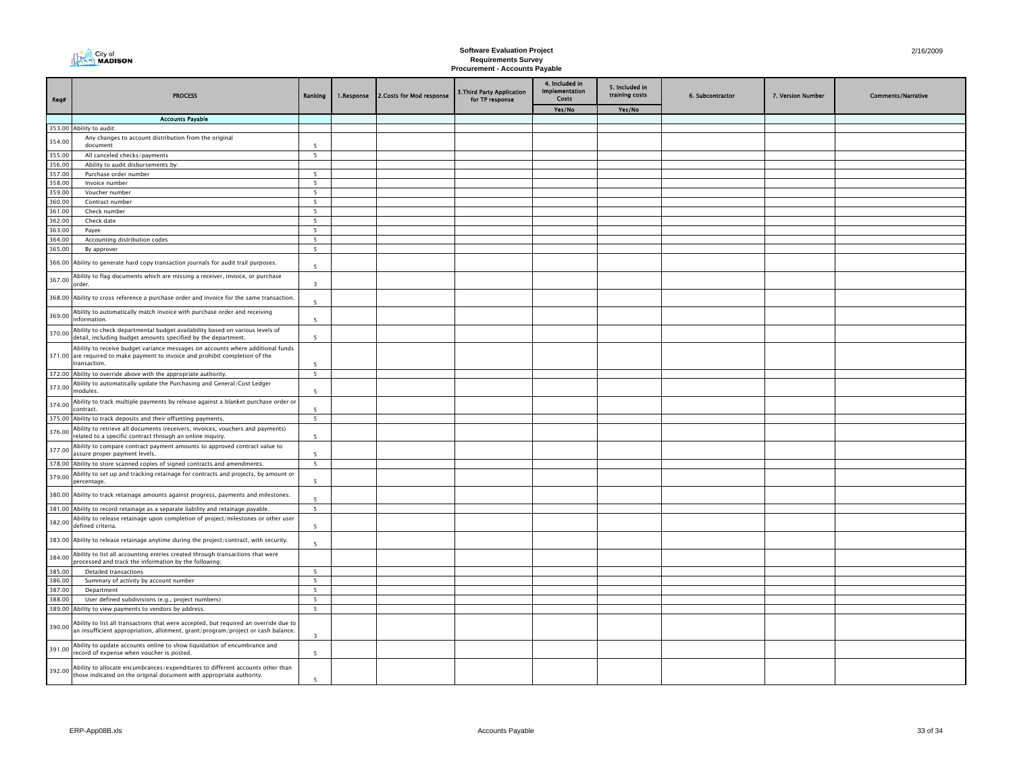| City of<br><b>ALMADISON</b> |
|-----------------------------|
|                             |

| Req#             | <b>PROCESS</b>                                                                                                                                                                  | Ranking                  | 1.Response | 2. Costs for Mod response | 3. Third Party Application<br>for TP response | 4. Included in<br><b>Implementation</b><br>Costs | 5. Included in<br>training costs | 6. Subcontractor | 7. Version Number | <b>Comments/Narrative</b> |
|------------------|---------------------------------------------------------------------------------------------------------------------------------------------------------------------------------|--------------------------|------------|---------------------------|-----------------------------------------------|--------------------------------------------------|----------------------------------|------------------|-------------------|---------------------------|
|                  |                                                                                                                                                                                 |                          |            |                           |                                               | Yes/No                                           | Yes/No                           |                  |                   |                           |
|                  | <b>Accounts Payable</b>                                                                                                                                                         |                          |            |                           |                                               |                                                  |                                  |                  |                   |                           |
| 353.00           | Ability to audit:<br>Any changes to account distribution from the original                                                                                                      |                          |            |                           |                                               |                                                  |                                  |                  |                   |                           |
| 354.00           | document                                                                                                                                                                        |                          |            |                           |                                               |                                                  |                                  |                  |                   |                           |
| 355.00           | All canceled checks/payments                                                                                                                                                    | 5                        |            |                           |                                               |                                                  |                                  |                  |                   |                           |
| 356.00           | Ability to audit disbursements by:                                                                                                                                              |                          |            |                           |                                               |                                                  |                                  |                  |                   |                           |
| 357.00           | Purchase order number                                                                                                                                                           | -5                       |            |                           |                                               |                                                  |                                  |                  |                   |                           |
| 358.00           | Invoice number                                                                                                                                                                  | -5                       |            |                           |                                               |                                                  |                                  |                  |                   |                           |
| 359.00           | Voucher number                                                                                                                                                                  | $\overline{\phantom{a}}$ |            |                           |                                               |                                                  |                                  |                  |                   |                           |
| 360.00<br>361.00 | Contract number<br>Check number                                                                                                                                                 | 5<br>5                   |            |                           |                                               |                                                  |                                  |                  |                   |                           |
| 362.00           | Check date                                                                                                                                                                      | 5                        |            |                           |                                               |                                                  |                                  |                  |                   |                           |
| 363.00           | Payee                                                                                                                                                                           | 5                        |            |                           |                                               |                                                  |                                  |                  |                   |                           |
| 364.00           | Accounting distribution codes                                                                                                                                                   | 5 <sub>5</sub>           |            |                           |                                               |                                                  |                                  |                  |                   |                           |
| 365.00           | By approver                                                                                                                                                                     | 5                        |            |                           |                                               |                                                  |                                  |                  |                   |                           |
| 366.00           | Ability to generate hard copy transaction journals for audit trail purposes.                                                                                                    | $\overline{5}$           |            |                           |                                               |                                                  |                                  |                  |                   |                           |
| 367.00           | Ability to flag documents which are missing a receiver, invoice, or purchase<br>order.                                                                                          | $\overline{3}$           |            |                           |                                               |                                                  |                                  |                  |                   |                           |
|                  | 368.00 Ability to cross reference a purchase order and invoice for the same transaction.                                                                                        | $\overline{\phantom{a}}$ |            |                           |                                               |                                                  |                                  |                  |                   |                           |
| 369.00           | Ability to automatically match invoice with purchase order and receiving<br>nformation.                                                                                         | $\overline{5}$           |            |                           |                                               |                                                  |                                  |                  |                   |                           |
| 370.00           | Ability to check departmental budget availability based on various levels of<br>detail, including budget amounts specified by the department.                                   | $\overline{5}$           |            |                           |                                               |                                                  |                                  |                  |                   |                           |
|                  | Ability to receive budget variance messages on accounts where additional funds<br>371.00 are required to make payment to invoice and prohibit completion of the<br>transaction. | $\overline{\phantom{a}}$ |            |                           |                                               |                                                  |                                  |                  |                   |                           |
|                  | 372.00 Ability to override above with the appropriate authority.                                                                                                                | 5                        |            |                           |                                               |                                                  |                                  |                  |                   |                           |
| 373.00           | Ability to automatically update the Purchasing and General/Cost Ledger<br>modules.                                                                                              | $\overline{5}$           |            |                           |                                               |                                                  |                                  |                  |                   |                           |
| 374.00           | Ability to track multiple payments by release against a blanket purchase order or<br>contract.                                                                                  | $\overline{\phantom{a}}$ |            |                           |                                               |                                                  |                                  |                  |                   |                           |
|                  | 375.00 Ability to track deposits and their offsetting payments.                                                                                                                 | 5                        |            |                           |                                               |                                                  |                                  |                  |                   |                           |
| 376.00           | Ability to retrieve all documents (receivers, invoices, vouchers and payments)<br>related to a specific contract through an online inquiry.                                     | -5                       |            |                           |                                               |                                                  |                                  |                  |                   |                           |
| 377.00           | Ability to compare contract payment amounts to approved contract value to<br>assure proper payment levels.                                                                      |                          |            |                           |                                               |                                                  |                                  |                  |                   |                           |
|                  | 378.00 Ability to store scanned copies of signed contracts and amendments.                                                                                                      | 5                        |            |                           |                                               |                                                  |                                  |                  |                   |                           |
| 379.00           | Ability to set up and tracking retainage for contracts and projects, by amount or<br>percentage.                                                                                | 5                        |            |                           |                                               |                                                  |                                  |                  |                   |                           |
|                  | 380.00 Ability to track retainage amounts against progress, payments and milestones.<br>381.00 Ability to record retainage as a separate liability and retainage payable.       | -5<br>5                  |            |                           |                                               |                                                  |                                  |                  |                   |                           |
|                  | Ability to release retainage upon completion of project/milestones or other user                                                                                                |                          |            |                           |                                               |                                                  |                                  |                  |                   |                           |
| 382.00           | defined criteria.                                                                                                                                                               | -5                       |            |                           |                                               |                                                  |                                  |                  |                   |                           |
|                  | 383.00 Ability to release retainage anytime during the project/contract, with security.<br>Ability to list all accounting entries created through transactions that were        | -5                       |            |                           |                                               |                                                  |                                  |                  |                   |                           |
| 384.00           | processed and track the information by the following:                                                                                                                           |                          |            |                           |                                               |                                                  |                                  |                  |                   |                           |
| 385.00<br>386.00 | <b>Detailed transactions</b><br>Summary of activity by account number                                                                                                           | 5<br>5                   |            |                           |                                               |                                                  |                                  |                  |                   |                           |
| 387.00           | Department                                                                                                                                                                      | 5                        |            |                           |                                               |                                                  |                                  |                  |                   |                           |
| 388.00           | User defined subdivisions (e.g., project numbers)                                                                                                                               | 5                        |            |                           |                                               |                                                  |                                  |                  |                   |                           |
|                  | 389.00 Ability to view payments to vendors by address.                                                                                                                          | 5                        |            |                           |                                               |                                                  |                                  |                  |                   |                           |
| 390.00           | Ability to list all transactions that were accepted, but required an override due to<br>an insufficient appropriation, allotment, grant/program/project or cash balance.        | $\overline{3}$           |            |                           |                                               |                                                  |                                  |                  |                   |                           |
| 391.00           | Ability to update accounts online to show liquidation of encumbrance and<br>record of expense when voucher is posted.                                                           | $\overline{\phantom{a}}$ |            |                           |                                               |                                                  |                                  |                  |                   |                           |
| 392.00           | Ability to allocate encumbrances/expenditures to different accounts other than<br>those indicated on the original document with appropriate authority.                          | $\overline{\phantom{a}}$ |            |                           |                                               |                                                  |                                  |                  |                   |                           |